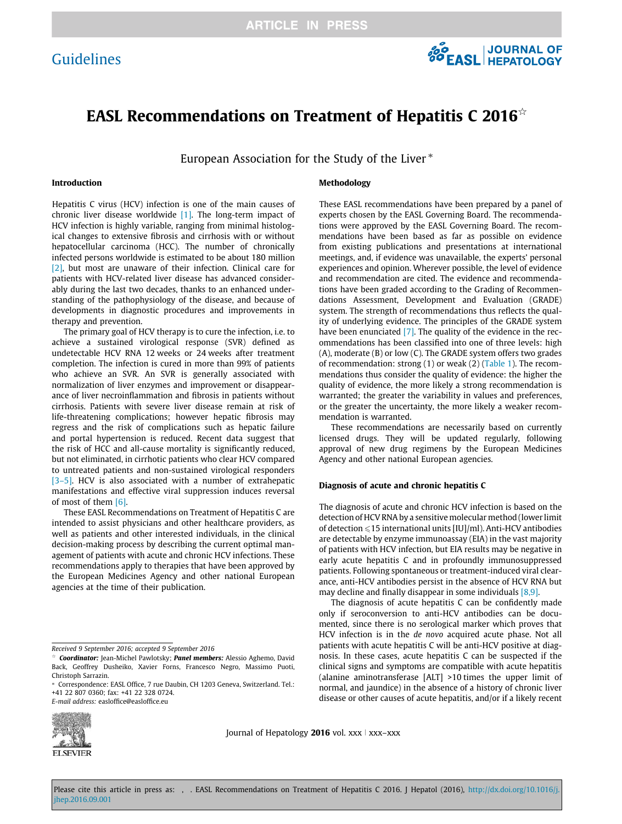

# EASL Recommendations on Treatment of Hepatitis C 2016 $\mathrm{A}$

European Association for the Study of the Liver<sup>\*</sup>

#### Introduction

Hepatitis C virus (HCV) infection is one of the main causes of chronic liver disease worldwide [\[1\]](#page-37-0). The long-term impact of HCV infection is highly variable, ranging from minimal histological changes to extensive fibrosis and cirrhosis with or without hepatocellular carcinoma (HCC). The number of chronically infected persons worldwide is estimated to be about 180 million [\[2\]](#page-37-0), but most are unaware of their infection. Clinical care for patients with HCV-related liver disease has advanced considerably during the last two decades, thanks to an enhanced understanding of the pathophysiology of the disease, and because of developments in diagnostic procedures and improvements in therapy and prevention.

The primary goal of HCV therapy is to cure the infection, i.e. to achieve a sustained virological response (SVR) defined as undetectable HCV RNA 12 weeks or 24 weeks after treatment completion. The infection is cured in more than 99% of patients who achieve an SVR. An SVR is generally associated with normalization of liver enzymes and improvement or disappearance of liver necroinflammation and fibrosis in patients without cirrhosis. Patients with severe liver disease remain at risk of life-threatening complications; however hepatic fibrosis may regress and the risk of complications such as hepatic failure and portal hypertension is reduced. Recent data suggest that the risk of HCC and all-cause mortality is significantly reduced, but not eliminated, in cirrhotic patients who clear HCV compared to untreated patients and non-sustained virological responders [\[3–5\].](#page-37-0) HCV is also associated with a number of extrahepatic manifestations and effective viral suppression induces reversal of most of them [\[6\].](#page-37-0)

These EASL Recommendations on Treatment of Hepatitis C are intended to assist physicians and other healthcare providers, as well as patients and other interested individuals, in the clinical decision-making process by describing the current optimal management of patients with acute and chronic HCV infections. These recommendations apply to therapies that have been approved by the European Medicines Agency and other national European agencies at the time of their publication.

<sup>\*</sup> Correspondence: EASL Office, 7 rue Daubin, CH 1203 Geneva, Switzerland. Tel.: +41 22 807 0360; fax: +41 22 328 0724. E-mail address: easloffice@easloffice.eu



Journal of Hepatology 2016 vol. xxx  $\vert$  xxx–xxx

#### Methodology

These EASL recommendations have been prepared by a panel of experts chosen by the EASL Governing Board. The recommendations were approved by the EASL Governing Board. The recommendations have been based as far as possible on evidence from existing publications and presentations at international meetings, and, if evidence was unavailable, the experts' personal experiences and opinion. Wherever possible, the level of evidence and recommendation are cited. The evidence and recommendations have been graded according to the Grading of Recommendations Assessment, Development and Evaluation (GRADE) system. The strength of recommendations thus reflects the quality of underlying evidence. The principles of the GRADE system have been enunciated [\[7\].](#page-37-0) The quality of the evidence in the recommendations has been classified into one of three levels: high (A), moderate (B) or low (C). The GRADE system offers two grades of recommendation: strong  $(1)$  or weak  $(2)$  [\(Table 1](#page-1-0)). The recommendations thus consider the quality of evidence: the higher the quality of evidence, the more likely a strong recommendation is warranted; the greater the variability in values and preferences, or the greater the uncertainty, the more likely a weaker recommendation is warranted.

These recommendations are necessarily based on currently licensed drugs. They will be updated regularly, following approval of new drug regimens by the European Medicines Agency and other national European agencies.

#### Diagnosis of acute and chronic hepatitis C

The diagnosis of acute and chronic HCV infection is based on the detection of HCV RNA by a sensitive molecular method (lower limit of detection  $\leq 15$  international units [IU]/ml). Anti-HCV antibodies are detectable by enzyme immunoassay (EIA) in the vast majority of patients with HCV infection, but EIA results may be negative in early acute hepatitis C and in profoundly immunosuppressed patients. Following spontaneous or treatment-induced viral clearance, anti-HCV antibodies persist in the absence of HCV RNA but may decline and finally disappear in some individuals [\[8,9\].](#page-37-0)

The diagnosis of acute hepatitis C can be confidently made only if seroconversion to anti-HCV antibodies can be documented, since there is no serological marker which proves that HCV infection is in the de novo acquired acute phase. Not all patients with acute hepatitis C will be anti-HCV positive at diagnosis. In these cases, acute hepatitis C can be suspected if the clinical signs and symptoms are compatible with acute hepatitis (alanine aminotransferase [ALT] >10 times the upper limit of normal, and jaundice) in the absence of a history of chronic liver disease or other causes of acute hepatitis, and/or if a likely recent

Received 9 September 2016; accepted 9 September 2016

Coordinator: Jean-Michel Pawlotsky; Panel members: Alessio Aghemo, David Back, Geoffrey Dusheiko, Xavier Forns, Francesco Negro, Massimo Puoti, Christoph Sarrazin.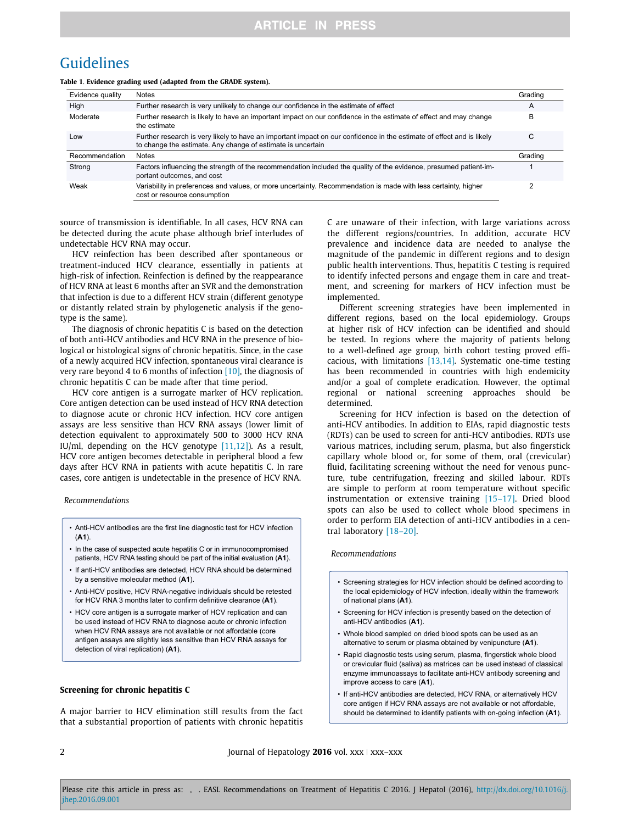#### <span id="page-1-0"></span>Table 1. Evidence grading used (adapted from the GRADE system).

| Evidence quality | Notes                                                                                                                                                                                | Grading |
|------------------|--------------------------------------------------------------------------------------------------------------------------------------------------------------------------------------|---------|
| High             | Further research is very unlikely to change our confidence in the estimate of effect                                                                                                 | A       |
| Moderate         | Further research is likely to have an important impact on our confidence in the estimate of effect and may change<br>the estimate                                                    | B       |
| Low              | Further research is very likely to have an important impact on our confidence in the estimate of effect and is likely<br>to change the estimate. Any change of estimate is uncertain | C       |
| Recommendation   | <b>Notes</b>                                                                                                                                                                         | Grading |
| Strong           | Factors influencing the strength of the recommendation included the quality of the evidence, presumed patient-im-<br>portant outcomes, and cost                                      |         |
| Weak             | Variability in preferences and values, or more uncertainty. Recommendation is made with less certainty, higher<br>cost or resource consumption                                       | ົ       |

source of transmission is identifiable. In all cases, HCV RNA can be detected during the acute phase although brief interludes of undetectable HCV RNA may occur.

HCV reinfection has been described after spontaneous or treatment-induced HCV clearance, essentially in patients at high-risk of infection. Reinfection is defined by the reappearance of HCV RNA at least 6 months after an SVR and the demonstration that infection is due to a different HCV strain (different genotype or distantly related strain by phylogenetic analysis if the genotype is the same).

The diagnosis of chronic hepatitis C is based on the detection of both anti-HCV antibodies and HCV RNA in the presence of biological or histological signs of chronic hepatitis. Since, in the case of a newly acquired HCV infection, spontaneous viral clearance is very rare beyond 4 to 6 months of infection [\[10\]](#page-37-0), the diagnosis of chronic hepatitis C can be made after that time period.

HCV core antigen is a surrogate marker of HCV replication. Core antigen detection can be used instead of HCV RNA detection to diagnose acute or chronic HCV infection. HCV core antigen assays are less sensitive than HCV RNA assays (lower limit of detection equivalent to approximately 500 to 3000 HCV RNA IU/ml, depending on the HCV genotype  $[11,12]$ ). As a result, HCV core antigen becomes detectable in peripheral blood a few days after HCV RNA in patients with acute hepatitis C. In rare cases, core antigen is undetectable in the presence of HCV RNA.

Recommendations

- Anti-HCV antibodies are the first line diagnostic test for HCV infection (**A1**).
- In the case of suspected acute hepatitis C or in immunocompromised patients, HCV RNA testing should be part of the initial evaluation (**A1**).
- If anti-HCV antibodies are detected, HCV RNA should be determined by a sensitive molecular method (**A1**).
- Anti-HCV positive, HCV RNA-negative individuals should be retested for HCV RNA 3 months later to confirm definitive clearance (**A1**).
- HCV core antigen is a surrogate marker of HCV replication and can be used instead of HCV RNA to diagnose acute or chronic infection when HCV RNA assays are not available or not affordable (core antigen assays are slightly less sensitive than HCV RNA assays for detection of viral replication) (**A1**).

#### Screening for chronic hepatitis C

A major barrier to HCV elimination still results from the fact that a substantial proportion of patients with chronic hepatitis C are unaware of their infection, with large variations across the different regions/countries. In addition, accurate HCV prevalence and incidence data are needed to analyse the magnitude of the pandemic in different regions and to design public health interventions. Thus, hepatitis C testing is required to identify infected persons and engage them in care and treatment, and screening for markers of HCV infection must be implemented.

Different screening strategies have been implemented in different regions, based on the local epidemiology. Groups at higher risk of HCV infection can be identified and should be tested. In regions where the majority of patients belong to a well-defined age group, birth cohort testing proved efficacious, with limitations [\[13,14\]](#page-37-0). Systematic one-time testing has been recommended in countries with high endemicity and/or a goal of complete eradication. However, the optimal regional or national screening approaches should be determined.

Screening for HCV infection is based on the detection of anti-HCV antibodies. In addition to EIAs, rapid diagnostic tests (RDTs) can be used to screen for anti-HCV antibodies. RDTs use various matrices, including serum, plasma, but also fingerstick capillary whole blood or, for some of them, oral (crevicular) fluid, facilitating screening without the need for venous puncture, tube centrifugation, freezing and skilled labour. RDTs are simple to perform at room temperature without specific instrumentation or extensive training [\[15–17\]](#page-37-0). Dried blood spots can also be used to collect whole blood specimens in order to perform EIA detection of anti-HCV antibodies in a central laboratory [\[18–20\].](#page-37-0)

#### Recommendations

- Screening strategies for HCV infection should be defined according to the local epidemiology of HCV infection, ideally within the framework of national plans (**A1**).
- Screening for HCV infection is presently based on the detection of anti-HCV antibodies (**A1**).
- Whole blood sampled on dried blood spots can be used as an alternative to serum or plasma obtained by venipuncture (**A1**).
- Rapid diagnostic tests using serum, plasma, fingerstick whole blood or crevicular fluid (saliva) as matrices can be used instead of classical enzyme immunoassays to facilitate anti-HCV antibody screening and improve access to care (**A1**).
- If anti-HCV antibodies are detected, HCV RNA, or alternatively HCV core antigen if HCV RNA assays are not available or not affordable, should be determined to identify patients with on-going infection (**A1**).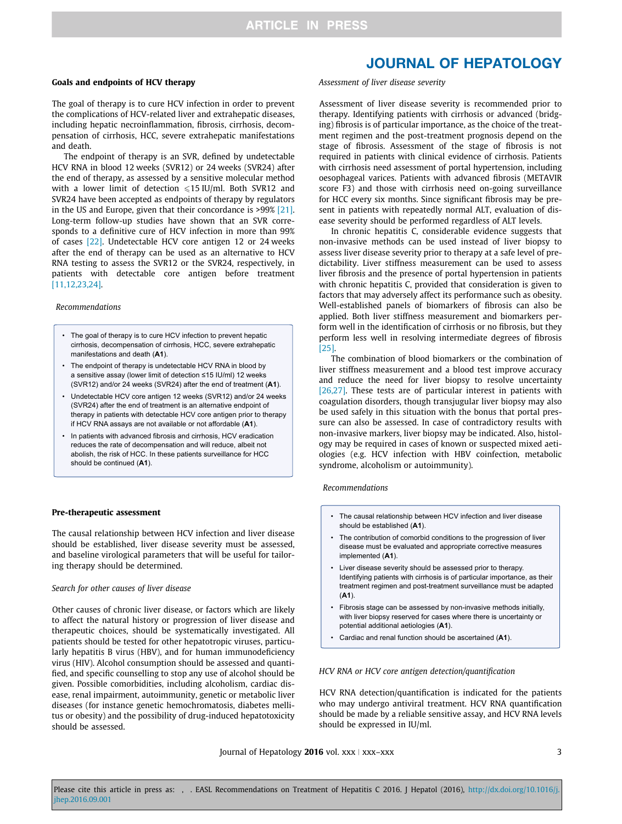#### Goals and endpoints of HCV therapy

The goal of therapy is to cure HCV infection in order to prevent the complications of HCV-related liver and extrahepatic diseases, including hepatic necroinflammation, fibrosis, cirrhosis, decompensation of cirrhosis, HCC, severe extrahepatic manifestations and death.

The endpoint of therapy is an SVR, defined by undetectable HCV RNA in blood 12 weeks (SVR12) or 24 weeks (SVR24) after the end of therapy, as assessed by a sensitive molecular method with a lower limit of detection  $\leq 15$  IU/ml. Both SVR12 and SVR24 have been accepted as endpoints of therapy by regulators in the US and Europe, given that their concordance is >99% [\[21\]](#page-37-0). Long-term follow-up studies have shown that an SVR corresponds to a definitive cure of HCV infection in more than 99% of cases [\[22\].](#page-37-0) Undetectable HCV core antigen 12 or 24 weeks after the end of therapy can be used as an alternative to HCV RNA testing to assess the SVR12 or the SVR24, respectively, in patients with detectable core antigen before treatment [\[11,12,23,24\]](#page-37-0).

#### Recommendations

- The goal of therapy is to cure HCV infection to prevent hepatic cirrhosis, decompensation of cirrhosis, HCC, severe extrahepatic manifestations and death (**A1**).
- The endpoint of therapy is undetectable HCV RNA in blood by a sensitive assay (lower limit of detection ≤15 IU/ml) 12 weeks (SVR12) and/or 24 weeks (SVR24) after the end of treatment (**A1**).
- Undetectable HCV core antigen 12 weeks (SVR12) and/or 24 weeks (SVR24) after the end of treatment is an alternative endpoint of therapy in patients with detectable HCV core antigen prior to therapy if HCV RNA assays are not available or not affordable (**A1**).
- In patients with advanced fibrosis and cirrhosis, HCV eradication reduces the rate of decompensation and will reduce, albeit not abolish, the risk of HCC. In these patients surveillance for HCC should be continued (**A1**).

#### Pre-therapeutic assessment

The causal relationship between HCV infection and liver disease should be established, liver disease severity must be assessed, and baseline virological parameters that will be useful for tailoring therapy should be determined.

#### Search for other causes of liver disease

Other causes of chronic liver disease, or factors which are likely to affect the natural history or progression of liver disease and therapeutic choices, should be systematically investigated. All patients should be tested for other hepatotropic viruses, particularly hepatitis B virus (HBV), and for human immunodeficiency virus (HIV). Alcohol consumption should be assessed and quantified, and specific counselling to stop any use of alcohol should be given. Possible comorbidities, including alcoholism, cardiac disease, renal impairment, autoimmunity, genetic or metabolic liver diseases (for instance genetic hemochromatosis, diabetes mellitus or obesity) and the possibility of drug-induced hepatotoxicity should be assessed.

## JOURNAL OF HEPATOLOGY

Assessment of liver disease severity

Assessment of liver disease severity is recommended prior to therapy. Identifying patients with cirrhosis or advanced (bridging) fibrosis is of particular importance, as the choice of the treatment regimen and the post-treatment prognosis depend on the stage of fibrosis. Assessment of the stage of fibrosis is not required in patients with clinical evidence of cirrhosis. Patients with cirrhosis need assessment of portal hypertension, including oesophageal varices. Patients with advanced fibrosis (METAVIR score F3) and those with cirrhosis need on-going surveillance for HCC every six months. Since significant fibrosis may be present in patients with repeatedly normal ALT, evaluation of disease severity should be performed regardless of ALT levels.

In chronic hepatitis C, considerable evidence suggests that non-invasive methods can be used instead of liver biopsy to assess liver disease severity prior to therapy at a safe level of predictability. Liver stiffness measurement can be used to assess liver fibrosis and the presence of portal hypertension in patients with chronic hepatitis C, provided that consideration is given to factors that may adversely affect its performance such as obesity. Well-established panels of biomarkers of fibrosis can also be applied. Both liver stiffness measurement and biomarkers perform well in the identification of cirrhosis or no fibrosis, but they perform less well in resolving intermediate degrees of fibrosis [\[25\]](#page-37-0).

The combination of blood biomarkers or the combination of liver stiffness measurement and a blood test improve accuracy and reduce the need for liver biopsy to resolve uncertainty [\[26,27\]](#page-37-0). These tests are of particular interest in patients with coagulation disorders, though transjugular liver biopsy may also be used safely in this situation with the bonus that portal pressure can also be assessed. In case of contradictory results with non-invasive markers, liver biopsy may be indicated. Also, histology may be required in cases of known or suspected mixed aetiologies (e.g. HCV infection with HBV coinfection, metabolic syndrome, alcoholism or autoimmunity).

#### Recommendations

- The causal relationship between HCV infection and liver disease should be established (**A1**).
- The contribution of comorbid conditions to the progression of liver disease must be evaluated and appropriate corrective measures implemented (**A1**).
- Liver disease severity should be assessed prior to therapy. Identifying patients with cirrhosis is of particular importance, as their treatment regimen and post-treatment surveillance must be adapted (**A1**).
- Fibrosis stage can be assessed by non-invasive methods initially, with liver biopsy reserved for cases where there is uncertainty or potential additional aetiologies (**A1**).
- Cardiac and renal function should be ascertained (**A1**).

#### HCV RNA or HCV core antigen detection/quantification

HCV RNA detection/quantification is indicated for the patients who may undergo antiviral treatment. HCV RNA quantification should be made by a reliable sensitive assay, and HCV RNA levels should be expressed in IU/ml.

Journal of Hepatology 2016 vol.  $xxx + xxx$   $\rightarrow$  3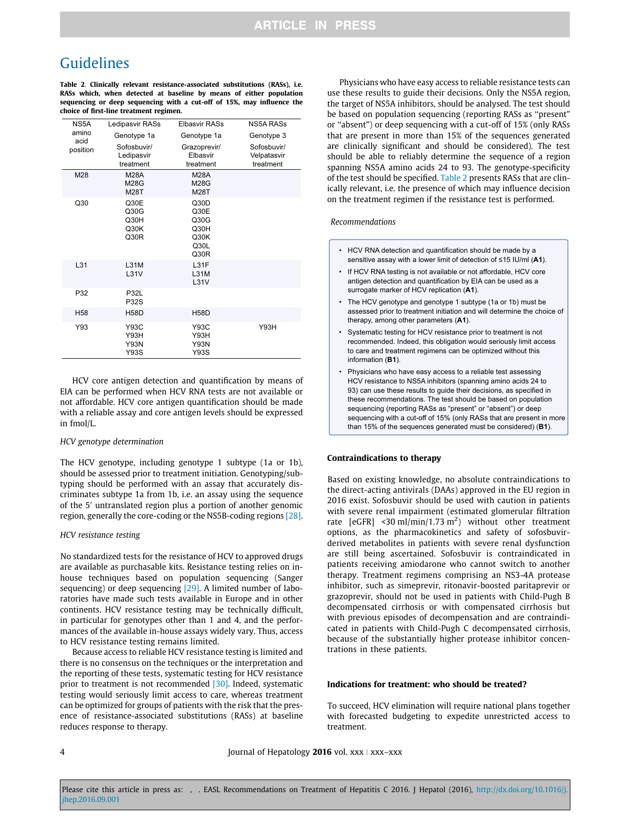Table 2. Clinically relevant resistance-associated substitutions (RASs), i.e. RASs which, when detected at baseline by means of either population sequencing or deep sequencing with a cut-off of 15%, may influence the choice of first-line treatment regimen.

| NS5A            | Ledipasvir RASs                                   | <b>Flbasvir RASs</b>                                 | NS5A RASs                               |
|-----------------|---------------------------------------------------|------------------------------------------------------|-----------------------------------------|
| amino<br>acid   | Genotype 1a                                       | Genotype 1a                                          | Genotype 3                              |
| position        | Sofosbuvir/<br>Ledipasvir<br>treatment            | Grazoprevir/<br>Elbasvir<br>treatment                | Sofosbuvir/<br>Velpatasvir<br>treatment |
| M28             | <b>M28A</b><br><b>M28G</b><br><b>M28T</b>         | <b>M28A</b><br><b>M28G</b><br><b>M28T</b>            |                                         |
| Q30             | Q30E<br>Q30G<br>Q30H<br>Q30K<br>Q30R              | Q30D<br>Q30E<br>Q30G<br>O30H<br>Q30K<br>Q30L<br>Q30R |                                         |
| L31             | L31M<br>L31V                                      | L31F<br>L31M<br>L31V                                 |                                         |
| P32             | <b>P32L</b><br><b>P32S</b>                        |                                                      |                                         |
| H <sub>58</sub> | <b>H58D</b>                                       | <b>H58D</b>                                          |                                         |
| Y93             | <b>Y93C</b><br>Y93H<br><b>Y93N</b><br><b>Y93S</b> | <b>Y93C</b><br>Y93H<br><b>Y93N</b><br><b>Y93S</b>    | Y93H                                    |

HCV core antigen detection and quantification by means of EIA can be performed when HCV RNA tests are not available or not affordable. HCV core antigen quantification should be made with a reliable assay and core antigen levels should be expressed in fmol/L.

#### HCV genotype determination

The HCV genotype, including genotype 1 subtype (1a or 1b), should be assessed prior to treatment initiation. Genotyping/subtyping should be performed with an assay that accurately discriminates subtype 1a from 1b, i.e. an assay using the sequence of the 5<sup>'</sup> untranslated region plus a portion of another genomic region, generally the core-coding or the NS5B-coding regions [\[28\]](#page-37-0).

#### HCV resistance testing

No standardized tests for the resistance of HCV to approved drugs are available as purchasable kits. Resistance testing relies on inhouse techniques based on population sequencing (Sanger sequencing) or deep sequencing [\[29\]](#page-37-0). A limited number of laboratories have made such tests available in Europe and in other continents. HCV resistance testing may be technically difficult, in particular for genotypes other than 1 and 4, and the performances of the available in-house assays widely vary. Thus, access to HCV resistance testing remains limited.

Because access to reliable HCV resistance testing is limited and there is no consensus on the techniques or the interpretation and the reporting of these tests, systematic testing for HCV resistance prior to treatment is not recommended [\[30\].](#page-37-0) Indeed, systematic testing would seriously limit access to care, whereas treatment can be optimized for groups of patients with the risk that the presence of resistance-associated substitutions (RASs) at baseline reduces response to therapy.

Physicians who have easy access to reliable resistance tests can use these results to guide their decisions. Only the NS5A region, the target of NS5A inhibitors, should be analysed. The test should be based on population sequencing (reporting RASs as ''present" or ''absent") or deep sequencing with a cut-off of 15% (only RASs that are present in more than 15% of the sequences generated are clinically significant and should be considered). The test should be able to reliably determine the sequence of a region spanning NS5A amino acids 24 to 93. The genotype-specificity of the test should be specified. Table 2 presents RASs that are clinically relevant, i.e. the presence of which may influence decision on the treatment regimen if the resistance test is performed.

Recommendations

- HCV RNA detection and quantification should be made by a sensitive assay with a lower limit of detection of ≤15 IU/ml (**A1**).
- If HCV RNA testing is not available or not affordable, HCV core antigen detection and quantification by EIA can be used as a surrogate marker of HCV replication (**A1**).
- The HCV genotype and genotype 1 subtype (1a or 1b) must be assessed prior to treatment initiation and will determine the choice of therapy, among other parameters (**A1**).
- Systematic testing for HCV resistance prior to treatment is not recommended. Indeed, this obligation would seriously limit access to care and treatment regimens can be optimized without this information (**B1**).
- Physicians who have easy access to a reliable test assessing HCV resistance to NS5A inhibitors (spanning amino acids 24 to 93) can use these results to guide their decisions, as specified in these recommendations. The test should be based on population sequencing (reporting RASs as "present" or "absent") or deep sequencing with a cut-off of 15% (only RASs that are present in more than 15% of the sequences generated must be considered) (**B1**).

#### Contraindications to therapy

Based on existing knowledge, no absolute contraindications to the direct-acting antivirals (DAAs) approved in the EU region in 2016 exist. Sofosbuvir should be used with caution in patients with severe renal impairment (estimated glomerular filtration rate [eGFR] <30 ml/min/1.73 m<sup>2</sup>) without other treatment options, as the pharmacokinetics and safety of sofosbuvirderived metabolites in patients with severe renal dysfunction are still being ascertained. Sofosbuvir is contraindicated in patients receiving amiodarone who cannot switch to another therapy. Treatment regimens comprising an NS3-4A protease inhibitor, such as simeprevir, ritonavir-boosted paritaprevir or grazoprevir, should not be used in patients with Child-Pugh B decompensated cirrhosis or with compensated cirrhosis but with previous episodes of decompensation and are contraindicated in patients with Child-Pugh C decompensated cirrhosis, because of the substantially higher protease inhibitor concentrations in these patients.

#### Indications for treatment: who should be treated?

To succeed, HCV elimination will require national plans together with forecasted budgeting to expedite unrestricted access to treatment.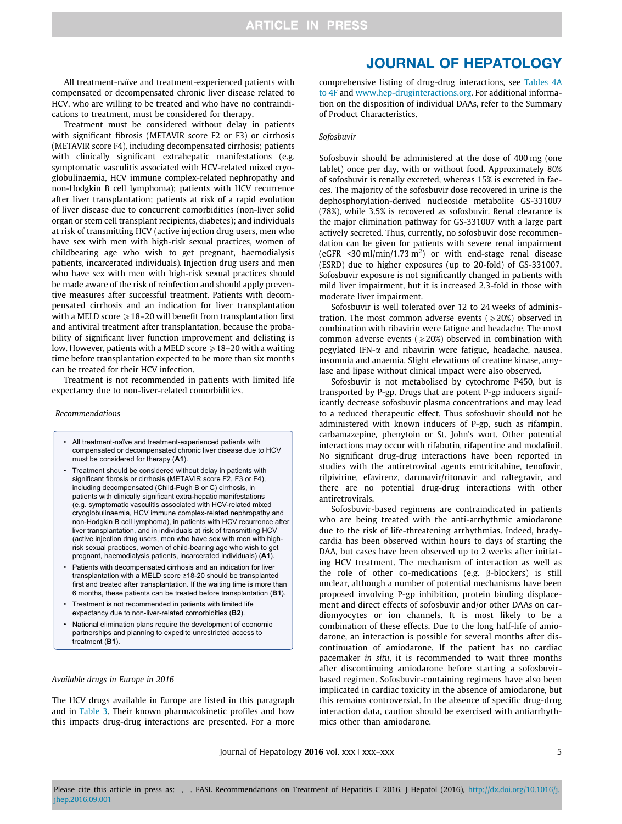All treatment-naïve and treatment-experienced patients with compensated or decompensated chronic liver disease related to HCV, who are willing to be treated and who have no contraindications to treatment, must be considered for therapy.

Treatment must be considered without delay in patients with significant fibrosis (METAVIR score F2 or F3) or cirrhosis (METAVIR score F4), including decompensated cirrhosis; patients with clinically significant extrahepatic manifestations (e.g. symptomatic vasculitis associated with HCV-related mixed cryoglobulinaemia, HCV immune complex-related nephropathy and non-Hodgkin B cell lymphoma); patients with HCV recurrence after liver transplantation; patients at risk of a rapid evolution of liver disease due to concurrent comorbidities (non-liver solid organ or stem cell transplant recipients, diabetes); and individuals at risk of transmitting HCV (active injection drug users, men who have sex with men with high-risk sexual practices, women of childbearing age who wish to get pregnant, haemodialysis patients, incarcerated individuals). Injection drug users and men who have sex with men with high-risk sexual practices should be made aware of the risk of reinfection and should apply preventive measures after successful treatment. Patients with decompensated cirrhosis and an indication for liver transplantation with a MELD score  $\geqslant$  18–20 will benefit from transplantation first and antiviral treatment after transplantation, because the probability of significant liver function improvement and delisting is low. However, patients with a MELD score  $\geqslant$  18–20 with a waiting time before transplantation expected to be more than six months can be treated for their HCV infection.

Treatment is not recommended in patients with limited life expectancy due to non-liver-related comorbidities.

#### Recommendations

- All treatment-naïve and treatment-experienced patients with compensated or decompensated chronic liver disease due to HCV must be considered for therapy (**A1**).
- Treatment should be considered without delay in patients with including decompensated (Child-Pugh B or C) cirrhosis, in (e.g. symptomatic vasculitis associated with HCV-related mixed cryoglobulinaemia, HCV immune complex-related nephropathy and non-Hodgkin B cell lymphoma), in patients with HCV recurrence after liver transplantation, and in individuals at risk of transmitting HCV (active injection drug users, men who have sex with men with highrisk sexual practices, women of child-bearing age who wish to get pregnant, haemodialysis patients, incarcerated individuals) (**A1**). significant fibrosis or cirrhosis (METAVIR score F2, F3 or F4), patients with clinically significant extra-hepatic manifestations
- Patients with decompensated cirrhosis and an indication for liver transplantation with a MELD score ≥18-20 should be transplanted 6 months, these patients can be treated before transplantation (**B1**). first and treated after transplantation. If the waiting time is more than
- Treatment is not recommended in patients with limited life expectancy due to non-liver-related comorbidities (**B2**).
- National elimination plans require the development of economic partnerships and planning to expedite unrestricted access to treatment (**B1**).

#### Available drugs in Europe in 2016

The HCV drugs available in Europe are listed in this paragraph and in [Table 3.](#page-5-0) Their known pharmacokinetic profiles and how this impacts drug-drug interactions are presented. For a more

## JOURNAL OF HEPATOLOGY

comprehensive listing of drug-drug interactions, see [Tables 4A](#page-6-0) [to 4F](#page-6-0) and [www.hep-druginteractions.org.](http://www.hep-druginteractions.org) For additional information on the disposition of individual DAAs, refer to the Summary of Product Characteristics.

#### Sofosbuvir

Sofosbuvir should be administered at the dose of 400 mg (one tablet) once per day, with or without food. Approximately 80% of sofosbuvir is renally excreted, whereas 15% is excreted in faeces. The majority of the sofosbuvir dose recovered in urine is the dephosphorylation-derived nucleoside metabolite GS-331007 (78%), while 3.5% is recovered as sofosbuvir. Renal clearance is the major elimination pathway for GS-331007 with a large part actively secreted. Thus, currently, no sofosbuvir dose recommendation can be given for patients with severe renal impairment (eGFR <30 ml/min/1.73 m<sup>2</sup>) or with end-stage renal disease (ESRD) due to higher exposures (up to 20-fold) of GS-331007. Sofosbuvir exposure is not significantly changed in patients with mild liver impairment, but it is increased 2.3-fold in those with moderate liver impairment.

Sofosbuvir is well tolerated over 12 to 24 weeks of administration. The most common adverse events ( $\geq 20\%$ ) observed in combination with ribavirin were fatigue and headache. The most common adverse events ( $\geq$ 20%) observed in combination with pegylated IFN-a and ribavirin were fatigue, headache, nausea, insomnia and anaemia. Slight elevations of creatine kinase, amylase and lipase without clinical impact were also observed.

Sofosbuvir is not metabolised by cytochrome P450, but is transported by P-gp. Drugs that are potent P-gp inducers significantly decrease sofosbuvir plasma concentrations and may lead to a reduced therapeutic effect. Thus sofosbuvir should not be administered with known inducers of P-gp, such as rifampin, carbamazepine, phenytoin or St. John's wort. Other potential interactions may occur with rifabutin, rifapentine and modafinil. No significant drug-drug interactions have been reported in studies with the antiretroviral agents emtricitabine, tenofovir, rilpivirine, efavirenz, darunavir/ritonavir and raltegravir, and there are no potential drug-drug interactions with other antiretrovirals.

Sofosbuvir-based regimens are contraindicated in patients who are being treated with the anti-arrhythmic amiodarone due to the risk of life-threatening arrhythmias. Indeed, bradycardia has been observed within hours to days of starting the DAA, but cases have been observed up to 2 weeks after initiating HCV treatment. The mechanism of interaction as well as the role of other co-medications (e.g.  $\beta$ -blockers) is still unclear, although a number of potential mechanisms have been proposed involving P-gp inhibition, protein binding displacement and direct effects of sofosbuvir and/or other DAAs on cardiomyocytes or ion channels. It is most likely to be a combination of these effects. Due to the long half-life of amiodarone, an interaction is possible for several months after discontinuation of amiodarone. If the patient has no cardiac pacemaker in situ, it is recommended to wait three months after discontinuing amiodarone before starting a sofosbuvirbased regimen. Sofosbuvir-containing regimens have also been implicated in cardiac toxicity in the absence of amiodarone, but this remains controversial. In the absence of specific drug-drug interaction data, caution should be exercised with antiarrhythmics other than amiodarone.

Journal of Hepatology 2016 vol.  $xxx + xxx$   $\overline{\phantom{xx}}$  5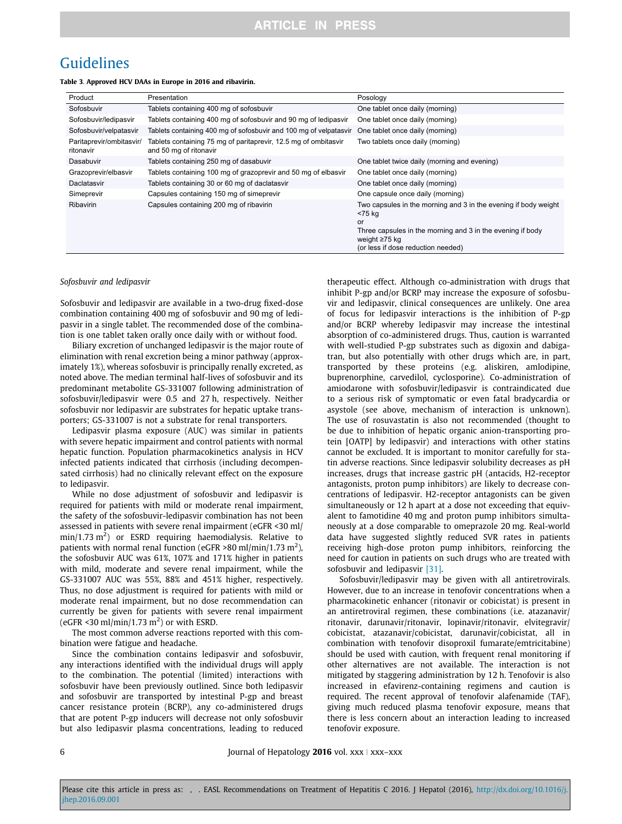#### <span id="page-5-0"></span>Table 3. Approved HCV DAAs in Europe in 2016 and ribavirin.

| Product                               | Presentation                                                                              | Posology                                                                                                                                      |
|---------------------------------------|-------------------------------------------------------------------------------------------|-----------------------------------------------------------------------------------------------------------------------------------------------|
| Sofosbuvir                            | Tablets containing 400 mg of sofosbuvir                                                   | One tablet once daily (morning)                                                                                                               |
| Sofosbuvir/ledipasvir                 | Tablets containing 400 mg of sofosbuvir and 90 mg of ledipasvir                           | One tablet once daily (morning)                                                                                                               |
| Sofosbuvir/velpatasvir                | Tablets containing 400 mg of sofosbuvir and 100 mg of velpatasvir                         | One tablet once daily (morning)                                                                                                               |
| Paritaprevir/ombitasvir/<br>ritonavir | Tablets containing 75 mg of paritaprevir, 12.5 mg of ombitasvir<br>and 50 mg of ritonavir | Two tablets once daily (morning)                                                                                                              |
| Dasabuvir                             | Tablets containing 250 mg of dasabuvir                                                    | One tablet twice daily (morning and evening)                                                                                                  |
| Grazoprevir/elbasvir                  | Tablets containing 100 mg of grazoprevir and 50 mg of elbasvir                            | One tablet once daily (morning)                                                                                                               |
| Daclatasvir                           | Tablets containing 30 or 60 mg of daclatasvir                                             | One tablet once daily (morning)                                                                                                               |
| Simeprevir                            | Capsules containing 150 mg of simeprevir                                                  | One capsule once daily (morning)                                                                                                              |
| <b>Ribavirin</b>                      | Capsules containing 200 mg of ribavirin                                                   | Two capsules in the morning and 3 in the evening if body weight<br><75 kg<br>or<br>Three capsules in the morning and 3 in the evening if body |
|                                       |                                                                                           | weight ≥75 kg<br>(or less if dose reduction needed)                                                                                           |

#### Sofosbuvir and ledipasvir

Sofosbuvir and ledipasvir are available in a two-drug fixed-dose combination containing 400 mg of sofosbuvir and 90 mg of ledipasvir in a single tablet. The recommended dose of the combination is one tablet taken orally once daily with or without food.

Biliary excretion of unchanged ledipasvir is the major route of elimination with renal excretion being a minor pathway (approximately 1%), whereas sofosbuvir is principally renally excreted, as noted above. The median terminal half-lives of sofosbuvir and its predominant metabolite GS-331007 following administration of sofosbuvir/ledipasvir were 0.5 and 27 h, respectively. Neither sofosbuvir nor ledipasvir are substrates for hepatic uptake transporters; GS-331007 is not a substrate for renal transporters.

Ledipasvir plasma exposure (AUC) was similar in patients with severe hepatic impairment and control patients with normal hepatic function. Population pharmacokinetics analysis in HCV infected patients indicated that cirrhosis (including decompensated cirrhosis) had no clinically relevant effect on the exposure to ledipasvir.

While no dose adjustment of sofosbuvir and ledipasvir is required for patients with mild or moderate renal impairment, the safety of the sofosbuvir-ledipasvir combination has not been assessed in patients with severe renal impairment (eGFR <30 ml/  $min/1.73$   $m<sup>2</sup>$ ) or ESRD requiring haemodialysis. Relative to patients with normal renal function (eGFR >80 ml/min/1.73 m<sup>2</sup>), the sofosbuvir AUC was 61%, 107% and 171% higher in patients with mild, moderate and severe renal impairment, while the GS-331007 AUC was 55%, 88% and 451% higher, respectively. Thus, no dose adjustment is required for patients with mild or moderate renal impairment, but no dose recommendation can currently be given for patients with severe renal impairment (eGFR <30 ml/min/1.73 m<sup>2</sup>) or with ESRD.

The most common adverse reactions reported with this combination were fatigue and headache.

Since the combination contains ledipasvir and sofosbuvir, any interactions identified with the individual drugs will apply to the combination. The potential (limited) interactions with sofosbuvir have been previously outlined. Since both ledipasvir and sofosbuvir are transported by intestinal P-gp and breast cancer resistance protein (BCRP), any co-administered drugs that are potent P-gp inducers will decrease not only sofosbuvir but also ledipasvir plasma concentrations, leading to reduced therapeutic effect. Although co-administration with drugs that inhibit P-gp and/or BCRP may increase the exposure of sofosbuvir and ledipasvir, clinical consequences are unlikely. One area of focus for ledipasvir interactions is the inhibition of P-gp and/or BCRP whereby ledipasvir may increase the intestinal absorption of co-administered drugs. Thus, caution is warranted with well-studied P-gp substrates such as digoxin and dabigatran, but also potentially with other drugs which are, in part, transported by these proteins (e.g. aliskiren, amlodipine, buprenorphine, carvedilol, cyclosporine). Co-administration of amiodarone with sofosbuvir/ledipasvir is contraindicated due to a serious risk of symptomatic or even fatal bradycardia or asystole (see above, mechanism of interaction is unknown). The use of rosuvastatin is also not recommended (thought to be due to inhibition of hepatic organic anion-transporting protein [OATP] by ledipasvir) and interactions with other statins cannot be excluded. It is important to monitor carefully for statin adverse reactions. Since ledipasvir solubility decreases as pH increases, drugs that increase gastric pH (antacids, H2-receptor antagonists, proton pump inhibitors) are likely to decrease concentrations of ledipasvir. H2-receptor antagonists can be given simultaneously or 12 h apart at a dose not exceeding that equivalent to famotidine 40 mg and proton pump inhibitors simultaneously at a dose comparable to omeprazole 20 mg. Real-world data have suggested slightly reduced SVR rates in patients receiving high-dose proton pump inhibitors, reinforcing the need for caution in patients on such drugs who are treated with sofosbuvir and ledipasvir [\[31\].](#page-37-0)

Sofosbuvir/ledipasvir may be given with all antiretrovirals. However, due to an increase in tenofovir concentrations when a pharmacokinetic enhancer (ritonavir or cobicistat) is present in an antiretroviral regimen, these combinations (i.e. atazanavir/ ritonavir, darunavir/ritonavir, lopinavir/ritonavir, elvitegravir/ cobicistat, atazanavir/cobicistat, darunavir/cobicistat, all in combination with tenofovir disoproxil fumarate/emtricitabine) should be used with caution, with frequent renal monitoring if other alternatives are not available. The interaction is not mitigated by staggering administration by 12 h. Tenofovir is also increased in efavirenz-containing regimens and caution is required. The recent approval of tenofovir alafenamide (TAF), giving much reduced plasma tenofovir exposure, means that there is less concern about an interaction leading to increased tenofovir exposure.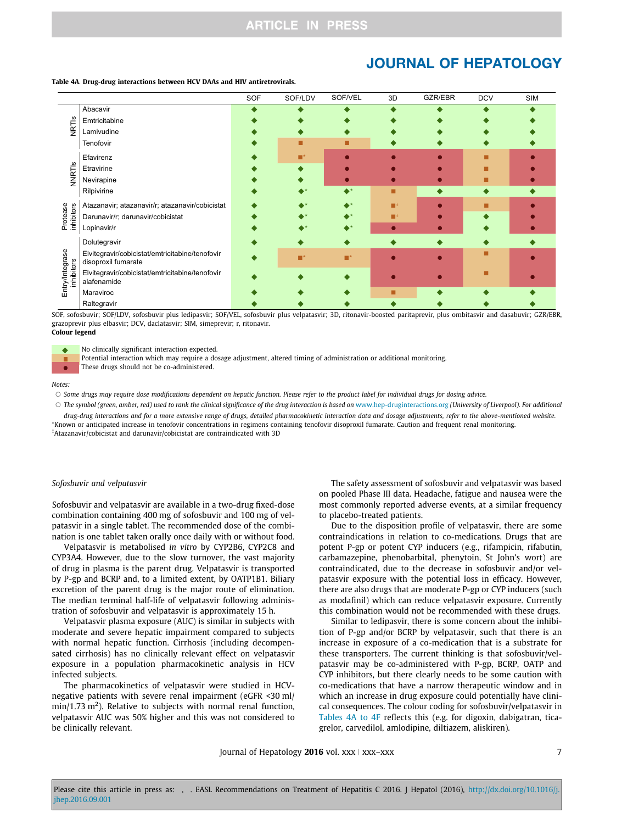# JOURNAL OF HEPATOLOGY

<span id="page-6-0"></span>Table 4A. Drug-drug interactions between HCV DAAs and HIV antiretrovirals.

|                               |                                                                        | SOF | SOF/LDV                | SOF/VEL              | 3D        | GZR/EBR | <b>DCV</b> | <b>SIM</b> |
|-------------------------------|------------------------------------------------------------------------|-----|------------------------|----------------------|-----------|---------|------------|------------|
|                               | Abacavir                                                               |     |                        |                      |           |         |            |            |
| <b>NRTIS</b>                  | Emtricitabine                                                          |     |                        |                      |           |         |            |            |
|                               | Lamivudine                                                             |     |                        |                      |           |         |            |            |
|                               | Tenofovir                                                              |     |                        | ■                    |           |         |            |            |
|                               | Efavirenz                                                              |     | $\blacksquare^{\star}$ |                      |           |         |            |            |
|                               | Etravirine                                                             |     |                        |                      |           |         |            |            |
| NNRTIS                        | Nevirapine                                                             |     |                        |                      |           |         |            |            |
|                               | Rilpivirine                                                            |     |                        | $\spadesuit^{\star}$ | ■         |         |            |            |
|                               | Atazanavir; atazanavir/r; atazanavir/cobicistat                        |     |                        |                      | ■         |         |            |            |
| Protease<br>inhibitors        | Darunavir/r; darunavir/cobicistat                                      |     |                        |                      | ■         |         |            |            |
|                               | Lopinavir/r                                                            |     |                        | $\spadesuit^{\star}$ | $\bullet$ |         |            |            |
|                               | Dolutegravir                                                           |     |                        |                      |           |         |            |            |
|                               | Elvitegravir/cobicistat/emtricitabine/tenofovir<br>disoproxil fumarate |     | $\blacksquare^*$       | $\blacksquare^*$     |           |         |            |            |
| Entry/Integrase<br>inhibitors | Elvitegravir/cobicistat/emtricitabine/tenofovir<br>alafenamide         |     |                        |                      |           |         |            |            |
|                               | Maraviroc                                                              |     |                        |                      |           |         |            |            |
|                               | Raltegravir                                                            |     |                        |                      |           |         |            |            |

SOF, sofosbuvir; SOF/LDV, sofosbuvir plus ledipasvir; SOF/VEL, sofosbuvir plus velpatasvir; 3D, ritonavir-boosted paritaprevir, plus ombitasvir and dasabuvir; GZR/EBR, grazoprevir plus elbasvir; DCV, daclatasvir; SIM, simeprevir; r, ritonavir.

#### Colour legend

No clinically significant interaction expected.

Potential interaction which may require a dosage adjustment, altered timing of administration or additional monitoring.

These drugs should not be co-administered.

#### Notes:

 $\bullet$ 

 $\circ$  Some drugs may require dose modifications dependent on hepatic function. Please refer to the product label for individual drugs for dosing advice.

 $\circ$  The symbol (green, amber, red) used to rank the clinical significance of the drug interaction is based on [www.hep-druginteractions.org](http://www.hep-druginteractions.org) (University of Liverpool). For additional drug-drug interactions and for a more extensive range of drugs, detailed pharmacokinetic interaction data and dosage adjustments, refer to the above-mentioned website. ⁄ Known or anticipated increase in tenofovir concentrations in regimens containing tenofovir disoproxil fumarate. Caution and frequent renal monitoring.

Atazanavir/cobicistat and darunavir/cobicistat are contraindicated with 3D

#### Sofosbuvir and velpatasvir

Sofosbuvir and velpatasvir are available in a two-drug fixed-dose combination containing 400 mg of sofosbuvir and 100 mg of velpatasvir in a single tablet. The recommended dose of the combination is one tablet taken orally once daily with or without food.

Velpatasvir is metabolised in vitro by CYP2B6, CYP2C8 and CYP3A4. However, due to the slow turnover, the vast majority of drug in plasma is the parent drug. Velpatasvir is transported by P-gp and BCRP and, to a limited extent, by OATP1B1. Biliary excretion of the parent drug is the major route of elimination. The median terminal half-life of velpatasvir following administration of sofosbuvir and velpatasvir is approximately 15 h.

Velpatasvir plasma exposure (AUC) is similar in subjects with moderate and severe hepatic impairment compared to subjects with normal hepatic function. Cirrhosis (including decompensated cirrhosis) has no clinically relevant effect on velpatasvir exposure in a population pharmacokinetic analysis in HCV infected subjects.

The pharmacokinetics of velpatasvir were studied in HCVnegative patients with severe renal impairment (eGFR <30 ml/  $min/1.73$  m<sup>2</sup>). Relative to subjects with normal renal function, velpatasvir AUC was 50% higher and this was not considered to be clinically relevant.

The safety assessment of sofosbuvir and velpatasvir was based on pooled Phase III data. Headache, fatigue and nausea were the most commonly reported adverse events, at a similar frequency to placebo-treated patients.

Due to the disposition profile of velpatasvir, there are some contraindications in relation to co-medications. Drugs that are potent P-gp or potent CYP inducers (e.g., rifampicin, rifabutin, carbamazepine, phenobarbital, phenytoin, St John's wort) are contraindicated, due to the decrease in sofosbuvir and/or velpatasvir exposure with the potential loss in efficacy. However, there are also drugs that are moderate P-gp or CYP inducers (such as modafinil) which can reduce velpatasvir exposure. Currently this combination would not be recommended with these drugs.

Similar to ledipasvir, there is some concern about the inhibition of P-gp and/or BCRP by velpatasvir, such that there is an increase in exposure of a co-medication that is a substrate for these transporters. The current thinking is that sofosbuvir/velpatasvir may be co-administered with P-gp, BCRP, OATP and CYP inhibitors, but there clearly needs to be some caution with co-medications that have a narrow therapeutic window and in which an increase in drug exposure could potentially have clinical consequences. The colour coding for sofosbuvir/velpatasvir in Tables 4A to 4F reflects this (e.g. for digoxin, dabigatran, ticagrelor, carvedilol, amlodipine, diltiazem, aliskiren).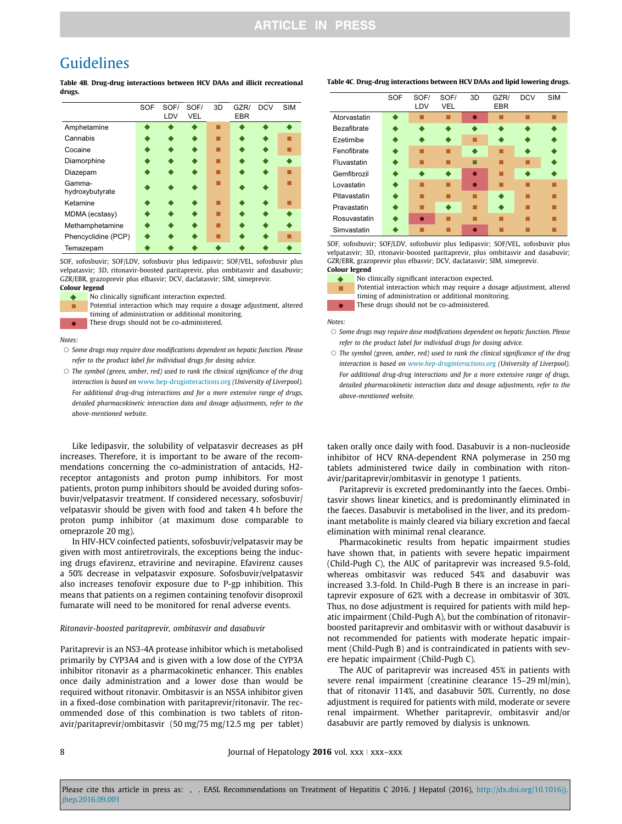## Guidelines

Table 4B. Drug-drug interactions between HCV DAAs and illicit recreational drugs.

|                           | <b>SOF</b> | SOF/<br>LDV | SOF/<br><b>VEL</b> | 3D | GZR/<br><b>EBR</b> | <b>DCV</b> | <b>SIM</b> |
|---------------------------|------------|-------------|--------------------|----|--------------------|------------|------------|
| Amphetamine               |            |             |                    |    |                    |            |            |
| Cannabis                  |            |             |                    |    |                    |            |            |
| Cocaine                   |            |             |                    |    |                    |            |            |
| Diamorphine               |            |             |                    |    |                    |            |            |
| Diazepam                  |            |             |                    |    |                    |            |            |
| Gamma-<br>hydroxybutyrate |            |             |                    |    |                    |            |            |
| Ketamine                  |            |             |                    |    |                    |            |            |
| MDMA (ecstasy)            |            |             |                    |    |                    |            |            |
| Methamphetamine           |            |             |                    |    |                    |            |            |
| Phencyclidine (PCP)       |            |             |                    |    |                    |            |            |
| Temazepam                 |            |             |                    |    |                    |            |            |

SOF, sofosbuvir; SOF/LDV, sofosbuvir plus ledipasvir; SOF/VEL, sofosbuvir plus velpatasvir; 3D, ritonavir-boosted paritaprevir, plus ombitasvir and dasabuvir; GZR/EBR, grazoprevir plus elbasvir; DCV, daclatasvir; SIM, simeprevir. Colour legend

No clinically significant interaction expected.  $\blacktriangle$ 

Potential interaction which may require a dosage adjustment, altered timing of administration or additional monitoring. These drugs should not be co-administered.

Notes:

- $\circ$  Some drugs may require dose modifications dependent on hepatic function. Please refer to the product label for individual drugs for dosing advice.
- $\circ$  The symbol (green, amber, red) used to rank the clinical significance of the drug interaction is based on [www.hep-druginteractions.org](http://www.hep-druginteractions.org) (University of Liverpool). For additional drug-drug interactions and for a more extensive range of drugs, detailed pharmacokinetic interaction data and dosage adjustments, refer to the above-mentioned website.

Like ledipasvir, the solubility of velpatasvir decreases as pH increases. Therefore, it is important to be aware of the recommendations concerning the co-administration of antacids, H2 receptor antagonists and proton pump inhibitors. For most patients, proton pump inhibitors should be avoided during sofosbuvir/velpatasvir treatment. If considered necessary, sofosbuvir/ velpatasvir should be given with food and taken 4 h before the proton pump inhibitor (at maximum dose comparable to omeprazole 20 mg).

In HIV-HCV coinfected patients, sofosbuvir/velpatasvir may be given with most antiretrovirals, the exceptions being the inducing drugs efavirenz, etravirine and nevirapine. Efavirenz causes a 50% decrease in velpatasvir exposure. Sofosbuvir/velpatasvir also increases tenofovir exposure due to P-gp inhibition. This means that patients on a regimen containing tenofovir disoproxil fumarate will need to be monitored for renal adverse events.

#### Ritonavir-boosted paritaprevir, ombitasvir and dasabuvir

Paritaprevir is an NS3-4A protease inhibitor which is metabolised primarily by CYP3A4 and is given with a low dose of the CYP3A inhibitor ritonavir as a pharmacokinetic enhancer. This enables once daily administration and a lower dose than would be required without ritonavir. Ombitasvir is an NS5A inhibitor given in a fixed-dose combination with paritaprevir/ritonavir. The recommended dose of this combination is two tablets of ritonavir/paritaprevir/ombitasvir (50 mg/75 mg/12.5 mg per tablet)

#### Table 4C. Drug-drug interactions between HCV DAAs and lipid lowering drugs.

|              | SOF | SOF/<br>LDV | SOF/<br><b>VEL</b> | 3D | GZR/<br><b>EBR</b> | <b>DCV</b> | <b>SIM</b> |
|--------------|-----|-------------|--------------------|----|--------------------|------------|------------|
| Atorvastatin |     |             |                    |    |                    |            |            |
| Bezafibrate  |     |             |                    |    |                    |            |            |
| Ezetimibe    |     |             |                    |    |                    |            |            |
| Fenofibrate  |     |             |                    |    |                    |            |            |
| Fluvastatin  |     |             |                    |    |                    |            |            |
| Gemfibrozil  |     |             |                    |    |                    |            |            |
| Lovastatin   |     |             |                    |    |                    |            |            |
| Pitavastatin |     |             |                    |    |                    |            |            |
| Pravastatin  |     |             |                    |    |                    |            |            |
| Rosuvastatin |     |             |                    |    |                    |            |            |
| Simvastatin  |     |             |                    |    |                    |            |            |

SOF, sofosbuvir; SOF/LDV, sofosbuvir plus ledipasvir; SOF/VEL, sofosbuvir plus velpatasvir; 3D, ritonavir-boosted paritaprevir, plus ombitasvir and dasabuvir; GZR/EBR, grazoprevir plus elbasvir; DCV, daclatasvir; SIM, simeprevir. Colour legend

No clinically significant interaction expected. Potential interaction which may require a dosage adjustment, altered timing of administration or additional monitoring.

These drugs should not be co-administered.

#### Notes:

- $\circ$  Some drugs may require dose modifications dependent on hepatic function. Please refer to the product label for individual drugs for dosing advice.
- $\circ$  The symbol (green, amber, red) used to rank the clinical significance of the drug interaction is based on [www.hep-druginteractions.org](http://www.hep-druginteractions.org) (University of Liverpool). For additional drug-drug interactions and for a more extensive range of drugs, detailed pharmacokinetic interaction data and dosage adjustments, refer to the above-mentioned website.

taken orally once daily with food. Dasabuvir is a non-nucleoside inhibitor of HCV RNA-dependent RNA polymerase in 250 mg tablets administered twice daily in combination with ritonavir/paritaprevir/ombitasvir in genotype 1 patients.

Paritaprevir is excreted predominantly into the faeces. Ombitasvir shows linear kinetics, and is predominantly eliminated in the faeces. Dasabuvir is metabolised in the liver, and its predominant metabolite is mainly cleared via biliary excretion and faecal elimination with minimal renal clearance.

Pharmacokinetic results from hepatic impairment studies have shown that, in patients with severe hepatic impairment (Child-Pugh C), the AUC of paritaprevir was increased 9.5-fold, whereas ombitasvir was reduced 54% and dasabuvir was increased 3.3-fold. In Child-Pugh B there is an increase in paritaprevir exposure of 62% with a decrease in ombitasvir of 30%. Thus, no dose adjustment is required for patients with mild hepatic impairment (Child-Pugh A), but the combination of ritonavirboosted paritaprevir and ombitasvir with or without dasabuvir is not recommended for patients with moderate hepatic impairment (Child-Pugh B) and is contraindicated in patients with severe hepatic impairment (Child-Pugh C).

The AUC of paritaprevir was increased 45% in patients with severe renal impairment (creatinine clearance 15–29 ml/min), that of ritonavir 114%, and dasabuvir 50%. Currently, no dose adjustment is required for patients with mild, moderate or severe renal impairment. Whether paritaprevir, ombitasvir and/or dasabuvir are partly removed by dialysis is unknown.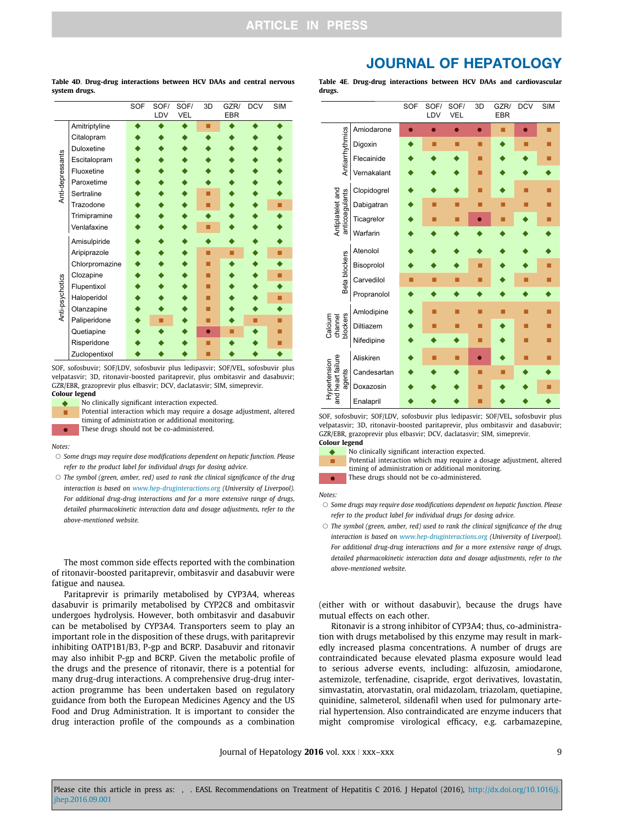|                  |                | SOF | SOF/<br>LDV | SOF/<br>VEL | 3D | GZR/<br><b>EBR</b> | <b>DCV</b> | <b>SIM</b> |
|------------------|----------------|-----|-------------|-------------|----|--------------------|------------|------------|
|                  | Amitriptyline  |     |             |             |    |                    |            |            |
|                  | Citalopram     |     |             |             |    |                    |            |            |
|                  | Duloxetine     |     |             |             |    |                    |            |            |
|                  | Escitalopram   |     |             |             |    |                    |            |            |
| Anti-depressants | Fluoxetine     |     |             |             |    |                    |            |            |
|                  | Paroxetime     |     |             |             |    |                    |            |            |
|                  | Sertraline     |     |             |             |    |                    |            |            |
|                  | Trazodone      |     |             |             |    |                    |            |            |
|                  | Trimipramine   |     |             |             |    |                    |            |            |
|                  | Venlafaxine    |     |             |             |    |                    |            |            |
|                  | Amisulpiride   |     |             |             |    |                    |            |            |
|                  | Aripiprazole   |     |             |             |    |                    |            |            |
|                  | Chlorpromazine |     |             |             |    |                    |            |            |
|                  | Clozapine      |     |             |             |    |                    |            |            |
| Anti-psychotics  | Flupentixol    |     |             |             |    |                    |            |            |
|                  | Haloperidol    |     |             |             |    |                    |            |            |
|                  | Olanzapine     |     |             |             |    |                    |            |            |
|                  | Paliperidone   |     |             |             |    |                    |            |            |
|                  | Quetiapine     |     |             |             |    |                    |            |            |
|                  | Risperidone    |     |             |             |    |                    |            |            |
|                  | Zuclopentixol  |     |             |             |    |                    |            |            |

Table 4D. Drug-drug interactions between HCV DAAs and central nervous system drugs.

SOF, sofosbuvir; SOF/LDV, sofosbuvir plus ledipasvir; SOF/VEL, sofosbuvir plus velpatasvir; 3D, ritonavir-boosted paritaprevir, plus ombitasvir and dasabuvir; GZR/EBR, grazoprevir plus elbasvir; DCV, daclatasvir; SIM, simeprevir. Colour legend



No clinically significant interaction expected. Potential interaction which may require a dosage adjustment, altered timing of administration or additional monitoring. These drugs should not be co-administered.

Notes:

- $\circ$  Some drugs may require dose modifications dependent on hepatic function. Please refer to the product label for individual drugs for dosing advice.
- $\circ$  The symbol (green, amber, red) used to rank the clinical significance of the drug interaction is based on [www.hep-druginteractions.org](http://www.hep-druginteractions.org) (University of Liverpool). For additional drug-drug interactions and for a more extensive range of drugs, detailed pharmacokinetic interaction data and dosage adjustments, refer to the above-mentioned website.

The most common side effects reported with the combination of ritonavir-boosted paritaprevir, ombitasvir and dasabuvir were fatigue and nausea.

Paritaprevir is primarily metabolised by CYP3A4, whereas dasabuvir is primarily metabolised by CYP2C8 and ombitasvir undergoes hydrolysis. However, both ombitasvir and dasabuvir can be metabolised by CYP3A4. Transporters seem to play an important role in the disposition of these drugs, with paritaprevir inhibiting OATP1B1/B3, P-gp and BCRP. Dasabuvir and ritonavir may also inhibit P-gp and BCRP. Given the metabolic profile of the drugs and the presence of ritonavir, there is a potential for many drug-drug interactions. A comprehensive drug-drug interaction programme has been undertaken based on regulatory guidance from both the European Medicines Agency and the US Food and Drug Administration. It is important to consider the drug interaction profile of the compounds as a combination

## JOURNAL OF HEPATOLOGY

Table 4E. Drug-drug interactions between HCV DAAs and cardiovascular drugs.

|                                             |             | SOF | SOF/<br>LDV | SOF/<br>VEL | 3D        | GZR/<br><b>EBR</b> | <b>DCV</b> | <b>SIM</b> |
|---------------------------------------------|-------------|-----|-------------|-------------|-----------|--------------------|------------|------------|
|                                             | Amiodarone  |     |             |             | $\bullet$ | ■                  |            | ■          |
|                                             | Digoxin     |     | ■           |             |           |                    |            |            |
| Antiarrhythmics                             | Flecainide  |     |             |             |           |                    |            |            |
|                                             | Vernakalant |     |             |             |           |                    |            |            |
|                                             | Clopidogrel |     |             |             |           |                    |            |            |
|                                             | Dabigatran  |     |             |             |           |                    |            |            |
| Antiplatelet and<br>anticoagulants          | Ticagrelor  |     |             |             |           |                    |            |            |
|                                             | Warfarin    |     |             |             |           |                    |            |            |
| Beta blockers                               | Atenolol    |     |             |             |           |                    |            |            |
|                                             | Bisoprolol  |     |             |             |           |                    |            |            |
|                                             | Carvedilol  |     |             |             |           |                    |            |            |
|                                             | Propranolol |     |             |             |           |                    |            |            |
|                                             | Amlodipine  |     |             |             |           |                    |            |            |
| blockers<br>Calcium<br>channel              | Diltiazem   |     |             |             |           |                    |            |            |
|                                             | Nifedipine  |     |             |             |           |                    |            |            |
|                                             | Aliskiren   |     |             |             |           |                    |            |            |
|                                             | Candesartan |     |             |             |           |                    |            |            |
| and heart failure<br>Hypertension<br>agents | Doxazosin   |     |             |             |           |                    |            |            |
|                                             | Enalapril   |     |             |             |           |                    |            |            |

SOF, sofosbuvir; SOF/LDV, sofosbuvir plus ledipasvir; SOF/VEL, sofosbuvir plus velpatasvir; 3D, ritonavir-boosted paritaprevir, plus ombitasvir and dasabuvir; GZR/EBR, grazoprevir plus elbasvir; DCV, daclatasvir; SIM, simeprevir. Colour legend



- No clinically significant interaction expected.
- Potential interaction which may require a dosage adjustment, altered

timing of administration or additional monitoring. These drugs should not be co-administered.

 $\bullet$ Notes:

- $\circ$  Some drugs may require dose modifications dependent on hepatic function. Please refer to the product label for individual drugs for dosing advice.
- $\circ$  The symbol (green, amber, red) used to rank the clinical significance of the drug interaction is based on [www.hep-druginteractions.org](http://www.hep-druginteractions.org) (University of Liverpool). For additional drug-drug interactions and for a more extensive range of drugs, detailed pharmacokinetic interaction data and dosage adjustments, refer to the above-mentioned website.

(either with or without dasabuvir), because the drugs have mutual effects on each other.

Ritonavir is a strong inhibitor of CYP3A4; thus, co-administration with drugs metabolised by this enzyme may result in markedly increased plasma concentrations. A number of drugs are contraindicated because elevated plasma exposure would lead to serious adverse events, including: alfuzosin, amiodarone, astemizole, terfenadine, cisapride, ergot derivatives, lovastatin, simvastatin, atorvastatin, oral midazolam, triazolam, quetiapine, quinidine, salmeterol, sildenafil when used for pulmonary arterial hypertension. Also contraindicated are enzyme inducers that might compromise virological efficacy, e.g. carbamazepine,

Journal of Hepatology 2016 vol.  $xxx + xxx$   $\rightarrow$  9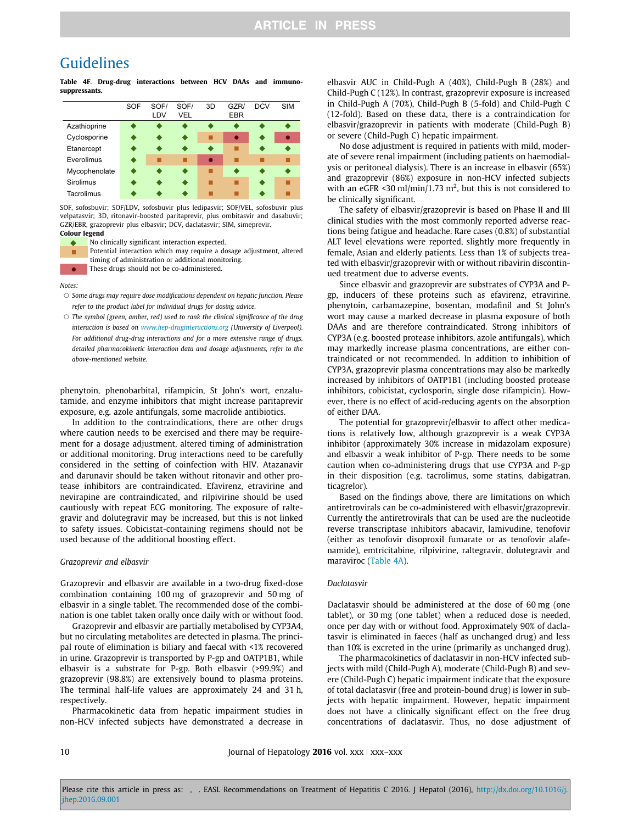Table 4F. Drug-drug interactions between HCV DAAs and immunosuppressants.

|               | SOF | SOF/ | SOF/ | 3D | GZR/       | <b>DCV</b> | <b>SIM</b> |
|---------------|-----|------|------|----|------------|------------|------------|
|               |     | LDV  | VEL  |    | <b>EBR</b> |            |            |
| Azathioprine  |     |      |      |    |            |            |            |
| Cyclosporine  |     |      |      |    |            |            |            |
| Etanercept    |     |      |      |    |            |            |            |
| Everolimus    |     |      |      |    |            |            |            |
| Mycophenolate |     |      |      |    |            |            |            |
| Sirolimus     |     |      |      |    |            |            |            |
| Tacrolimus    |     |      |      |    |            |            |            |

SOF, sofosbuvir; SOF/LDV, sofosbuvir plus ledipasvir; SOF/VEL, sofosbuvir plus velpatasvir; 3D, ritonavir-boosted paritaprevir, plus ombitasvir and dasabuvir; GZR/EBR, grazoprevir plus elbasvir; DCV, daclatasvir; SIM, simeprevir. Colour legend

No clinically significant interaction expected.  $\blacktriangle$ 

- 
- Potential interaction which may require a dosage adjustment, altered timing of administration or additional monitoring.
- These drugs should not be co-administered.

#### Notes:

- $\circ$  Some drugs may require dose modifications dependent on hepatic function. Please refer to the product label for individual drugs for dosing advice.
- $\circ$  The symbol (green, amber, red) used to rank the clinical significance of the drug interaction is based on [www.hep-druginteractions.org](http://www.hep-druginteractions.org) (University of Liverpool). For additional drug-drug interactions and for a more extensive range of drugs, detailed pharmacokinetic interaction data and dosage adjustments, refer to the above-mentioned website.

phenytoin, phenobarbital, rifampicin, St John's wort, enzalutamide, and enzyme inhibitors that might increase paritaprevir exposure, e.g. azole antifungals, some macrolide antibiotics.

In addition to the contraindications, there are other drugs where caution needs to be exercised and there may be requirement for a dosage adjustment, altered timing of administration or additional monitoring. Drug interactions need to be carefully considered in the setting of coinfection with HIV. Atazanavir and darunavir should be taken without ritonavir and other protease inhibitors are contraindicated. Efavirenz, etravirine and nevirapine are contraindicated, and rilpivirine should be used cautiously with repeat ECG monitoring. The exposure of raltegravir and dolutegravir may be increased, but this is not linked to safety issues. Cobicistat-containing regimens should not be used because of the additional boosting effect.

#### Grazoprevir and elbasvir

Grazoprevir and elbasvir are available in a two-drug fixed-dose combination containing 100 mg of grazoprevir and 50 mg of elbasvir in a single tablet. The recommended dose of the combination is one tablet taken orally once daily with or without food.

Grazoprevir and elbasvir are partially metabolised by CYP3A4, but no circulating metabolites are detected in plasma. The principal route of elimination is biliary and faecal with <1% recovered in urine. Grazoprevir is transported by P-gp and OATP1B1, while elbasvir is a substrate for P-gp. Both elbasvir (>99.9%) and grazoprevir (98.8%) are extensively bound to plasma proteins. The terminal half-life values are approximately 24 and 31 h, respectively.

Pharmacokinetic data from hepatic impairment studies in non-HCV infected subjects have demonstrated a decrease in elbasvir AUC in Child-Pugh A (40%), Child-Pugh B (28%) and Child-Pugh C (12%). In contrast, grazoprevir exposure is increased in Child-Pugh A (70%), Child-Pugh B (5-fold) and Child-Pugh C (12-fold). Based on these data, there is a contraindication for elbasvir/grazoprevir in patients with moderate (Child-Pugh B) or severe (Child-Pugh C) hepatic impairment.

No dose adjustment is required in patients with mild, moderate of severe renal impairment (including patients on haemodialysis or peritoneal dialysis). There is an increase in elbasvir (65%) and grazoprevir (86%) exposure in non-HCV infected subjects with an eGFR <30 ml/min/1.73 m<sup>2</sup>, but this is not considered to be clinically significant.

The safety of elbasvir/grazoprevir is based on Phase II and III clinical studies with the most commonly reported adverse reactions being fatigue and headache. Rare cases (0.8%) of substantial ALT level elevations were reported, slightly more frequently in female, Asian and elderly patients. Less than 1% of subjects treated with elbasvir/grazoprevir with or without ribavirin discontinued treatment due to adverse events.

Since elbasvir and grazoprevir are substrates of CYP3A and Pgp, inducers of these proteins such as efavirenz, etravirine, phenytoin, carbamazepine, bosentan, modafinil and St John's wort may cause a marked decrease in plasma exposure of both DAAs and are therefore contraindicated. Strong inhibitors of CYP3A (e.g. boosted protease inhibitors, azole antifungals), which may markedly increase plasma concentrations, are either contraindicated or not recommended. In addition to inhibition of CYP3A, grazoprevir plasma concentrations may also be markedly increased by inhibitors of OATP1B1 (including boosted protease inhibitors, cobicistat, cyclosporin, single dose rifampicin). However, there is no effect of acid-reducing agents on the absorption of either DAA.

The potential for grazoprevir/elbasvir to affect other medications is relatively low, although grazoprevir is a weak CYP3A inhibitor (approximately 30% increase in midazolam exposure) and elbasvir a weak inhibitor of P-gp. There needs to be some caution when co-administering drugs that use CYP3A and P-gp in their disposition (e.g. tacrolimus, some statins, dabigatran, ticagrelor).

Based on the findings above, there are limitations on which antiretrovirals can be co-administered with elbasvir/grazoprevir. Currently the antiretrovirals that can be used are the nucleotide reverse transcriptase inhibitors abacavir, lamivudine, tenofovir (either as tenofovir disoproxil fumarate or as tenofovir alafenamide), emtricitabine, rilpivirine, raltegravir, dolutegravir and maraviroc ([Table 4A](#page-6-0)).

#### Daclatasvir

Daclatasvir should be administered at the dose of 60 mg (one tablet), or 30 mg (one tablet) when a reduced dose is needed, once per day with or without food. Approximately 90% of daclatasvir is eliminated in faeces (half as unchanged drug) and less than 10% is excreted in the urine (primarily as unchanged drug).

The pharmacokinetics of daclatasvir in non-HCV infected subjects with mild (Child-Pugh A), moderate (Child-Pugh B) and severe (Child-Pugh C) hepatic impairment indicate that the exposure of total daclatasvir (free and protein-bound drug) is lower in subjects with hepatic impairment. However, hepatic impairment does not have a clinically significant effect on the free drug concentrations of daclatasvir. Thus, no dose adjustment of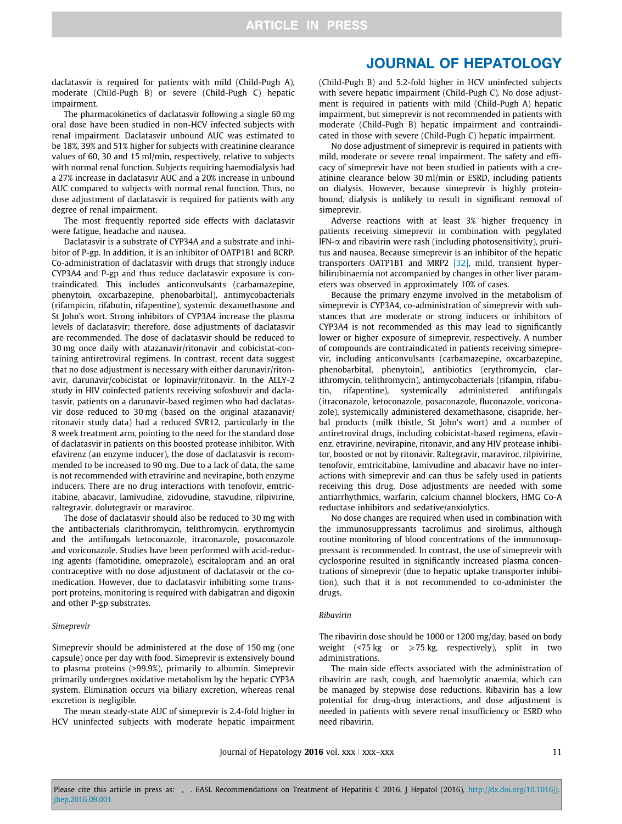daclatasvir is required for patients with mild (Child-Pugh A), moderate (Child-Pugh B) or severe (Child-Pugh C) hepatic impairment.

The pharmacokinetics of daclatasvir following a single 60 mg oral dose have been studied in non-HCV infected subjects with renal impairment. Daclatasvir unbound AUC was estimated to be 18%, 39% and 51% higher for subjects with creatinine clearance values of 60, 30 and 15 ml/min, respectively, relative to subjects with normal renal function. Subjects requiring haemodialysis had a 27% increase in daclatasvir AUC and a 20% increase in unbound AUC compared to subjects with normal renal function. Thus, no dose adjustment of daclatasvir is required for patients with any degree of renal impairment.

The most frequently reported side effects with daclatasvir were fatigue, headache and nausea.

Daclatasvir is a substrate of CYP34A and a substrate and inhibitor of P-gp. In addition, it is an inhibitor of OATP1B1 and BCRP. Co-administration of daclatasvir with drugs that strongly induce CYP3A4 and P-gp and thus reduce daclatasvir exposure is contraindicated. This includes anticonvulsants (carbamazepine, phenytoin, oxcarbazepine, phenobarbital), antimycobacterials (rifampicin, rifabutin, rifapentine), systemic dexamethasone and St John's wort. Strong inhibitors of CYP3A4 increase the plasma levels of daclatasvir; therefore, dose adjustments of daclatasvir are recommended. The dose of daclatasvir should be reduced to 30 mg once daily with atazanavir/ritonavir and cobicistat-containing antiretroviral regimens. In contrast, recent data suggest that no dose adjustment is necessary with either darunavir/ritonavir, darunavir/cobicistat or lopinavir/ritonavir. In the ALLY-2 study in HIV coinfected patients receiving sofosbuvir and daclatasvir, patients on a darunavir-based regimen who had daclatasvir dose reduced to 30 mg (based on the original atazanavir/ ritonavir study data) had a reduced SVR12, particularly in the 8 week treatment arm, pointing to the need for the standard dose of daclatasvir in patients on this boosted protease inhibitor. With efavirenz (an enzyme inducer), the dose of daclatasvir is recommended to be increased to 90 mg. Due to a lack of data, the same is not recommended with etravirine and nevirapine, both enzyme inducers. There are no drug interactions with tenofovir, emtricitabine, abacavir, lamivudine, zidovudine, stavudine, rilpivirine, raltegravir, dolutegravir or maraviroc.

The dose of daclatasvir should also be reduced to 30 mg with the antibacterials clarithromycin, telithromycin, erythromycin and the antifungals ketoconazole, itraconazole, posaconazole and voriconazole. Studies have been performed with acid-reducing agents (famotidine, omeprazole), escitalopram and an oral contraceptive with no dose adjustment of daclatasvir or the comedication. However, due to daclatasvir inhibiting some transport proteins, monitoring is required with dabigatran and digoxin and other P-gp substrates.

#### Simeprevir

Simeprevir should be administered at the dose of 150 mg (one capsule) once per day with food. Simeprevir is extensively bound to plasma proteins (>99.9%), primarily to albumin. Simeprevir primarily undergoes oxidative metabolism by the hepatic CYP3A system. Elimination occurs via biliary excretion, whereas renal excretion is negligible.

The mean steady-state AUC of simeprevir is 2.4-fold higher in HCV uninfected subjects with moderate hepatic impairment

## JOURNAL OF HEPATOLOGY

(Child-Pugh B) and 5.2-fold higher in HCV uninfected subjects with severe hepatic impairment (Child-Pugh C). No dose adjustment is required in patients with mild (Child-Pugh A) hepatic impairment, but simeprevir is not recommended in patients with moderate (Child-Pugh B) hepatic impairment and contraindicated in those with severe (Child-Pugh C) hepatic impairment.

No dose adjustment of simeprevir is required in patients with mild, moderate or severe renal impairment. The safety and efficacy of simeprevir have not been studied in patients with a creatinine clearance below 30 ml/min or ESRD, including patients on dialysis. However, because simeprevir is highly proteinbound, dialysis is unlikely to result in significant removal of simeprevir.

Adverse reactions with at least 3% higher frequency in patients receiving simeprevir in combination with pegylated IFN- $\alpha$  and ribavirin were rash (including photosensitivity), pruritus and nausea. Because simeprevir is an inhibitor of the hepatic transporters OATP1B1 and MRP2 [\[32\]](#page-37-0), mild, transient hyperbilirubinaemia not accompanied by changes in other liver parameters was observed in approximately 10% of cases.

Because the primary enzyme involved in the metabolism of simeprevir is CYP3A4, co-administration of simeprevir with substances that are moderate or strong inducers or inhibitors of CYP3A4 is not recommended as this may lead to significantly lower or higher exposure of simeprevir, respectively. A number of compounds are contraindicated in patients receiving simeprevir, including anticonvulsants (carbamazepine, oxcarbazepine, phenobarbital, phenytoin), antibiotics (erythromycin, clarithromycin, telithromycin), antimycobacterials (rifampin, rifabutin, rifapentine), systemically administered antifungals (itraconazole, ketoconazole, posaconazole, fluconazole, voriconazole), systemically administered dexamethasone, cisapride, herbal products (milk thistle, St John's wort) and a number of antiretroviral drugs, including cobicistat-based regimens, efavirenz, etravirine, nevirapine, ritonavir, and any HIV protease inhibitor, boosted or not by ritonavir. Raltegravir, maraviroc, rilpivirine, tenofovir, emtricitabine, lamivudine and abacavir have no interactions with simeprevir and can thus be safely used in patients receiving this drug. Dose adjustments are needed with some antiarrhythmics, warfarin, calcium channel blockers, HMG Co-A reductase inhibitors and sedative/anxiolytics.

No dose changes are required when used in combination with the immunosuppressants tacrolimus and sirolimus, although routine monitoring of blood concentrations of the immunosuppressant is recommended. In contrast, the use of simeprevir with cyclosporine resulted in significantly increased plasma concentrations of simeprevir (due to hepatic uptake transporter inhibition), such that it is not recommended to co-administer the drugs.

#### Ribavirin

The ribavirin dose should be 1000 or 1200 mg/day, based on body weight (<75 kg or  $\geq$  75 kg, respectively), split in two administrations.

The main side effects associated with the administration of ribavirin are rash, cough, and haemolytic anaemia, which can be managed by stepwise dose reductions. Ribavirin has a low potential for drug-drug interactions, and dose adjustment is needed in patients with severe renal insufficiency or ESRD who need ribavirin.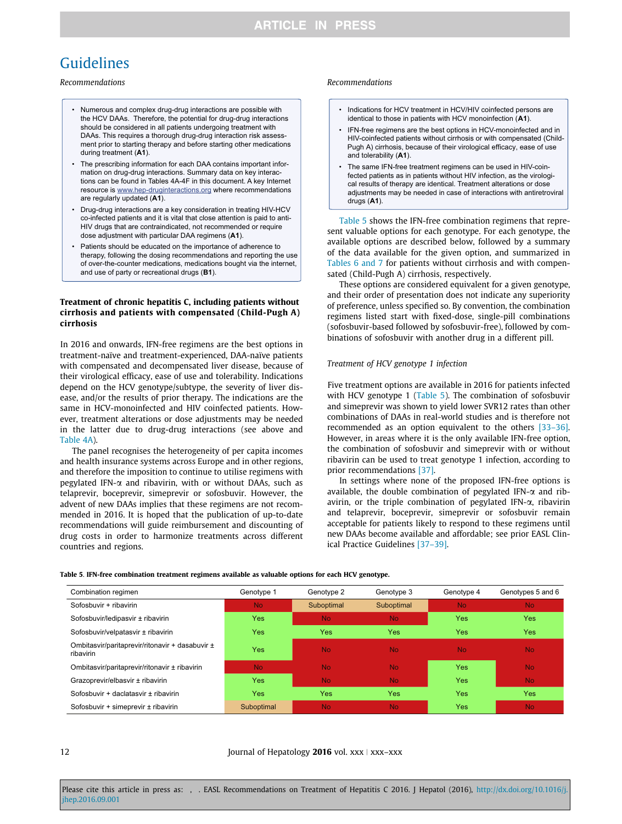# <span id="page-11-0"></span>Guidelines

#### Recommendations

- Numerous and complex drug-drug interactions are possible with the HCV DAAs. Therefore, the potential for drug-drug interactions should be considered in all patients undergoing treatment with DAAs. This requires a thorough drug-drug interaction risk assessment prior to starting therapy and before starting other medications during treatment (**A1**).
- The prescribing information for each DAA contains important information on drug-drug interactions. Summary data on key interactions can be found in Tables 4A-4F in this document. A key Internet resource is www.hep-druginteractions.org where recommendations are regularly updated (**A1**).
- Drug-drug interactions are a key consideration in treating HIV-HCV co-infected patients and it is vital that close attention is paid to anti-HIV drugs that are contraindicated, not recommended or require dose adjustment with particular DAA regimens (**A1**).
- Patients should be educated on the importance of adherence to therapy, following the dosing recommendations and reporting the use of over-the-counter medications, medications bought via the internet, and use of party or recreational drugs (**B1**).

#### Treatment of chronic hepatitis C, including patients without cirrhosis and patients with compensated (Child-Pugh A) cirrhosis

In 2016 and onwards, IFN-free regimens are the best options in treatment-naïve and treatment-experienced, DAA-naïve patients with compensated and decompensated liver disease, because of their virological efficacy, ease of use and tolerability. Indications depend on the HCV genotype/subtype, the severity of liver disease, and/or the results of prior therapy. The indications are the same in HCV-monoinfected and HIV coinfected patients. However, treatment alterations or dose adjustments may be needed in the latter due to drug-drug interactions (see above and [Table 4A](#page-6-0)).

The panel recognises the heterogeneity of per capita incomes and health insurance systems across Europe and in other regions, and therefore the imposition to continue to utilise regimens with  $pegylated IFN-\alpha$  and ribavirin, with or without DAAs, such as telaprevir, boceprevir, simeprevir or sofosbuvir. However, the advent of new DAAs implies that these regimens are not recommended in 2016. It is hoped that the publication of up-to-date recommendations will guide reimbursement and discounting of drug costs in order to harmonize treatments across different countries and regions.

#### Recommendations

- Indications for HCV treatment in HCV/HIV coinfected persons are identical to those in patients with HCV monoinfection (**A1**).
- IFN-free regimens are the best options in HCV-monoinfected and in HIV-coinfected patients without cirrhosis or with compensated (Childand tolerability (**A1**). Pugh A) cirrhosis, because of their virological efficacy, ease of use
- The same IFN-free treatment regimens can be used in HIV-coinfected patients as in patients without HIV infection, as the virological results of therapy are identical. Treatment alterations or dose adjustments may be needed in case of interactions with antiretroviral drugs (**A1**).

Table 5 shows the IFN-free combination regimens that represent valuable options for each genotype. For each genotype, the available options are described below, followed by a summary of the data available for the given option, and summarized in [Tables 6 and 7](#page-13-0) for patients without cirrhosis and with compensated (Child-Pugh A) cirrhosis, respectively.

These options are considered equivalent for a given genotype, and their order of presentation does not indicate any superiority of preference, unless specified so. By convention, the combination regimens listed start with fixed-dose, single-pill combinations (sofosbuvir-based followed by sofosbuvir-free), followed by combinations of sofosbuvir with another drug in a different pill.

#### Treatment of HCV genotype 1 infection

Five treatment options are available in 2016 for patients infected with HCV genotype 1 (Table 5). The combination of sofosbuvir and simeprevir was shown to yield lower SVR12 rates than other combinations of DAAs in real-world studies and is therefore not recommended as an option equivalent to the others [\[33–36\]](#page-37-0). However, in areas where it is the only available IFN-free option, the combination of sofosbuvir and simeprevir with or without ribavirin can be used to treat genotype 1 infection, according to prior recommendations [\[37\].](#page-37-0)

In settings where none of the proposed IFN-free options is available, the double combination of pegylated IFN- $\alpha$  and ribavirin, or the triple combination of pegylated IFN- $\alpha$ , ribavirin and telaprevir, boceprevir, simeprevir or sofosbuvir remain acceptable for patients likely to respond to these regimens until new DAAs become available and affordable; see prior EASL Clinical Practice Guidelines [\[37–39\].](#page-37-0)

Table 5. IFN-free combination treatment regimens available as valuable options for each HCV genotype.

| Combination regimen                                          | Genotype 1     | Genotype 2 | Genotype 3 | Genotype 4 | Genotypes 5 and 6 |
|--------------------------------------------------------------|----------------|------------|------------|------------|-------------------|
| Sofosbuvir + ribavirin                                       | N <sub>o</sub> | Suboptimal | Suboptimal | No.        | <b>No</b>         |
| Sofosbuvir/ledipasvir ± ribavirin                            | <b>Yes</b>     | <b>No</b>  | <b>No</b>  | Yes        | <b>Yes</b>        |
| Sofosbuvir/velpatasvir ± ribavirin                           | Yes            | Yes        | Yes        | Yes        | Yes               |
| Ombitasvir/paritaprevir/ritonavir + dasabuvir ±<br>ribavirin | Yes            | <b>No</b>  | <b>No</b>  | No.        | <b>No</b>         |
| Ombitasvir/paritaprevir/ritonavir ± ribavirin                | <b>No</b>      | <b>No</b>  | <b>No</b>  | Yes        | <b>No</b>         |
| Grazoprevir/elbasvir ± ribavirin                             | Yes            | <b>No</b>  | <b>No</b>  | Yes        | <b>No</b>         |
| Sofosbuvir + daclatasvir ± ribavirin                         | Yes            | Yes        | Yes        | Yes        | Yes               |
| Sofosbuvir + simeprevir ± ribavirin                          | Suboptimal     | <b>No</b>  | <b>No</b>  | Yes        | <b>No</b>         |

#### 12 Journal of Hepatology 2016 vol. xxx | xxx–xxx

Please cite this article in press as: , . EASL Recommendations on Treatment of Hepatitis C 2016. | Hepatol (2016), [http://dx.doi.org/10.1016/j.](http://dx.doi.org/10.1016/j.jhep.2016.09.001) [jhep.2016.09.001](http://dx.doi.org/10.1016/j.jhep.2016.09.001)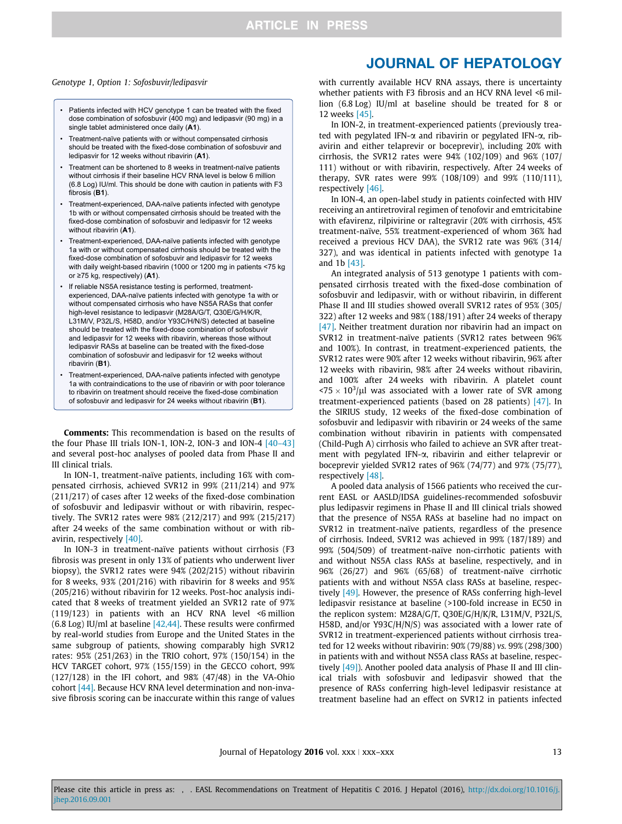#### Genotype 1, Option 1: Sofosbuvir/ledipasvir

- dose combination of sofosbuvir (400 mg) and ledipasvir (90 mg) in a single tablet administered once daily (**A1**). Patients infected with HCV genotype 1 can be treated with the fixed
- Treatment-naïve patients with or without compensated cirrhosis ledipasvir for 12 weeks without ribavirin (**A1**). should be treated with the fixed-dose combination of sofosbuvir and
- Treatment can be shortened to 8 weeks in treatment-naïve patients without cirrhosis if their baseline HCV RNA level is below 6 million (6.8 Log) IU/ml. This should be done with caution in patients with F3 **B1**). fibrosis (
- Treatment-experienced, DAA-naïve patients infected with genotype 1b with or without compensated cirrhosis should be treated with the without ribavirin (**A1**). fixed-dose combination of sofosbuvir and ledipasvir for 12 weeks
- Treatment-experienced, DAA-naïve patients infected with genotype 1a with or without compensated cirrhosis should be treated with the with daily weight-based ribavirin (1000 or 1200 mg in patients <75 kg or ≥75 kg, respectively) (**A1**). fixed-dose combination of sofosbuvir and ledipasvir for 12 weeks
- If reliable NS5A resistance testing is performed, treatmentexperienced, DAA-naïve patients infected with genotype 1a with or without compensated cirrhosis who have NS5A RASs that confer high-level resistance to ledipasvir (M28A/G/T, Q30E/G/H/K/R, L31M/V, P32L/S, H58D, and/or Y93C/H/N/S) detected at baseline and ledipasvir for 12 weeks with ribavirin, whereas those without combination of sofosbuvir and ledipasvir for 12 weeks without ribavirin (**B1**). should be treated with the fixed-dose combination of sofosbuvir ledipasvir RASs at baseline can be treated with the fixed-dose
- Treatment-experienced, DAA-naïve patients infected with genotype 1a with contraindications to the use of ribavirin or with poor tolerance of sofosbuvir and ledipasvir for 24 weeks without ribavirin (**B1**). to ribavirin on treatment should receive the fixed-dose combination

Comments: This recommendation is based on the results of the four Phase III trials ION-1, ION-2, ION-3 and ION-4 [\[40–43\]](#page-37-0) and several post-hoc analyses of pooled data from Phase II and III clinical trials.

In ION-1, treatment-naïve patients, including 16% with compensated cirrhosis, achieved SVR12 in 99% (211/214) and 97% (211/217) of cases after 12 weeks of the fixed-dose combination of sofosbuvir and ledipasvir without or with ribavirin, respectively. The SVR12 rates were 98% (212/217) and 99% (215/217) after 24 weeks of the same combination without or with ribavirin, respectively [\[40\].](#page-37-0)

In ION-3 in treatment-naïve patients without cirrhosis (F3 fibrosis was present in only 13% of patients who underwent liver biopsy), the SVR12 rates were 94% (202/215) without ribavirin for 8 weeks, 93% (201/216) with ribavirin for 8 weeks and 95% (205/216) without ribavirin for 12 weeks. Post-hoc analysis indicated that 8 weeks of treatment yielded an SVR12 rate of 97% (119/123) in patients with an HCV RNA level <6 million (6.8 Log) IU/ml at baseline [\[42,44\].](#page-37-0) These results were confirmed by real-world studies from Europe and the United States in the same subgroup of patients, showing comparably high SVR12 rates: 95% (251/263) in the TRIO cohort, 97% (150/154) in the HCV TARGET cohort, 97% (155/159) in the GECCO cohort, 99% (127/128) in the IFI cohort, and 98% (47/48) in the VA-Ohio cohort [\[44\]](#page-38-0). Because HCV RNA level determination and non-invasive fibrosis scoring can be inaccurate within this range of values

# JOURNAL OF HEPATOLOGY

with currently available HCV RNA assays, there is uncertainty whether patients with F3 fibrosis and an HCV RNA level <6 million (6.8 Log) IU/ml at baseline should be treated for 8 or 12 weeks [\[45\]](#page-38-0).

In ION-2, in treatment-experienced patients (previously treated with pegylated IFN- $\alpha$  and ribavirin or pegylated IFN- $\alpha$ , ribavirin and either telaprevir or boceprevir), including 20% with cirrhosis, the SVR12 rates were 94% (102/109) and 96% (107/ 111) without or with ribavirin, respectively. After 24 weeks of therapy, SVR rates were 99% (108/109) and 99% (110/111), respectively [\[46\].](#page-38-0)

In ION-4, an open-label study in patients coinfected with HIV receiving an antiretroviral regimen of tenofovir and emtricitabine with efavirenz, rilpivirine or raltegravir (20% with cirrhosis, 45% treatment-naïve, 55% treatment-experienced of whom 36% had received a previous HCV DAA), the SVR12 rate was 96% (314/ 327), and was identical in patients infected with genotype 1a and 1b [\[43\]](#page-37-0).

An integrated analysis of 513 genotype 1 patients with compensated cirrhosis treated with the fixed-dose combination of sofosbuvir and ledipasvir, with or without ribavirin, in different Phase II and III studies showed overall SVR12 rates of 95% (305/ 322) after 12 weeks and 98% (188/191) after 24 weeks of therapy [\[47\]](#page-38-0). Neither treatment duration nor ribavirin had an impact on SVR12 in treatment-naïve patients (SVR12 rates between 96% and 100%). In contrast, in treatment-experienced patients, the SVR12 rates were 90% after 12 weeks without ribavirin, 96% after 12 weeks with ribavirin, 98% after 24 weeks without ribavirin, and 100% after 24 weeks with ribavirin. A platelet count  $\langle 75 \times 10^3/\mu$ l was associated with a lower rate of SVR among treatment-experienced patients (based on 28 patients) [\[47\]](#page-38-0). In the SIRIUS study, 12 weeks of the fixed-dose combination of sofosbuvir and ledipasvir with ribavirin or 24 weeks of the same combination without ribavirin in patients with compensated (Child-Pugh A) cirrhosis who failed to achieve an SVR after treatment with pegylated IFN-a, ribavirin and either telaprevir or boceprevir yielded SVR12 rates of 96% (74/77) and 97% (75/77), respectively [\[48\].](#page-38-0)

A pooled data analysis of 1566 patients who received the current EASL or AASLD/IDSA guidelines-recommended sofosbuvir plus ledipasvir regimens in Phase II and III clinical trials showed that the presence of NS5A RASs at baseline had no impact on SVR12 in treatment-naïve patients, regardless of the presence of cirrhosis. Indeed, SVR12 was achieved in 99% (187/189) and 99% (504/509) of treatment-naïve non-cirrhotic patients with and without NS5A class RASs at baseline, respectively, and in 96% (26/27) and 96% (65/68) of treatment-naïve cirrhotic patients with and without NS5A class RASs at baseline, respectively [\[49\].](#page-38-0) However, the presence of RASs conferring high-level ledipasvir resistance at baseline (>100-fold increase in EC50 in the replicon system: M28A/G/T, Q30E/G/H/K/R, L31M/V, P32L/S, H58D, and/or Y93C/H/N/S) was associated with a lower rate of SVR12 in treatment-experienced patients without cirrhosis treated for 12 weeks without ribavirin: 90% (79/88) vs. 99% (298/300) in patients with and without NS5A class RASs at baseline, respec-tively [\[49\]](#page-38-0)). Another pooled data analysis of Phase II and III clinical trials with sofosbuvir and ledipasvir showed that the presence of RASs conferring high-level ledipasvir resistance at treatment baseline had an effect on SVR12 in patients infected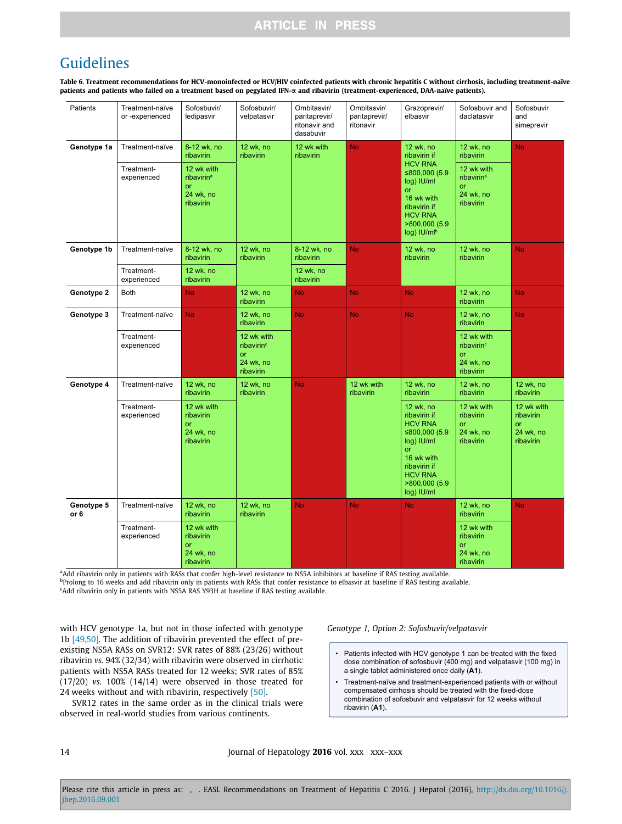# <span id="page-13-0"></span>Guidelines

Table 6. Treatment recommendations for HCV-monoinfected or HCV/HIV coinfected patients with chronic hepatitis C without cirrhosis, including treatment-naïve patients and patients who failed on a treatment based on pegylated IFN- $\alpha$  and ribavirin (treatment-experienced, DAA-naïve patients).

| Patients           | Treatment-naïve<br>or -experienced | Sofosbuvir/<br>ledipasvir                                            | Sofosbuvir/<br>velpatasvir                                           | Ombitasvir/<br>paritaprevir/<br>ritonavir and<br>dasabuvir | Ombitasvir/<br>paritaprevir/<br>ritonavir | Grazoprevir/<br>elbasvir                                                                                                                                           | Sofosbuvir and<br>daclatasvir                                        | Sofosbuvir<br>and<br>simeprevir                         |
|--------------------|------------------------------------|----------------------------------------------------------------------|----------------------------------------------------------------------|------------------------------------------------------------|-------------------------------------------|--------------------------------------------------------------------------------------------------------------------------------------------------------------------|----------------------------------------------------------------------|---------------------------------------------------------|
| Genotype 1a        | Treatment-naïve                    | 8-12 wk, no<br>ribavirin                                             | 12 wk, no<br>ribavirin                                               | 12 wk with<br>ribavirin                                    | <b>No</b>                                 | 12 wk, no<br>ribavirin if                                                                                                                                          | 12 wk, no<br>ribavirin                                               | <b>No</b>                                               |
|                    | Treatment-<br>experienced          | 12 wk with<br>ribavirin <sup>a</sup><br>or<br>24 wk, no<br>ribavirin |                                                                      |                                                            |                                           | <b>HCV RNA</b><br>≤800,000 $(5.9)$<br>log) IU/ml<br><b>or</b><br>16 wk with<br>ribavirin if<br><b>HCV RNA</b><br>>800,000(5.9)<br>log) IU/mlb                      | 12 wk with<br>ribavirin <sup>a</sup><br>or<br>24 wk, no<br>ribavirin |                                                         |
| Genotype 1b        | Treatment-naïve                    | 8-12 wk, no<br>ribavirin                                             | 12 wk, no<br>ribavirin                                               | 8-12 wk, no<br>ribavirin                                   | <b>No</b>                                 | 12 wk, no<br>ribavirin                                                                                                                                             | 12 wk, no<br>ribavirin                                               | <b>No</b>                                               |
|                    | Treatment-<br>experienced          | 12 wk, no<br>ribavirin                                               |                                                                      | 12 wk, no<br>ribavirin                                     |                                           |                                                                                                                                                                    |                                                                      |                                                         |
| Genotype 2         | <b>Both</b>                        | <b>No</b>                                                            | 12 wk, no<br>ribavirin                                               | <b>No</b>                                                  | <b>No</b>                                 | <b>No</b>                                                                                                                                                          | 12 wk, no<br>ribavirin                                               | <b>No</b>                                               |
| Genotype 3         | Treatment-naïve                    | No                                                                   | 12 wk, no<br>ribavirin                                               | <b>No</b>                                                  | <b>No</b>                                 | <b>No</b>                                                                                                                                                          | 12 wk, no<br>ribavirin                                               | <b>No</b>                                               |
|                    | Treatment-<br>experienced          |                                                                      | 12 wk with<br>ribavirin <sup>c</sup><br>or<br>24 wk, no<br>ribavirin |                                                            |                                           |                                                                                                                                                                    | 12 wk with<br>ribavirin <sup>c</sup><br>or<br>24 wk, no<br>ribavirin |                                                         |
| Genotype 4         | Treatment-naïve                    | 12 wk, no<br>ribavirin                                               | 12 wk, no<br>ribavirin                                               | <b>No</b>                                                  | 12 wk with<br>ribavirin                   | 12 wk, no<br>ribavirin                                                                                                                                             | 12 wk, no<br>ribavirin                                               | 12 wk, no<br>ribavirin                                  |
|                    | Treatment-<br>experienced          | 12 wk with<br>ribavirin<br>or<br>24 wk, no<br>ribavirin              |                                                                      |                                                            |                                           | 12 wk, no<br>ribavirin if<br><b>HCV RNA</b><br>≤800,000 $(5.9)$<br>log) IU/ml<br>or<br>16 wk with<br>ribavirin if<br><b>HCV RNA</b><br>>800,000(5.9)<br>log) IU/ml | 12 wk with<br>ribavirin<br>or<br>24 wk, no<br>ribavirin              | 12 wk with<br>ribavirin<br>or<br>24 wk, no<br>ribavirin |
| Genotype 5<br>or 6 | Treatment-naïve                    | 12 wk, no<br>12 wk, no<br>ribavirin<br>ribavirin                     |                                                                      | <b>No</b>                                                  | <b>No</b>                                 | <b>No</b>                                                                                                                                                          | 12 wk, no<br>ribavirin                                               | <b>No</b>                                               |
|                    | Treatment-<br>experienced          | 12 wk with<br>ribavirin<br>or<br>24 wk, no<br>ribavirin              |                                                                      |                                                            |                                           |                                                                                                                                                                    | 12 wk with<br>ribavirin<br>or<br>24 wk, no<br>ribavirin              |                                                         |

<sup>a</sup>Add ribavirin only in patients with RASs that confer high-level resistance to NS5A inhibitors at baseline if RAS testing available. <sup>b</sup>Prolong to 16 weeks and add ribavirin only in patients with RASs that confer resistance to elbasvir at baseline if RAS testing available. <sup>c</sup>Add ribavirin only in patients with NS5A RAS Y93H at baseline if RAS testing available.

with HCV genotype 1a, but not in those infected with genotype 1b [\[49,50\]](#page-38-0). The addition of ribavirin prevented the effect of preexisting NS5A RASs on SVR12: SVR rates of 88% (23/26) without ribavirin vs. 94% (32/34) with ribavirin were observed in cirrhotic patients with NS5A RASs treated for 12 weeks; SVR rates of 85%  $(17/20)$  vs.  $100\%$   $(14/14)$  were observed in those treated for 24 weeks without and with ribavirin, respectively [\[50\].](#page-38-0)

SVR12 rates in the same order as in the clinical trials were observed in real-world studies from various continents.

#### Genotype 1, Option 2: Sofosbuvir/velpatasvir

- Patients infected with HCV genotype 1 can be treated with the fixed dose combination of sofosbuvir (400 mg) and velpatasvir (100 mg) in a single tablet administered once daily (**A1**).
- Treatment-naïve and treatment-experienced patients with or without combination of sofosbuvir and velpatasvir for 12 weeks without ribavirin (**A1**). compensated cirrhosis should be treated with the fixed-dose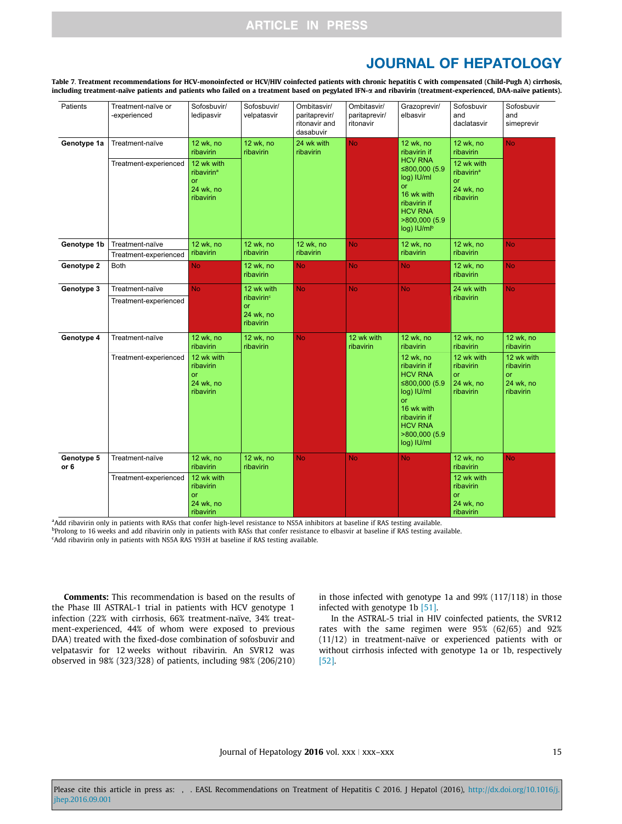# JOURNAL OF HEPATOLOGY

Table 7. Treatment recommendations for HCV-monoinfected or HCV/HIV coinfected patients with chronic hepatitis C with compensated (Child-Pugh A) cirrhosis, including treatment-naïve patients and patients who failed on a treatment based on pegylated IFN-a and ribavirin (treatment-experienced, DAA-naïve patients).

| Patients           | Treatment-naïve or<br>-experienced | Sofosbuvir/<br>ledipasvir                                                   | Sofosbuvir/<br>velpatasvir                             | Ombitasvir/<br>paritaprevir/<br>ritonavir and<br>dasabuvir | Ombitasvir/<br>paritaprevir/<br>ritonavir | Grazoprevir/<br>elbasvir                                                                                                                                                  | Sofosbuvir<br>and<br>daclatasvir                                     | Sofosbuvir<br>and<br>simeprevir                         |  |
|--------------------|------------------------------------|-----------------------------------------------------------------------------|--------------------------------------------------------|------------------------------------------------------------|-------------------------------------------|---------------------------------------------------------------------------------------------------------------------------------------------------------------------------|----------------------------------------------------------------------|---------------------------------------------------------|--|
| Genotype 1a        | Treatment-naïve                    | 12 wk, no<br>ribavirin                                                      | 12 wk, no<br>ribavirin                                 | 24 wk with<br>ribavirin                                    | <b>No</b>                                 | 12 wk, no<br>ribavirin if                                                                                                                                                 | 12 wk, no<br>ribavirin                                               | <b>No</b>                                               |  |
|                    | Treatment-experienced              | 12 wk with<br>ribavirin <sup>a</sup><br><b>or</b><br>24 wk, no<br>ribavirin |                                                        |                                                            |                                           | <b>HCV RNA</b><br>≤800,000 $(5.9)$<br>log) IU/ml<br><b>or</b><br>16 wk with<br>ribavirin if<br><b>HCV RNA</b><br>>800,000(5.9)<br>log) IU/mlb                             | 12 wk with<br>ribavirin <sup>a</sup><br>or<br>24 wk, no<br>ribavirin |                                                         |  |
| Genotype 1b        | Treatment-naïve                    | 12 wk, no<br>ribavirin                                                      | 12 wk, no<br>ribavirin                                 | 12 wk, no<br>ribavirin                                     | <b>No</b>                                 | 12 wk, no<br>ribavirin                                                                                                                                                    | 12 wk, no<br>ribavirin                                               | <b>No</b>                                               |  |
|                    | Treatment-experienced              |                                                                             |                                                        |                                                            |                                           |                                                                                                                                                                           |                                                                      |                                                         |  |
| Genotype 2         | <b>Both</b>                        | <b>No</b>                                                                   | 12 wk, no<br>ribavirin                                 | <b>No</b>                                                  | <b>No</b>                                 | <b>No</b>                                                                                                                                                                 | 12 wk, no<br>ribavirin                                               | <b>No</b>                                               |  |
| Genotype 3         | Treatment-naïve                    | <b>No</b>                                                                   | 12 wk with                                             | <b>No</b>                                                  | <b>No</b>                                 | No.                                                                                                                                                                       | 24 wk with                                                           | <b>No</b>                                               |  |
|                    | Treatment-experienced              |                                                                             | ribavirin <sup>c</sup><br>or<br>24 wk, no<br>ribavirin |                                                            |                                           |                                                                                                                                                                           | ribavirin                                                            |                                                         |  |
| Genotype 4         | Treatment-naïve                    | 12 wk, no<br>ribavirin                                                      | 12 wk, no<br>ribavirin                                 | <b>No</b>                                                  | 12 wk with<br>ribavirin                   | 12 wk, no<br>ribavirin                                                                                                                                                    | 12 wk, no<br>ribavirin                                               | 12 wk, no<br>ribavirin                                  |  |
|                    | Treatment-experienced              | 12 wk with<br>ribavirin<br>or<br>24 wk, no<br>ribavirin                     |                                                        |                                                            |                                           | 12 wk, no<br>ribavirin if<br><b>HCV RNA</b><br>≤800,000 $(5.9)$<br>log) IU/ml<br><b>or</b><br>16 wk with<br>ribavirin if<br><b>HCV RNA</b><br>>800,000(5.9)<br>log) IU/ml | 12 wk with<br>ribavirin<br><b>or</b><br>24 wk, no<br>ribavirin       | 12 wk with<br>ribavirin<br>or<br>24 wk, no<br>ribavirin |  |
| Genotype 5<br>or 6 | Treatment-naïve                    | 12 wk, no<br>ribavirin                                                      | 12 wk, no<br>ribavirin                                 | <b>No</b>                                                  | <b>No</b>                                 | <b>No</b>                                                                                                                                                                 | 12 wk, no<br>ribavirin                                               | <b>No</b>                                               |  |
|                    | Treatment-experienced              | 12 wk with<br>ribavirin<br>or<br>24 wk, no<br>ribavirin                     |                                                        |                                                            |                                           |                                                                                                                                                                           |                                                                      | 12 wk with<br>ribavirin<br>or<br>24 wk, no<br>ribavirin |  |

aAdd ribavirin only in patients with RASs that confer high-level resistance to NS5A inhibitors at baseline if RAS testing available. <sup>b</sup>Prolong to 16 weeks and add ribavirin only in patients with RASs that confer resistance to elbasvir at baseline if RAS testing available. <sup>c</sup>Add ribavirin only in patients with NS5A RAS Y93H at baseline if RAS testing available.

Comments: This recommendation is based on the results of the Phase III ASTRAL-1 trial in patients with HCV genotype 1 infection (22% with cirrhosis, 66% treatment-naïve, 34% treatment-experienced, 44% of whom were exposed to previous DAA) treated with the fixed-dose combination of sofosbuvir and velpatasvir for 12 weeks without ribavirin. An SVR12 was observed in 98% (323/328) of patients, including 98% (206/210)

in those infected with genotype 1a and 99% (117/118) in those infected with genotype 1b [\[51\].](#page-38-0)

In the ASTRAL-5 trial in HIV coinfected patients, the SVR12 rates with the same regimen were 95% (62/65) and 92% (11/12) in treatment-naïve or experienced patients with or without cirrhosis infected with genotype 1a or 1b, respectively [\[52\]](#page-38-0).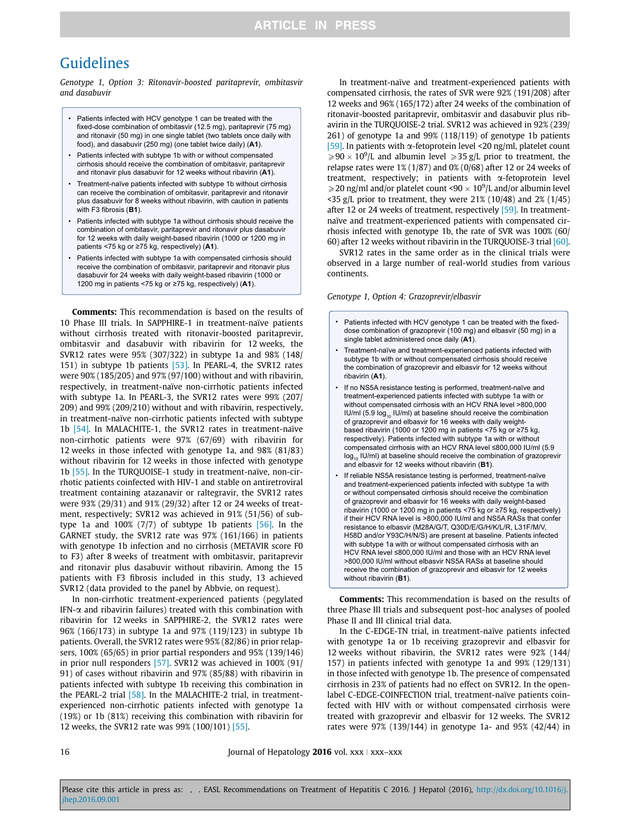Genotype 1, Option 3: Ritonavir-boosted paritaprevir, ombitasvir and dasabuvir

- Patients infected with HCV genotype 1 can be treated with the and ritonavir (50 mg) in one single tablet (two tablets once daily with food), and dasabuvir (250 mg) (one tablet twice daily) (**A1**). fixed-dose combination of ombitasvir (12.5 mg), paritaprevir (75 mg)
- Patients infected with subtype 1b with or without compensated cirrhosis should receive the combination of ombitasvir, paritaprevir and ritonavir plus dasabuvir for 12 weeks without ribavirin (**A1**).
- Treatment-naïve patients infected with subtype 1b without cirrhosis can receive the combination of ombitasvir, paritaprevir and ritonavir plus dasabuvir for 8 weeks without ribavirin, with caution in patients **B1**). with F3 fibrosis (
- Patients infected with subtype 1a without cirrhosis should receive the combination of ombitasvir, paritaprevir and ritonavir plus dasabuvir for 12 weeks with daily weight-based ribavirin (1000 or 1200 mg in patients <75 kg or ≥75 kg, respectively) (**A1**).
- Patients infected with subtype 1a with compensated cirrhosis should receive the combination of ombitasvir, paritaprevir and ritonavir plus dasabuvir for 24 weeks with daily weight-based ribavirin (1000 or 1200 mg in patients <75 kg or ≥75 kg, respectively) (**A1**).

Comments: This recommendation is based on the results of 10 Phase III trials. In SAPPHIRE-1 in treatment-naïve patients without cirrhosis treated with ritonavir-boosted paritaprevir, ombitasvir and dasabuvir with ribavirin for 12 weeks, the SVR12 rates were 95% (307/322) in subtype 1a and 98% (148/ 151) in subtype 1b patients [\[53\].](#page-38-0) In PEARL-4, the SVR12 rates were 90% (185/205) and 97% (97/100) without and with ribavirin, respectively, in treatment-naïve non-cirrhotic patients infected with subtype 1a. In PEARL-3, the SVR12 rates were 99% (207/ 209) and 99% (209/210) without and with ribavirin, respectively, in treatment-naïve non-cirrhotic patients infected with subtype 1b [\[54\]](#page-38-0). In MALACHITE-1, the SVR12 rates in treatment-naïve non-cirrhotic patients were 97% (67/69) with ribavirin for 12 weeks in those infected with genotype 1a, and 98% (81/83) without ribavirin for 12 weeks in those infected with genotype 1b [\[55\]](#page-38-0). In the TURQUOISE-1 study in treatment-naïve, non-cirrhotic patients coinfected with HIV-1 and stable on antiretroviral treatment containing atazanavir or raltegravir, the SVR12 rates were 93% (29/31) and 91% (29/32) after 12 or 24 weeks of treatment, respectively; SVR12 was achieved in 91% (51/56) of subtype 1a and 100% (7/7) of subtype 1b patients [\[56\].](#page-38-0) In the GARNET study, the SVR12 rate was 97% (161/166) in patients with genotype 1b infection and no cirrhosis (METAVIR score F0 to F3) after 8 weeks of treatment with ombitasvir, paritaprevir and ritonavir plus dasabuvir without ribavirin. Among the 15 patients with F3 fibrosis included in this study, 13 achieved SVR12 (data provided to the panel by Abbvie, on request).

In non-cirrhotic treatment-experienced patients (pegylated IFN- $\alpha$  and ribavirin failures) treated with this combination with ribavirin for 12 weeks in SAPPHIRE-2, the SVR12 rates were 96% (166/173) in subtype 1a and 97% (119/123) in subtype 1b patients. Overall, the SVR12 rates were 95% (82/86) in prior relapsers, 100% (65/65) in prior partial responders and 95% (139/146) in prior null responders [\[57\].](#page-38-0) SVR12 was achieved in 100% (91/ 91) of cases without ribavirin and 97% (85/88) with ribavirin in patients infected with subtype 1b receiving this combination in the PEARL-2 trial [\[58\].](#page-38-0) In the MALACHITE-2 trial, in treatmentexperienced non-cirrhotic patients infected with genotype 1a (19%) or 1b (81%) receiving this combination with ribavirin for 12 weeks, the SVR12 rate was 99% (100/101) [\[55\].](#page-38-0)

In treatment-naïve and treatment-experienced patients with compensated cirrhosis, the rates of SVR were 92% (191/208) after 12 weeks and 96% (165/172) after 24 weeks of the combination of ritonavir-boosted paritaprevir, ombitasvir and dasabuvir plus ribavirin in the TURQUOISE-2 trial. SVR12 was achieved in 92% (239/ 261) of genotype 1a and 99% (118/119) of genotype 1b patients [\[59\].](#page-38-0) In patients with  $\alpha$ -fetoprotein level <20 ng/ml, platelet count  $\geq 90 \times 10^9$ /L and albumin level  $\geq 35$  g/L prior to treatment, the relapse rates were 1% (1/87) and 0% (0/68) after 12 or 24 weeks of treatment, respectively; in patients with  $\alpha$ -fetoprotein level  $\geqslant$  20 ng/ml and/or platelet count <90  $\times$  10<sup>9</sup>/L and/or albumin level  $\langle 35 \text{ g/L} \rangle$  prior to treatment, they were 21% (10/48) and 2% (1/45) after 12 or 24 weeks of treatment, respectively [\[59\]](#page-38-0). In treatmentnaïve and treatment-experienced patients with compensated cirrhosis infected with genotype 1b, the rate of SVR was 100% (60/ 60) after 12 weeks without ribavirin in the TURQUOISE-3 trial [\[60\]](#page-38-0).

SVR12 rates in the same order as in the clinical trials were observed in a large number of real-world studies from various continents.

Genotype 1, Option 4: Grazoprevir/elbasvir

- Patients infected with HCV genotype 1 can be treated with the fixeddose combination of grazoprevir (100 mg) and elbasvir (50 mg) in a single tablet administered once daily (**A1**).
- Treatment-naïve and treatment-experienced patients infected with subtype 1b with or without compensated cirrhosis should receive the combination of grazoprevir and elbasvir for 12 weeks without ribavirin (**A1**).
- If no NS5A resistance testing is performed, treatment-naïve and treatment-experienced patients infected with subtype 1a with or without compensated cirrhosis with an HCV RNA level >800,000 IU/ml (5.9  $log_{10}$  IU/ml) at baseline should receive the combination of grazoprevir and elbasvir for 16 weeks with daily weightbased ribavirin (1000 or 1200 mg in patients <75 kg or ≥75 kg, respectively). Patients infected with subtype 1a with or without compensated cirrhosis with an HCV RNA level ≤800,000 IU/ml (5.9  $log_{10}$  IU/ml) at baseline should receive the combination of grazoprevir and elbasvir for 12 weeks without ribavirin (**B1**).
- If reliable NS5A resistance testing is performed, treatment-naïve and treatment-experienced patients infected with subtype 1a with or without compensated cirrhosis should receive the combination of grazoprevir and elbasvir for 16 weeks with daily weight-based ribavirin (1000 or 1200 mg in patients <75 kg or ≥75 kg, respectively) if their HCV RNA level is >800,000 IU/ml and NS5A RASs that confer resistance to elbasvir (M28A/G/T, Q30D/E/G/H/K/L/R, L31F/M/V, H58D and/or Y93C/H/N/S) are present at baseline. Patients infected with subtype 1a with or without compensated cirrhosis with an HCV RNA level ≤800,000 IU/ml and those with an HCV RNA level >800,000 IU/ml without elbasvir NS5A RASs at baseline should receive the combination of grazoprevir and elbasvir for 12 weeks without ribavirin (**B1**).

Comments: This recommendation is based on the results of three Phase III trials and subsequent post-hoc analyses of pooled Phase II and III clinical trial data.

In the C-EDGE-TN trial, in treatment-naïve patients infected with genotype 1a or 1b receiving grazoprevir and elbasvir for 12 weeks without ribavirin, the SVR12 rates were 92% (144/ 157) in patients infected with genotype 1a and 99% (129/131) in those infected with genotype 1b. The presence of compensated cirrhosis in 23% of patients had no effect on SVR12. In the openlabel C-EDGE-COINFECTION trial, treatment-naïve patients coinfected with HIV with or without compensated cirrhosis were treated with grazoprevir and elbasvir for 12 weeks. The SVR12 rates were 97% (139/144) in genotype 1a- and 95% (42/44) in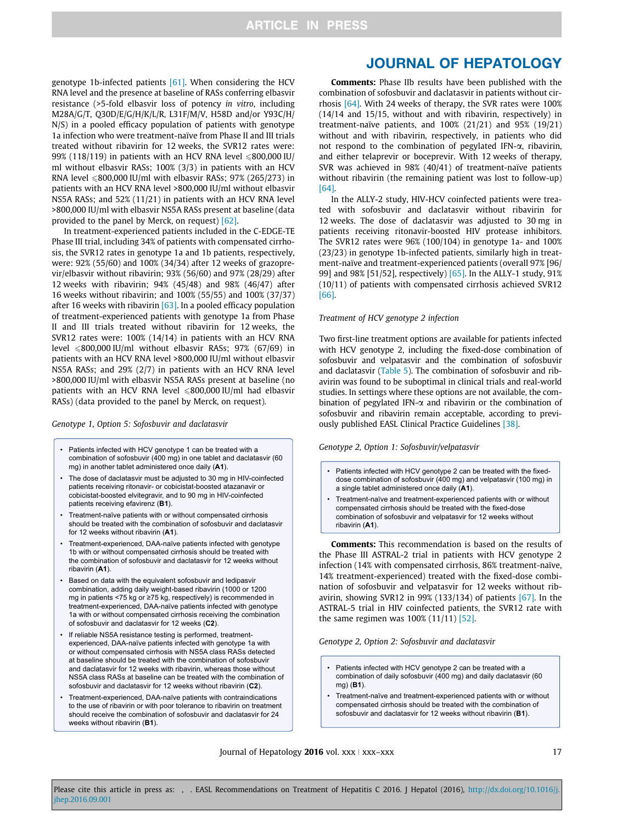genotype 1b-infected patients  $[61]$ . When considering the HCV RNA level and the presence at baseline of RASs conferring elbasvir resistance (>5-fold elbasvir loss of potency in vitro, including M28A/G/T, Q30D/E/G/H/K/L/R, L31F/M/V, H58D and/or Y93C/H/ N/S) in a pooled efficacy population of patients with genotype 1a infection who were treatment-naïve from Phase II and III trials treated without ribavirin for 12 weeks, the SVR12 rates were: 99% (118/119) in patients with an HCV RNA level  $\leq 800,000$  IU/ ml without elbasvir RASs; 100% (3/3) in patients with an HCV RNA level  $\leq 800,000$  IU/ml with elbasvir RASs; 97% (265/273) in patients with an HCV RNA level >800,000 IU/ml without elbasvir NS5A RASs; and 52% (11/21) in patients with an HCV RNA level >800,000 IU/ml with elbasvir NS5A RASs present at baseline (data provided to the panel by Merck, on request) [\[62\]](#page-38-0).

In treatment-experienced patients included in the C-EDGE-TE Phase III trial, including 34% of patients with compensated cirrhosis, the SVR12 rates in genotype 1a and 1b patients, respectively, were: 92% (55/60) and 100% (34/34) after 12 weeks of grazoprevir/elbasvir without ribavirin; 93% (56/60) and 97% (28/29) after 12 weeks with ribavirin; 94% (45/48) and 98% (46/47) after 16 weeks without ribavirin; and 100% (55/55) and 100% (37/37) after 16 weeks with ribavirin  $[63]$ . In a pooled efficacy population of treatment-experienced patients with genotype 1a from Phase II and III trials treated without ribavirin for 12 weeks, the SVR12 rates were: 100% (14/14) in patients with an HCV RNA level  $\leq 800,000$  IU/ml without elbasvir RASs; 97% (67/69) in patients with an HCV RNA level >800,000 IU/ml without elbasvir NS5A RASs; and 29% (2/7) in patients with an HCV RNA level >800,000 IU/ml with elbasvir NS5A RASs present at baseline (no patients with an HCV RNA level  $\leq 800,000$  IU/ml had elbasvir RASs) (data provided to the panel by Merck, on request).

Genotype 1, Option 5: Sofosbuvir and daclatasvir

- Patients infected with HCV genotype 1 can be treated with a combination of sofosbuvir (400 mg) in one tablet and daclatasvir (60 mg) in another tablet administered once daily (**A1**).
- The dose of daclatasvir must be adjusted to 30 mg in HIV-coinfected patients receiving ritonavir- or cobicistat-boosted atazanavir or cobicistat-boosted elvitegravir, and to 90 mg in HIV-coinfected patients receiving efavirenz (**B1**).
- Treatment-naïve patients with or without compensated cirrhosis should be treated with the combination of sofosbuvir and daclatasvir for 12 weeks without ribavirin (**A1**).
- Treatment-experienced, DAA-naïve patients infected with genotype 1b with or without compensated cirrhosis should be treated with the combination of sofosbuvir and daclatasvir for 12 weeks without ribavirin (**A1**).
- Based on data with the equivalent sofosbuvir and ledipasvir combination, adding daily weight-based ribavirin (1000 or 1200 mg in patients <75 kg or ≥75 kg, respectively) is recommended in treatment-experienced, DAA-naïve patients infected with genotype 1a with or without compensated cirrhosis receiving the combination of sofosbuvir and daclatasvir for 12 weeks (**C2**).
- If reliable NS5A resistance testing is performed, treatmentexperienced, DAA-naïve patients infected with genotype 1a with or without compensated cirrhosis with NS5A class RASs detected at baseline should be treated with the combination of sofosbuvir and daclatasvir for 12 weeks with ribavirin, whereas those without NS5A class RASs at baseline can be treated with the combination of sofosbuvir and daclatasvir for 12 weeks without ribavirin (**C2**).
- Treatment-experienced, DAA-naïve patients with contraindications to the use of ribavirin or with poor tolerance to ribavirin on treatment should receive the combination of sofosbuvir and daclatasvir for 24 weeks without ribavirin (**B1**).

## JOURNAL OF HEPATOLOGY

Comments: Phase IIb results have been published with the combination of sofosbuvir and daclatasvir in patients without cirrhosis  $[64]$ . With 24 weeks of therapy, the SVR rates were 100% (14/14 and 15/15, without and with ribavirin, respectively) in treatment-naïve patients, and 100% (21/21) and 95% (19/21) without and with ribavirin, respectively, in patients who did not respond to the combination of pegylated IFN-a, ribavirin, and either telaprevir or boceprevir. With 12 weeks of therapy, SVR was achieved in 98% (40/41) of treatment-naïve patients without ribavirin (the remaining patient was lost to follow-up) [\[64\]](#page-38-0).

In the ALLY-2 study, HIV-HCV coinfected patients were treated with sofosbuvir and daclatasvir without ribavirin for 12 weeks. The dose of daclatasvir was adjusted to 30 mg in patients receiving ritonavir-boosted HIV protease inhibitors. The SVR12 rates were 96% (100/104) in genotype 1a- and 100% (23/23) in genotype 1b-infected patients, similarly high in treatment-naïve and treatment-experienced patients (overall 97% [96/ 99] and 98% [51/52], respectively) [\[65\]](#page-38-0). In the ALLY-1 study, 91% (10/11) of patients with compensated cirrhosis achieved SVR12 [\[66\]](#page-38-0).

#### Treatment of HCV genotype 2 infection

Two first-line treatment options are available for patients infected with HCV genotype 2, including the fixed-dose combination of sofosbuvir and velpatasvir and the combination of sofosbuvir and daclatasvir [\(Table 5\)](#page-11-0). The combination of sofosbuvir and ribavirin was found to be suboptimal in clinical trials and real-world studies. In settings where these options are not available, the combination of pegylated IFN- $\alpha$  and ribavirin or the combination of sofosbuvir and ribavirin remain acceptable, according to previously published EASL Clinical Practice Guidelines [\[38\].](#page-37-0)

Genotype 2, Option 1: Sofosbuvir/velpatasvir

- dose combination of sofosbuvir (400 mg) and velpatasvir (100 mg) in a single tablet administered once daily (**A1**). Patients infected with HCV genotype 2 can be treated with the fixed-
- Treatment-naïve and treatment-experienced patients with or without combination of sofosbuvir and velpatasvir for 12 weeks without ribavirin (**A1**). compensated cirrhosis should be treated with the fixed-dose

Comments: This recommendation is based on the results of the Phase III ASTRAL-2 trial in patients with HCV genotype 2 infection (14% with compensated cirrhosis, 86% treatment-naïve, 14% treatment-experienced) treated with the fixed-dose combination of sofosbuvir and velpatasvir for 12 weeks without ribavirin, showing SVR12 in 99% (133/134) of patients  $[67]$ . In the ASTRAL-5 trial in HIV coinfected patients, the SVR12 rate with the same regimen was 100% (11/11) [\[52\].](#page-38-0)

Genotype 2, Option 2: Sofosbuvir and daclatasvir

- Patients infected with HCV genotype 2 can be treated with a combination of daily sofosbuvir (400 mg) and daily daclatasvir (60 mg) (**B1**).
- Treatment-naïve and treatment-experienced patients with or without compensated cirrhosis should be treated with the combination of sofosbuvir and daclatasvir for 12 weeks without ribavirin (**B1**).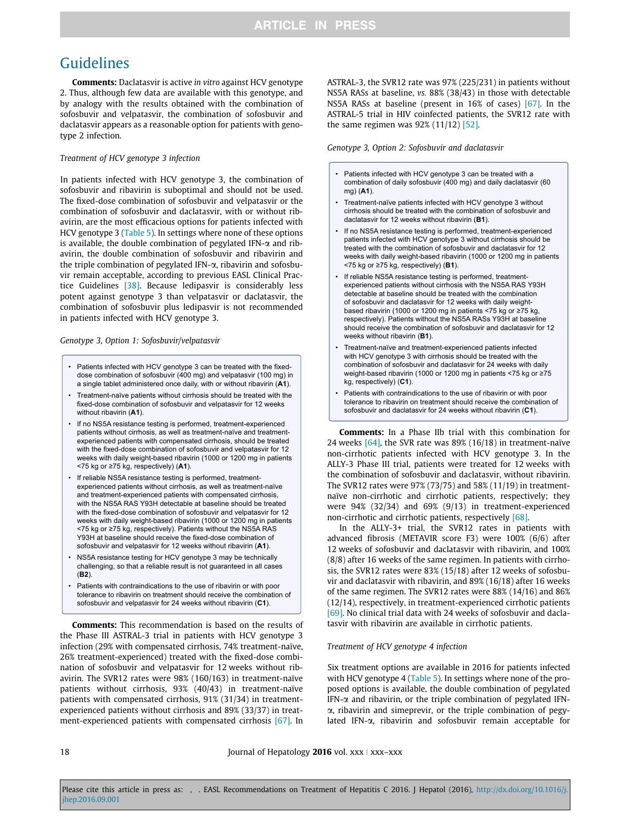Comments: Daclatasvir is active in vitro against HCV genotype 2. Thus, although few data are available with this genotype, and by analogy with the results obtained with the combination of sofosbuvir and velpatasvir, the combination of sofosbuvir and daclatasvir appears as a reasonable option for patients with genotype 2 infection.

#### Treatment of HCV genotype 3 infection

In patients infected with HCV genotype 3, the combination of sofosbuvir and ribavirin is suboptimal and should not be used. The fixed-dose combination of sofosbuvir and velpatasvir or the combination of sofosbuvir and daclatasvir, with or without ribavirin, are the most efficacious options for patients infected with HCV genotype 3 [\(Table 5\)](#page-11-0). In settings where none of these options is available, the double combination of pegylated IFN- $\alpha$  and ribavirin, the double combination of sofosbuvir and ribavirin and the triple combination of pegylated IFN-a, ribavirin and sofosbuvir remain acceptable, according to previous EASL Clinical Practice Guidelines [\[38\]](#page-37-0). Because ledipasvir is considerably less potent against genotype 3 than velpatasvir or daclatasvir, the combination of sofosbuvir plus ledipasvir is not recommended in patients infected with HCV genotype 3.

#### Genotype 3, Option 1: Sofosbuvir/velpatasvir

- Patients infected with HCV genotype 3 can be treated with the fixeddose combination of sofosbuvir (400 mg) and velpatasvir (100 mg) in a single tablet administered once daily, with or without ribavirin (**A1**).
- Treatment-naïve patients without cirrhosis should be treated with the without ribavirin (**A1**). fixed-dose combination of sofosbuvir and velpatasvir for 12 weeks
- If no NS5A resistance testing is performed, treatment-experienced patients without cirrhosis, as well as treatment-naïve and treatmentexperienced patients with compensated cirrhosis, should be treated weeks with daily weight-based ribavirin (1000 or 1200 mg in patients <75 kg or ≥75 kg, respectively) (**A1**). with the fixed-dose combination of sofosbuvir and velpatasvir for 12
- If reliable NS5A resistance testing is performed, treatmentexperienced patients without cirrhosis, as well as treatment-naïve and treatment-experienced patients with compensated cirrhosis, with the NS5A RAS Y93H detectable at baseline should be treated weeks with daily weight-based ribavirin (1000 or 1200 mg in patients <75 kg or ≥75 kg, respectively). Patients without the NS5A RAS sofosbuvir and velpatasvir for 12 weeks without ribavirin (**A1**). with the fixed-dose combination of sofosbuvir and velpatasvir for 12 Y93H at baseline should receive the fixed-dose combination of
- NS5A resistance testing for HCV genotype 3 may be technically challenging, so that a reliable result is not guaranteed in all cases (**B2**).
- Patients with contraindications to the use of ribavirin or with poor tolerance to ribavirin on treatment should receive the combination of sofosbuvir and velpatasvir for 24 weeks without ribavirin (**C1**).

Comments: This recommendation is based on the results of the Phase III ASTRAL-3 trial in patients with HCV genotype 3 infection (29% with compensated cirrhosis, 74% treatment-naïve, 26% treatment-experienced) treated with the fixed-dose combination of sofosbuvir and velpatasvir for 12 weeks without ribavirin. The SVR12 rates were 98% (160/163) in treatment-naïve patients without cirrhosis, 93% (40/43) in treatment-naïve patients with compensated cirrhosis, 91% (31/34) in treatmentexperienced patients without cirrhosis and 89% (33/37) in treatment-experienced patients with compensated cirrhosis [\[67\].](#page-38-0) In ASTRAL-3, the SVR12 rate was 97% (225/231) in patients without NS5A RASs at baseline, vs. 88% (38/43) in those with detectable NS5A RASs at baseline (present in 16% of cases) [\[67\].](#page-38-0) In the ASTRAL-5 trial in HIV coinfected patients, the SVR12 rate with the same regimen was  $92\%$  (11/12) [\[52\].](#page-38-0)

Genotype 3, Option 2: Sofosbuvir and daclatasvir

- Patients infected with HCV genotype 3 can be treated with a combination of daily sofosbuvir (400 mg) and daily daclatasvir (60 mg) (**A1**).
- Treatment-naïve patients infected with HCV genotype 3 without cirrhosis should be treated with the combination of sofosbuvir and daclatasvir for 12 weeks without ribavirin (**B1**).
- If no NS5A resistance testing is performed, treatment-experienced patients infected with HCV genotype 3 without cirrhosis should be treated with the combination of sofosbuvir and daclatasvir for 12 weeks with daily weight-based ribavirin (1000 or 1200 mg in patients <75 kg or ≥75 kg, respectively) (**B1**).
- If reliable NS5A resistance testing is performed, treatmentexperienced patients without cirrhosis with the NS5A RAS Y93H detectable at baseline should be treated with the combination of sofosbuvir and daclatasvir for 12 weeks with daily weightbased ribavirin (1000 or 1200 mg in patients <75 kg or ≥75 kg, respectively). Patients without the NS5A RASs Y93H at baseline should receive the combination of sofosbuvir and daclatasvir for 12 weeks without ribavirin (**B1**).
- Treatment-naïve and treatment-experienced patients infected with HCV genotype 3 with cirrhosis should be treated with the combination of sofosbuvir and daclatasvir for 24 weeks with daily weight-based ribavirin (1000 or 1200 mg in patients <75 kg or ≥75 kg, respectively) (**C1**).
- **C1**). sofosbuvir and daclatasvir for 24 weeks without ribavirin ( • Patients with contraindications to the use of ribavirin or with poor tolerance to ribavirin on treatment should receive the combination of

Comments: In a Phase IIb trial with this combination for 24 weeks  $[64]$ , the SVR rate was 89% (16/18) in treatment-naïve non-cirrhotic patients infected with HCV genotype 3. In the ALLY-3 Phase III trial, patients were treated for 12 weeks with the combination of sofosbuvir and daclatasvir, without ribavirin. The SVR12 rates were 97% (73/75) and 58% (11/19) in treatmentnaïve non-cirrhotic and cirrhotic patients, respectively; they were 94% (32/34) and 69% (9/13) in treatment-experienced non-cirrhotic and cirrhotic patients, respectively [\[68\]](#page-38-0).

In the ALLY-3+ trial, the SVR12 rates in patients with advanced fibrosis (METAVIR score F3) were 100% (6/6) after 12 weeks of sofosbuvir and daclatasvir with ribavirin, and 100% (8/8) after 16 weeks of the same regimen. In patients with cirrhosis, the SVR12 rates were 83% (15/18) after 12 weeks of sofosbuvir and daclatasvir with ribavirin, and 89% (16/18) after 16 weeks of the same regimen. The SVR12 rates were 88% (14/16) and 86% (12/14), respectively, in treatment-experienced cirrhotic patients [\[69\]](#page-38-0). No clinical trial data with 24 weeks of sofosbuvir and daclatasvir with ribavirin are available in cirrhotic patients.

#### Treatment of HCV genotype 4 infection

Six treatment options are available in 2016 for patients infected with HCV genotype 4 ([Table 5\)](#page-11-0). In settings where none of the proposed options is available, the double combination of pegylated IFN- $\alpha$  and ribavirin, or the triple combination of pegylated IFN- $\alpha$ , ribavirin and simeprevir, or the triple combination of pegylated IFN- $\alpha$ , ribavirin and sofosbuvir remain acceptable for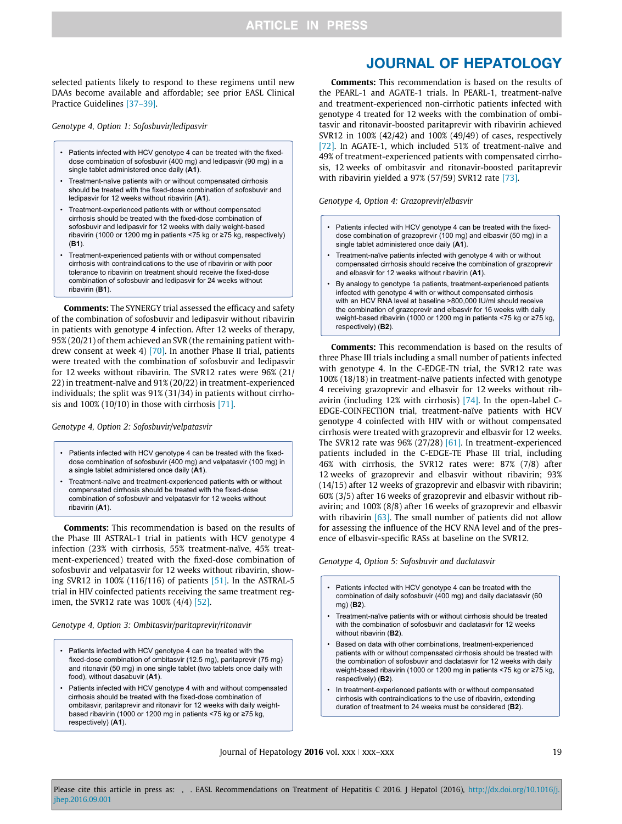selected patients likely to respond to these regimens until new DAAs become available and affordable; see prior EASL Clinical Practice Guidelines [\[37–39\]](#page-37-0).

Genotype 4, Option 1: Sofosbuvir/ledipasvir

- Patients infected with HCV genotype 4 can be treated with the fixeddose combination of sofosbuvir (400 mg) and ledipasvir (90 mg) in a single tablet administered once daily (**A1**).
- Treatment-naïve patients with or without compensated cirrhosis ledipasvir for 12 weeks without ribavirin (**A1**). should be treated with the fixed-dose combination of sofosbuvir and
- Treatment-experienced patients with or without compensated sofosbuvir and ledipasvir for 12 weeks with daily weight-based ribavirin (1000 or 1200 mg in patients <75 kg or ≥75 kg, respectively) (**B1**). cirrhosis should be treated with the fixed-dose combination of
- Treatment-experienced patients with or without compensated cirrhosis with contraindications to the use of ribavirin or with poor combination of sofosbuvir and ledipasvir for 24 weeks without ribavirin (**B1**). tolerance to ribavirin on treatment should receive the fixed-dose

Comments: The SYNERGY trial assessed the efficacy and safety of the combination of sofosbuvir and ledipasvir without ribavirin in patients with genotype 4 infection. After 12 weeks of therapy, 95% (20/21) of them achieved an SVR (the remaining patient withdrew consent at week 4) [\[70\]](#page-38-0). In another Phase II trial, patients were treated with the combination of sofosbuvir and ledipasvir for 12 weeks without ribavirin. The SVR12 rates were 96% (21/ 22) in treatment-naïve and 91% (20/22) in treatment-experienced individuals; the split was 91% (31/34) in patients without cirrhosis and  $100\%$  (10/10) in those with cirrhosis [\[71\].](#page-38-0)

Genotype 4, Option 2: Sofosbuvir/velpatasvir

- Patients infected with HCV genotype 4 can be treated with the fixeddose combination of sofosbuvir (400 mg) and velpatasvir (100 mg) in a single tablet administered once daily (**A1**).
- Treatment-naïve and treatment-experienced patients with or without combination of sofosbuvir and velpatasvir for 12 weeks without ribavirin (**A1**). compensated cirrhosis should be treated with the fixed-dose

Comments: This recommendation is based on the results of the Phase III ASTRAL-1 trial in patients with HCV genotype 4 infection (23% with cirrhosis, 55% treatment-naïve, 45% treatment-experienced) treated with the fixed-dose combination of sofosbuvir and velpatasvir for 12 weeks without ribavirin, showing SVR12 in 100% (116/116) of patients [\[51\]](#page-38-0). In the ASTRAL-5 trial in HIV coinfected patients receiving the same treatment regimen, the SVR12 rate was  $100\%$  (4/4) [\[52\]](#page-38-0).

Genotype 4, Option 3: Ombitasvir/paritaprevir/ritonavir

- Patients infected with HCV genotype 4 can be treated with the and ritonavir (50 mg) in one single tablet (two tablets once daily with food), without dasabuvir (**A1**). fixed-dose combination of ombitasvir (12.5 mg), paritaprevir (75 mg)
- Patients infected with HCV genotype 4 with and without compensated ombitasvir, paritaprevir and ritonavir for 12 weeks with daily weightbased ribavirin (1000 or 1200 mg in patients <75 kg or ≥75 kg, respectively) (**A1**). cirrhosis should be treated with the fixed-dose combination of

## JOURNAL OF HEPATOLOGY

Comments: This recommendation is based on the results of the PEARL-1 and AGATE-1 trials. In PEARL-1, treatment-naïve and treatment-experienced non-cirrhotic patients infected with genotype 4 treated for 12 weeks with the combination of ombitasvir and ritonavir-boosted paritaprevir with ribavirin achieved SVR12 in 100% (42/42) and 100% (49/49) of cases, respectively [\[72\]](#page-38-0). In AGATE-1, which included 51% of treatment-naïve and 49% of treatment-experienced patients with compensated cirrhosis, 12 weeks of ombitasvir and ritonavir-boosted paritaprevir with ribavirin yielded a 97% (57/59) SVR12 rate [\[73\]](#page-38-0).

Genotype 4, Option 4: Grazoprevir/elbasvir

- dose combination of grazoprevir (100 mg) and elbasvir (50 mg) in a single tablet administered once daily (**A1**). Patients infected with HCV genotype 4 can be treated with the fixed-
- Treatment-naïve patients infected with genotype 4 with or without compensated cirrhosis should receive the combination of grazoprevir and elbasvir for 12 weeks without ribavirin (**A1**).
- By analogy to genotype 1a patients, treatment-experienced patients infected with genotype 4 with or without compensated cirrhosis with an HCV RNA level at baseline >800,000 IU/ml should receive the combination of grazoprevir and elbasvir for 16 weeks with daily weight-based ribavirin (1000 or 1200 mg in patients <75 kg or ≥75 kg, respectively) (**B2**).

Comments: This recommendation is based on the results of three Phase III trials including a small number of patients infected with genotype 4. In the C-EDGE-TN trial, the SVR12 rate was 100% (18/18) in treatment-naïve patients infected with genotype 4 receiving grazoprevir and elbasvir for 12 weeks without ribavirin (including 12% with cirrhosis)  $[74]$ . In the open-label C-EDGE-COINFECTION trial, treatment-naïve patients with HCV genotype 4 coinfected with HIV with or without compensated cirrhosis were treated with grazoprevir and elbasvir for 12 weeks. The SVR12 rate was  $96\%$  (27/28) [\[61\].](#page-38-0) In treatment-experienced patients included in the C-EDGE-TE Phase III trial, including 46% with cirrhosis, the SVR12 rates were: 87% (7/8) after 12 weeks of grazoprevir and elbasvir without ribavirin; 93% (14/15) after 12 weeks of grazoprevir and elbasvir with ribavirin; 60% (3/5) after 16 weeks of grazoprevir and elbasvir without ribavirin; and 100% (8/8) after 16 weeks of grazoprevir and elbasvir with ribavirin  $[63]$ . The small number of patients did not allow for assessing the influence of the HCV RNA level and of the presence of elbasvir-specific RASs at baseline on the SVR12.

Genotype 4, Option 5: Sofosbuvir and daclatasvir

- Patients infected with HCV genotype 4 can be treated with the combination of daily sofosbuvir (400 mg) and daily daclatasvir (60 mg) (**B2**).
- Treatment-naïve patients with or without cirrhosis should be treated with the combination of sofosbuvir and daclatasvir for 12 weeks without ribavirin (**B2**).
- Based on data with other combinations, treatment-experienced patients with or without compensated cirrhosis should be treated with the combination of sofosbuvir and daclatasvir for 12 weeks with daily weight-based ribavirin (1000 or 1200 mg in patients <75 kg or ≥75 kg, respectively) (**B2**).
- In treatment-experienced patients with or without compensated cirrhosis with contraindications to the use of ribavirin, extending duration of treatment to 24 weeks must be considered (**B2**).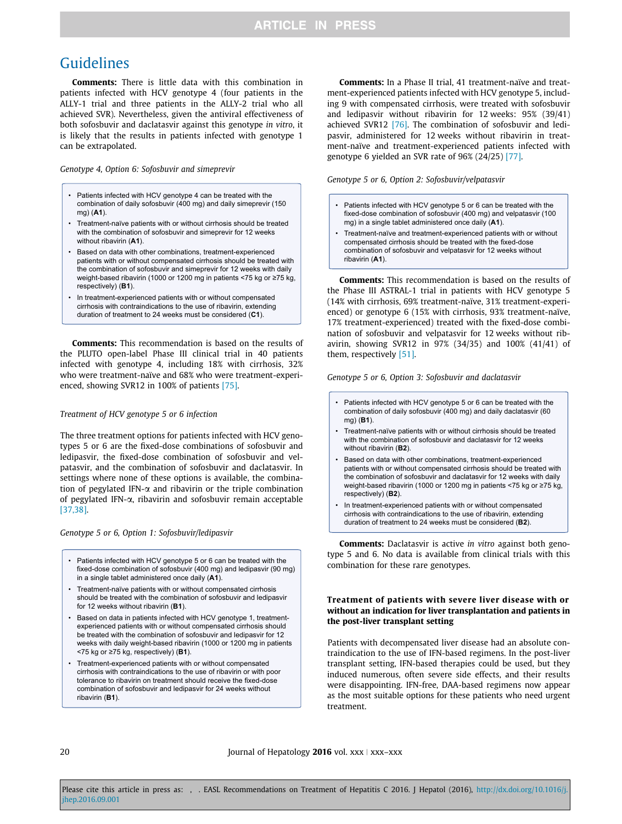Comments: There is little data with this combination in patients infected with HCV genotype 4 (four patients in the ALLY-1 trial and three patients in the ALLY-2 trial who all achieved SVR). Nevertheless, given the antiviral effectiveness of both sofosbuvir and daclatasvir against this genotype in vitro, it is likely that the results in patients infected with genotype 1 can be extrapolated.

Genotype 4, Option 6: Sofosbuvir and simeprevir

- Patients infected with HCV genotype 4 can be treated with the combination of daily sofosbuvir (400 mg) and daily simeprevir (150 mg) (**A1**).
- Treatment-naïve patients with or without cirrhosis should be treated with the combination of sofosbuvir and simeprevir for 12 weeks without ribavirin (**A1**).
- Based on data with other combinations, treatment-experienced patients with or without compensated cirrhosis should be treated with the combination of sofosbuvir and simeprevir for 12 weeks with daily weight-based ribavirin (1000 or 1200 mg in patients <75 kg or ≥75 kg, respectively) (**B1**).
- In treatment-experienced patients with or without compensated cirrhosis with contraindications to the use of ribavirin, extending duration of treatment to 24 weeks must be considered (**C1**).

Comments: This recommendation is based on the results of the PLUTO open-label Phase III clinical trial in 40 patients infected with genotype 4, including 18% with cirrhosis, 32% who were treatment-naïve and 68% who were treatment-experienced, showing SVR12 in 100% of patients [\[75\].](#page-38-0)

#### Treatment of HCV genotype 5 or 6 infection

The three treatment options for patients infected with HCV genotypes 5 or 6 are the fixed-dose combinations of sofosbuvir and ledipasvir, the fixed-dose combination of sofosbuvir and velpatasvir, and the combination of sofosbuvir and daclatasvir. In settings where none of these options is available, the combination of pegylated IFN- $\alpha$  and ribavirin or the triple combination of pegylated IFN-a, ribavirin and sofosbuvir remain acceptable [\[37,38\]](#page-37-0).

#### Genotype 5 or 6, Option 1: Sofosbuvir/ledipasvir

- Patients infected with HCV genotype 5 or 6 can be treated with the in a single tablet administered once daily (**A1**). fixed-dose combination of sofosbuvir (400 mg) and ledipasvir (90 mg)
- Treatment-naïve patients with or without compensated cirrhosis should be treated with the combination of sofosbuvir and ledipasvir for 12 weeks without ribavirin (**B1**).
- Based on data in patients infected with HCV genotype 1, treatmentexperienced patients with or without compensated cirrhosis should be treated with the combination of sofosbuvir and ledipasvir for 12 weeks with daily weight-based ribavirin (1000 or 1200 mg in patients <75 kg or ≥75 kg, respectively) (**B1**).
- Treatment-experienced patients with or without compensated cirrhosis with contraindications to the use of ribavirin or with poor combination of sofosbuvir and ledipasvir for 24 weeks without ribavirin (**B1**). tolerance to ribavirin on treatment should receive the fixed-dose

Comments: In a Phase II trial, 41 treatment-naïve and treatment-experienced patients infected with HCV genotype 5, including 9 with compensated cirrhosis, were treated with sofosbuvir and ledipasvir without ribavirin for 12 weeks: 95% (39/41) achieved SVR12 [\[76\].](#page-38-0) The combination of sofosbuvir and ledipasvir, administered for 12 weeks without ribavirin in treatment-naïve and treatment-experienced patients infected with genotype 6 yielded an SVR rate of 96% (24/25) [\[77\].](#page-38-0)

Genotype 5 or 6, Option 2: Sofosbuvir/velpatasvir

- Patients infected with HCV genotype 5 or 6 can be treated with the mg) in a single tablet administered once daily (**A1**). fixed-dose combination of sofosbuvir (400 mg) and velpatasvir (100
- Treatment-naïve and treatment-experienced patients with or without combination of sofosbuvir and velpatasvir for 12 weeks without ribavirin (**A1**). compensated cirrhosis should be treated with the fixed-dose

Comments: This recommendation is based on the results of the Phase III ASTRAL-1 trial in patients with HCV genotype 5 (14% with cirrhosis, 69% treatment-naïve, 31% treatment-experienced) or genotype 6 (15% with cirrhosis, 93% treatment-naïve, 17% treatment-experienced) treated with the fixed-dose combination of sofosbuvir and velpatasvir for 12 weeks without ribavirin, showing SVR12 in 97% (34/35) and 100% (41/41) of them, respectively [\[51\].](#page-38-0)

Genotype 5 or 6, Option 3: Sofosbuvir and daclatasvir

- Patients infected with HCV genotype 5 or 6 can be treated with the combination of daily sofosbuvir (400 mg) and daily daclatasvir (60 mg) (**B1**).
- Treatment-naïve patients with or without cirrhosis should be treated with the combination of sofosbuvir and daclatasvir for 12 weeks without ribavirin (**B2**).
- Based on data with other combinations, treatment-experienced patients with or without compensated cirrhosis should be treated with the combination of sofosbuvir and daclatasvir for 12 weeks with daily weight-based ribavirin (1000 or 1200 mg in patients <75 kg or ≥75 kg, respectively) (**B2**).
- In treatment-experienced patients with or without compensated cirrhosis with contraindications to the use of ribavirin, extending duration of treatment to 24 weeks must be considered (**B2**).

Comments: Daclatasvir is active in vitro against both genotype 5 and 6. No data is available from clinical trials with this combination for these rare genotypes.

#### Treatment of patients with severe liver disease with or without an indication for liver transplantation and patients in the post-liver transplant setting

Patients with decompensated liver disease had an absolute contraindication to the use of IFN-based regimens. In the post-liver transplant setting, IFN-based therapies could be used, but they induced numerous, often severe side effects, and their results were disappointing. IFN-free, DAA-based regimens now appear as the most suitable options for these patients who need urgent treatment.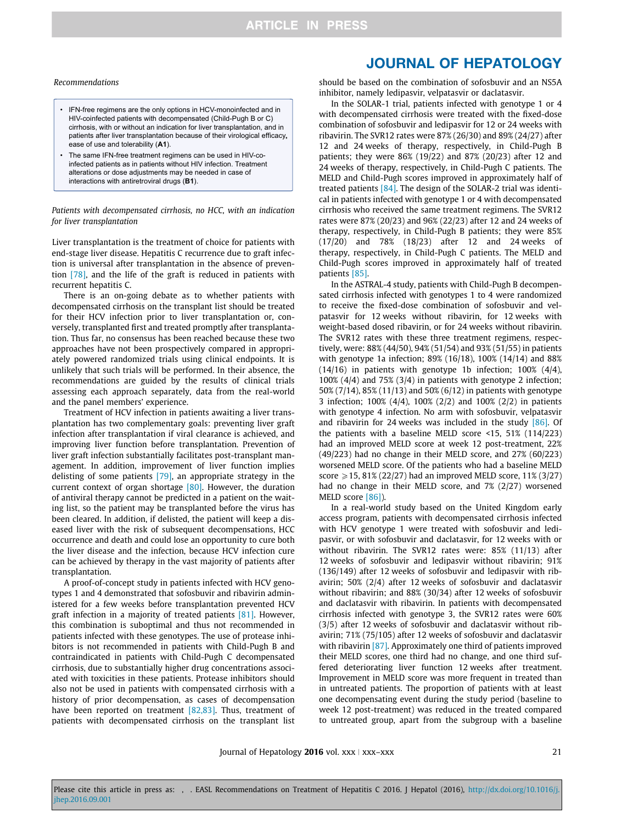#### Recommendations

- IFN-free regimens are the only options in HCV-monoinfected and in HIV-coinfected patients with decompensated (Child-Pugh B or C) cirrhosis, with or without an indication for liver transplantation, and in patients after liver transplantation because of their virological efficacy, ease of use and tolerability (**A1**).
- The same IFN-free treatment regimens can be used in HIV-coinfected patients as in patients without HIV infection. Treatment alterations or dose adjustments may be needed in case of interactions with antiretroviral drugs (**B1**).

Patients with decompensated cirrhosis, no HCC, with an indication for liver transplantation

Liver transplantation is the treatment of choice for patients with end-stage liver disease. Hepatitis C recurrence due to graft infection is universal after transplantation in the absence of prevention [\[78\]](#page-38-0), and the life of the graft is reduced in patients with recurrent hepatitis C.

There is an on-going debate as to whether patients with decompensated cirrhosis on the transplant list should be treated for their HCV infection prior to liver transplantation or, conversely, transplanted first and treated promptly after transplantation. Thus far, no consensus has been reached because these two approaches have not been prospectively compared in appropriately powered randomized trials using clinical endpoints. It is unlikely that such trials will be performed. In their absence, the recommendations are guided by the results of clinical trials assessing each approach separately, data from the real-world and the panel members' experience.

Treatment of HCV infection in patients awaiting a liver transplantation has two complementary goals: preventing liver graft infection after transplantation if viral clearance is achieved, and improving liver function before transplantation. Prevention of liver graft infection substantially facilitates post-transplant management. In addition, improvement of liver function implies delisting of some patients  $[79]$ , an appropriate strategy in the current context of organ shortage [\[80\].](#page-38-0) However, the duration of antiviral therapy cannot be predicted in a patient on the waiting list, so the patient may be transplanted before the virus has been cleared. In addition, if delisted, the patient will keep a diseased liver with the risk of subsequent decompensations, HCC occurrence and death and could lose an opportunity to cure both the liver disease and the infection, because HCV infection cure can be achieved by therapy in the vast majority of patients after transplantation.

A proof-of-concept study in patients infected with HCV genotypes 1 and 4 demonstrated that sofosbuvir and ribavirin administered for a few weeks before transplantation prevented HCV graft infection in a majority of treated patients [\[81\].](#page-38-0) However, this combination is suboptimal and thus not recommended in patients infected with these genotypes. The use of protease inhibitors is not recommended in patients with Child-Pugh B and contraindicated in patients with Child-Pugh C decompensated cirrhosis, due to substantially higher drug concentrations associated with toxicities in these patients. Protease inhibitors should also not be used in patients with compensated cirrhosis with a history of prior decompensation, as cases of decompensation have been reported on treatment  $[82,83]$ . Thus, treatment of patients with decompensated cirrhosis on the transplant list

## JOURNAL OF HEPATOLOGY

should be based on the combination of sofosbuvir and an NS5A inhibitor, namely ledipasvir, velpatasvir or daclatasvir.

In the SOLAR-1 trial, patients infected with genotype 1 or 4 with decompensated cirrhosis were treated with the fixed-dose combination of sofosbuvir and ledipasvir for 12 or 24 weeks with ribavirin. The SVR12 rates were 87% (26/30) and 89% (24/27) after 12 and 24 weeks of therapy, respectively, in Child-Pugh B patients; they were 86% (19/22) and 87% (20/23) after 12 and 24 weeks of therapy, respectively, in Child-Pugh C patients. The MELD and Child-Pugh scores improved in approximately half of treated patients [\[84\].](#page-39-0) The design of the SOLAR-2 trial was identical in patients infected with genotype 1 or 4 with decompensated cirrhosis who received the same treatment regimens. The SVR12 rates were 87% (20/23) and 96% (22/23) after 12 and 24 weeks of therapy, respectively, in Child-Pugh B patients; they were 85% (17/20) and 78% (18/23) after 12 and 24 weeks of therapy, respectively, in Child-Pugh C patients. The MELD and Child-Pugh scores improved in approximately half of treated patients [\[85\]](#page-39-0).

In the ASTRAL-4 study, patients with Child-Pugh B decompensated cirrhosis infected with genotypes 1 to 4 were randomized to receive the fixed-dose combination of sofosbuvir and velpatasvir for 12 weeks without ribavirin, for 12 weeks with weight-based dosed ribavirin, or for 24 weeks without ribavirin. The SVR12 rates with these three treatment regimens, respectively, were: 88% (44/50), 94% (51/54) and 93% (51/55) in patients with genotype 1a infection; 89% (16/18), 100% (14/14) and 88%  $(14/16)$  in patients with genotype 1b infection; 100%  $(4/4)$ , 100% (4/4) and 75% (3/4) in patients with genotype 2 infection; 50% (7/14), 85% (11/13) and 50% (6/12) in patients with genotype 3 infection; 100% (4/4), 100% (2/2) and 100% (2/2) in patients with genotype 4 infection. No arm with sofosbuvir, velpatasvir and ribavirin for 24 weeks was included in the study  $[86]$ . Of the patients with a baseline MELD score <15, 51% (114/223) had an improved MELD score at week 12 post-treatment, 22% (49/223) had no change in their MELD score, and 27% (60/223) worsened MELD score. Of the patients who had a baseline MELD score  $\geq 15$ , 81% (22/27) had an improved MELD score, 11% (3/27) had no change in their MELD score, and 7% (2/27) worsened MELD score [\[86\]](#page-39-0)).

In a real-world study based on the United Kingdom early access program, patients with decompensated cirrhosis infected with HCV genotype 1 were treated with sofosbuvir and ledipasvir, or with sofosbuvir and daclatasvir, for 12 weeks with or without ribavirin. The SVR12 rates were: 85% (11/13) after 12 weeks of sofosbuvir and ledipasvir without ribavirin; 91% (136/149) after 12 weeks of sofosbuvir and ledipasvir with ribavirin; 50% (2/4) after 12 weeks of sofosbuvir and daclatasvir without ribavirin; and 88% (30/34) after 12 weeks of sofosbuvir and daclatasvir with ribavirin. In patients with decompensated cirrhosis infected with genotype 3, the SVR12 rates were 60% (3/5) after 12 weeks of sofosbuvir and daclatasvir without ribavirin; 71% (75/105) after 12 weeks of sofosbuvir and daclatasvir with ribavirin [\[87\]](#page-39-0). Approximately one third of patients improved their MELD scores, one third had no change, and one third suffered deteriorating liver function 12 weeks after treatment. Improvement in MELD score was more frequent in treated than in untreated patients. The proportion of patients with at least one decompensating event during the study period (baseline to week 12 post-treatment) was reduced in the treated compared to untreated group, apart from the subgroup with a baseline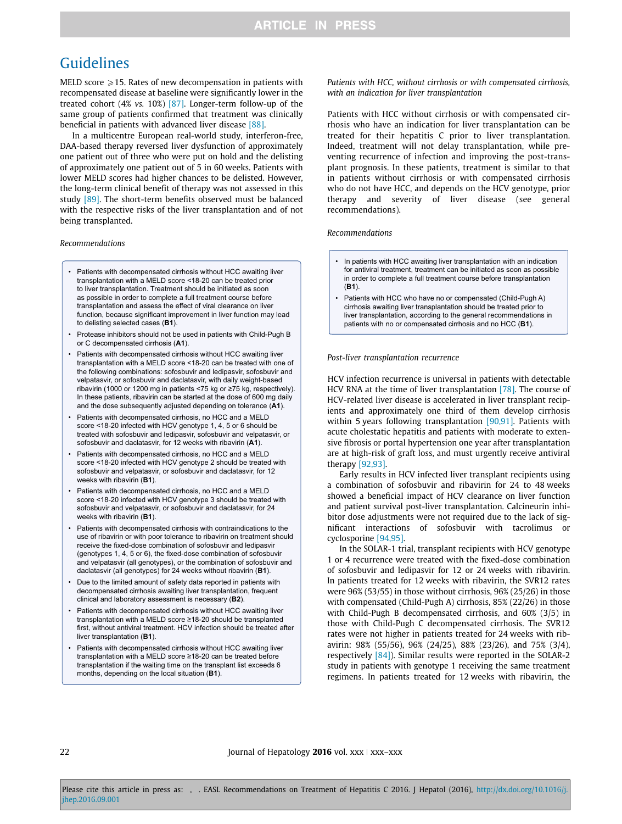MELD score  $\geq 15$ . Rates of new decompensation in patients with recompensated disease at baseline were significantly lower in the treated cohort  $(4\% \text{ vs. } 10\%)$   $[87]$ . Longer-term follow-up of the same group of patients confirmed that treatment was clinically beneficial in patients with advanced liver disease [\[88\]](#page-39-0).

In a multicentre European real-world study, interferon-free, DAA-based therapy reversed liver dysfunction of approximately one patient out of three who were put on hold and the delisting of approximately one patient out of 5 in 60 weeks. Patients with lower MELD scores had higher chances to be delisted. However, the long-term clinical benefit of therapy was not assessed in this study [\[89\].](#page-39-0) The short-term benefits observed must be balanced with the respective risks of the liver transplantation and of not being transplanted.

Recommendations

- Patients with decompensated cirrhosis without HCC awaiting liver transplantation with a MELD score <18-20 can be treated prior to liver transplantation. Treatment should be initiated as soon as possible in order to complete a full treatment course before transplantation and assess the effect of viral clearance on liver to delisting selected cases (**B1**). function, because significant improvement in liver function may lead
- Protease inhibitors should not be used in patients with Child-Pugh B or C decompensated cirrhosis (**A1**).
- Patients with decompensated cirrhosis without HCC awaiting liver transplantation with a MELD score <18-20 can be treated with one of the following combinations: sofosbuvir and ledipasvir, sofosbuvir and velpatasvir, or sofosbuvir and daclatasvir, with daily weight-based ribavirin (1000 or 1200 mg in patients <75 kg or ≥75 kg, respectively). In these patients, ribavirin can be started at the dose of 600 mg daily and the dose subsequently adjusted depending on tolerance (**A1**).
- Patients with decompensated cirrhosis, no HCC and a MELD score <18-20 infected with HCV genotype 1, 4, 5 or 6 should be treated with sofosbuvir and ledipasvir, sofosbuvir and velpatasvir, or sofosbuvir and daclatasvir, for 12 weeks with ribavirin (**A1**).
- Patients with decompensated cirrhosis, no HCC and a MELD score <18-20 infected with HCV genotype 2 should be treated with sofosbuvir and velpatasvir, or sofosbuvir and daclatasvir, for 12 weeks with ribavirin (**B1**).
- Patients with decompensated cirrhosis, no HCC and a MELD score <18-20 infected with HCV genotype 3 should be treated with sofosbuvir and velpatasvir, or sofosbuvir and daclatasvir, for 24 weeks with ribavirin (**B1**).
- Patients with decompensated cirrhosis with contraindications to the use of ribavirin or with poor tolerance to ribavirin on treatment should and velpatasvir (all genotypes), or the combination of sofosbuvir and daclatasvir (all genotypes) for 24 weeks without ribavirin (**B1**). receive the fixed-dose combination of sofosbuvir and ledipasvir (genotypes 1, 4, 5 or 6), the fixed-dose combination of sofosbuvir
- Due to the limited amount of safety data reported in patients with decompensated cirrhosis awaiting liver transplantation, frequent clinical and laboratory assessment is necessary (**B2**).
- Patients with decompensated cirrhosis without HCC awaiting liver transplantation with a MELD score ≥18-20 should be transplanted liver transplantation (**B1**). first, without antiviral treatment. HCV infection should be treated after
- Patients with decompensated cirrhosis without HCC awaiting liver transplantation with a MELD score ≥18-20 can be treated before transplantation if the waiting time on the transplant list exceeds 6 months, depending on the local situation (**B1**).

Patients with HCC, without cirrhosis or with compensated cirrhosis, with an indication for liver transplantation

Patients with HCC without cirrhosis or with compensated cirrhosis who have an indication for liver transplantation can be treated for their hepatitis C prior to liver transplantation. Indeed, treatment will not delay transplantation, while preventing recurrence of infection and improving the post-transplant prognosis. In these patients, treatment is similar to that in patients without cirrhosis or with compensated cirrhosis who do not have HCC, and depends on the HCV genotype, prior therapy and severity of liver disease (see general recommendations).

#### Recommendations

- In patients with HCC awaiting liver transplantation with an indication for antiviral treatment, treatment can be initiated as soon as possible in order to complete a full treatment course before transplantation (**B1**).
- Patients with HCC who have no or compensated (Child-Pugh A) cirrhosis awaiting liver transplantation should be treated prior to liver transplantation, according to the general recommendations in patients with no or compensated cirrhosis and no HCC (**B1**).

Post-liver transplantation recurrence

HCV infection recurrence is universal in patients with detectable HCV RNA at the time of liver transplantation [\[78\].](#page-38-0) The course of HCV-related liver disease is accelerated in liver transplant recipients and approximately one third of them develop cirrhosis within 5 years following transplantation  $[90,91]$ . Patients with acute cholestatic hepatitis and patients with moderate to extensive fibrosis or portal hypertension one year after transplantation are at high-risk of graft loss, and must urgently receive antiviral therapy [\[92,93\]](#page-39-0).

Early results in HCV infected liver transplant recipients using a combination of sofosbuvir and ribavirin for 24 to 48 weeks showed a beneficial impact of HCV clearance on liver function and patient survival post-liver transplantation. Calcineurin inhibitor dose adjustments were not required due to the lack of significant interactions of sofosbuvir with tacrolimus or cyclosporine [\[94,95\]](#page-39-0).

In the SOLAR-1 trial, transplant recipients with HCV genotype 1 or 4 recurrence were treated with the fixed-dose combination of sofosbuvir and ledipasvir for 12 or 24 weeks with ribavirin. In patients treated for 12 weeks with ribavirin, the SVR12 rates were 96% (53/55) in those without cirrhosis, 96% (25/26) in those with compensated (Child-Pugh A) cirrhosis, 85% (22/26) in those with Child-Pugh B decompensated cirrhosis, and 60% (3/5) in those with Child-Pugh C decompensated cirrhosis. The SVR12 rates were not higher in patients treated for 24 weeks with ribavirin: 98% (55/56), 96% (24/25), 88% (23/26), and 75% (3/4), respectively [\[84\]](#page-39-0)). Similar results were reported in the SOLAR-2 study in patients with genotype 1 receiving the same treatment regimens. In patients treated for 12 weeks with ribavirin, the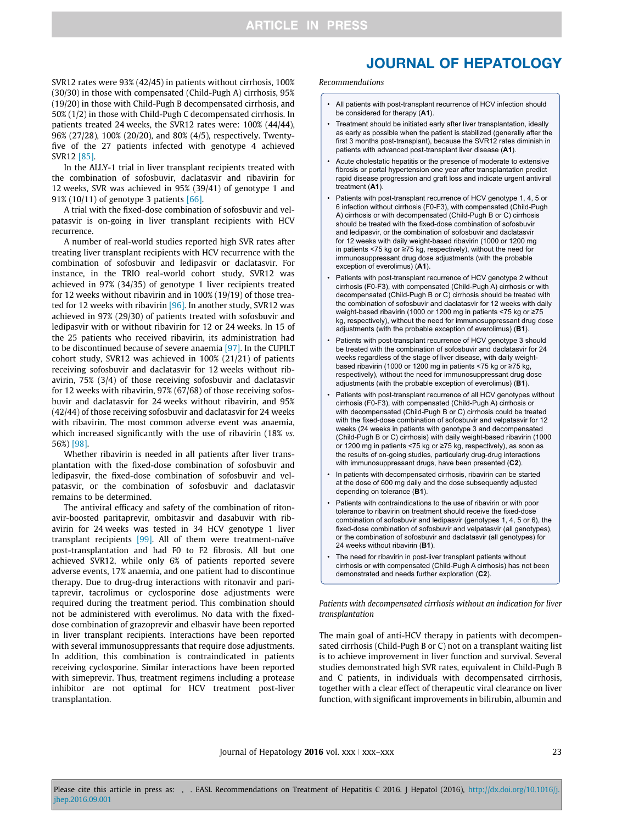SVR12 rates were 93% (42/45) in patients without cirrhosis, 100% (30/30) in those with compensated (Child-Pugh A) cirrhosis, 95% (19/20) in those with Child-Pugh B decompensated cirrhosis, and 50% (1/2) in those with Child-Pugh C decompensated cirrhosis. In patients treated 24 weeks, the SVR12 rates were: 100% (44/44), 96% (27/28), 100% (20/20), and 80% (4/5), respectively. Twentyfive of the 27 patients infected with genotype 4 achieved SVR12 [\[85\]](#page-39-0).

In the ALLY-1 trial in liver transplant recipients treated with the combination of sofosbuvir, daclatasvir and ribavirin for 12 weeks, SVR was achieved in 95% (39/41) of genotype 1 and 91% (10/11) of genotype 3 patients [\[66\].](#page-38-0)

A trial with the fixed-dose combination of sofosbuvir and velpatasvir is on-going in liver transplant recipients with HCV recurrence.

A number of real-world studies reported high SVR rates after treating liver transplant recipients with HCV recurrence with the combination of sofosbuvir and ledipasvir or daclatasvir. For instance, in the TRIO real-world cohort study, SVR12 was achieved in 97% (34/35) of genotype 1 liver recipients treated for 12 weeks without ribavirin and in 100% (19/19) of those trea-ted for 12 weeks with ribavirin [\[96\].](#page-39-0) In another study, SVR12 was achieved in 97% (29/30) of patients treated with sofosbuvir and ledipasvir with or without ribavirin for 12 or 24 weeks. In 15 of the 25 patients who received ribavirin, its administration had to be discontinued because of severe anaemia [\[97\]](#page-39-0). In the CUPILT cohort study, SVR12 was achieved in 100% (21/21) of patients receiving sofosbuvir and daclatasvir for 12 weeks without ribavirin, 75% (3/4) of those receiving sofosbuvir and daclatasvir for 12 weeks with ribavirin, 97% (67/68) of those receiving sofosbuvir and daclatasvir for 24 weeks without ribavirin, and 95% (42/44) of those receiving sofosbuvir and daclatasvir for 24 weeks with ribavirin. The most common adverse event was anaemia, which increased significantly with the use of ribavirin (18% vs. 56%) [\[98\].](#page-39-0)

Whether ribavirin is needed in all patients after liver transplantation with the fixed-dose combination of sofosbuvir and ledipasvir, the fixed-dose combination of sofosbuvir and velpatasvir, or the combination of sofosbuvir and daclatasvir remains to be determined.

The antiviral efficacy and safety of the combination of ritonavir-boosted paritaprevir, ombitasvir and dasabuvir with ribavirin for 24 weeks was tested in 34 HCV genotype 1 liver transplant recipients  $[99]$ . All of them were treatment-naïve post-transplantation and had F0 to F2 fibrosis. All but one achieved SVR12, while only 6% of patients reported severe adverse events, 17% anaemia, and one patient had to discontinue therapy. Due to drug-drug interactions with ritonavir and paritaprevir, tacrolimus or cyclosporine dose adjustments were required during the treatment period. This combination should not be administered with everolimus. No data with the fixeddose combination of grazoprevir and elbasvir have been reported in liver transplant recipients. Interactions have been reported with several immunosuppressants that require dose adjustments. In addition, this combination is contraindicated in patients receiving cyclosporine. Similar interactions have been reported with simeprevir. Thus, treatment regimens including a protease inhibitor are not optimal for HCV treatment post-liver transplantation.

## JOURNAL OF HEPATOLOGY

Recommendations

- All patients with post-transplant recurrence of HCV infection should be considered for therapy (**A1**).
- Treatment should be initiated early after liver transplantation, ideally as early as possible when the patient is stabilized (generally after the patients with advanced post-transplant liver disease (**A1**). first 3 months post-transplant), because the SVR12 rates diminish in
- Acute cholestatic hepatitis or the presence of moderate to extensive rapid disease progression and graft loss and indicate urgent antiviral treatment (**A1**). fibrosis or portal hypertension one year after transplantation predict
- Patients with post-transplant recurrence of HCV genotype 1, 4, 5 or 6 infection without cirrhosis (F0-F3), with compensated (Child-Pugh A) cirrhosis or with decompensated (Child-Pugh B or C) cirrhosis and ledipasvir, or the combination of sofosbuvir and daclatasvir for 12 weeks with daily weight-based ribavirin (1000 or 1200 mg in patients <75 kg or ≥75 kg, respectively), without the need for immunosuppressant drug dose adjustments (with the probable exception of everolimus) (**A1**). should be treated with the fixed-dose combination of sofosbuvir
- Patients with post-transplant recurrence of HCV genotype 2 without cirrhosis (F0-F3), with compensated (Child-Pugh A) cirrhosis or with decompensated (Child-Pugh B or C) cirrhosis should be treated with the combination of sofosbuvir and daclatasvir for 12 weeks with daily weight-based ribavirin (1000 or 1200 mg in patients <75 kg or ≥75 kg, respectively), without the need for immunosuppressant drug dose adjustments (with the probable exception of everolimus) (**B1**).
- Patients with post-transplant recurrence of HCV genotype 3 should be treated with the combination of sofosbuvir and daclatasvir for 24 weeks regardless of the stage of liver disease, with daily weightbased ribavirin (1000 or 1200 mg in patients <75 kg or ≥75 kg, respectively), without the need for immunosuppressant drug dose adjustments (with the probable exception of everolimus) (**B1**).
- Patients with post-transplant recurrence of all HCV genotypes without cirrhosis (F0-F3), with compensated (Child-Pugh A) cirrhosis or with decompensated (Child-Pugh B or C) cirrhosis could be treated weeks (24 weeks in patients with genotype 3 and decompensated (Child-Pugh B or C) cirrhosis) with daily weight-based ribavirin (1000 or 1200 mg in patients <75 kg or ≥75 kg, respectively), as soon as the results of on-going studies, particularly drug-drug interactions with immunosuppressant drugs, have been presented (**C2**). with the fixed-dose combination of sofosbuvir and velpatasvir for 12
- In patients with decompensated cirrhosis, ribavirin can be started at the dose of 600 mg daily and the dose subsequently adjusted depending on tolerance (**B1**).
- Patients with contraindications to the use of ribavirin or with poor combination of sofosbuvir and ledipasvir (genotypes 1, 4, 5 or 6), the or the combination of sofosbuvir and daclatasvir (all genotypes) for 24 weeks without ribavirin (**B1**). tolerance to ribavirin on treatment should receive the fixed-dose fixed-dose combination of sofosbuvir and velpatasvir (all genotypes),
- The need for ribavirin in post-liver transplant patients without cirrhosis or with compensated (Child-Pugh A cirrhosis) has not been demonstrated and needs further exploration (**C2**).

Patients with decompensated cirrhosis without an indication for liver transplantation

The main goal of anti-HCV therapy in patients with decompensated cirrhosis (Child-Pugh B or C) not on a transplant waiting list is to achieve improvement in liver function and survival. Several studies demonstrated high SVR rates, equivalent in Child-Pugh B and C patients, in individuals with decompensated cirrhosis, together with a clear effect of therapeutic viral clearance on liver function, with significant improvements in bilirubin, albumin and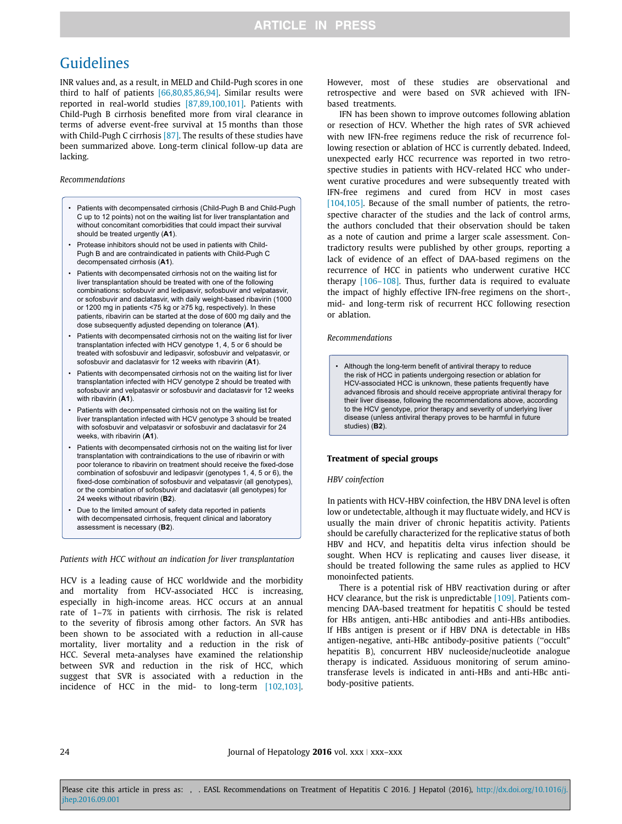INR values and, as a result, in MELD and Child-Pugh scores in one third to half of patients [\[66,80,85,86,94\]](#page-38-0). Similar results were reported in real-world studies [\[87,89,100,101\].](#page-39-0) Patients with Child-Pugh B cirrhosis benefited more from viral clearance in terms of adverse event-free survival at 15 months than those with Child-Pugh C cirrhosis [\[87\]](#page-39-0). The results of these studies have been summarized above. Long-term clinical follow-up data are lacking.

#### Recommendations

- Patients with decompensated cirrhosis (Child-Pugh B and Child-Pugh C up to 12 points) not on the waiting list for liver transplantation and without concomitant comorbidities that could impact their survival should be treated urgently (**A1**).
- Protease inhibitors should not be used in patients with Child-Pugh B and are contraindicated in patients with Child-Pugh C decompensated cirrhosis (**A1**).
- Patients with decompensated cirrhosis not on the waiting list for liver transplantation should be treated with one of the following combinations: sofosbuvir and ledipasvir, sofosbuvir and velpatasvir, or sofosbuvir and daclatasvir, with daily weight-based ribavirin (1000 or 1200 mg in patients <75 kg or ≥75 kg, respectively). In these patients, ribavirin can be started at the dose of 600 mg daily and the dose subsequently adjusted depending on tolerance (**A1**).
- Patients with decompensated cirrhosis not on the waiting list for liver transplantation infected with HCV genotype 1, 4, 5 or 6 should be treated with sofosbuvir and ledipasvir, sofosbuvir and velpatasvir, or sofosbuvir and daclatasvir for 12 weeks with ribavirin (**A1**).
- Patients with decompensated cirrhosis not on the waiting list for liver transplantation infected with HCV genotype 2 should be treated with sofosbuvir and velpatasvir or sofosbuvir and daclatasvir for 12 weeks with ribavirin (**A1**).
- Patients with decompensated cirrhosis not on the waiting list for liver transplantation infected with HCV genotype 3 should be treated with sofosbuvir and velpatasvir or sofosbuvir and daclatasvir for 24 weeks, with ribavirin (**A1**).
- Patients with decompensated cirrhosis not on the waiting list for liver transplantation with contraindications to the use of ribavirin or with combination of sofosbuvir and ledipasvir (genotypes 1, 4, 5 or 6), the or the combination of sofosbuvir and daclatasvir (all genotypes) for 24 weeks without ribavirin (**B2**). poor tolerance to ribavirin on treatment should receive the fixed-dose fixed-dose combination of sofosbuvir and velpatasvir (all genotypes),
- Due to the limited amount of safety data reported in patients with decompensated cirrhosis, frequent clinical and laboratory assessment is necessary (**B2**).

Patients with HCC without an indication for liver transplantation

HCV is a leading cause of HCC worldwide and the morbidity and mortality from HCV-associated HCC is increasing, especially in high-income areas. HCC occurs at an annual rate of 1–7% in patients with cirrhosis. The risk is related to the severity of fibrosis among other factors. An SVR has been shown to be associated with a reduction in all-cause mortality, liver mortality and a reduction in the risk of HCC. Several meta-analyses have examined the relationship between SVR and reduction in the risk of HCC, which suggest that SVR is associated with a reduction in the incidence of HCC in the mid- to long-term [\[102,103\]](#page-39-0). However, most of these studies are observational and retrospective and were based on SVR achieved with IFNbased treatments.

IFN has been shown to improve outcomes following ablation or resection of HCV. Whether the high rates of SVR achieved with new IFN-free regimens reduce the risk of recurrence following resection or ablation of HCC is currently debated. Indeed, unexpected early HCC recurrence was reported in two retrospective studies in patients with HCV-related HCC who underwent curative procedures and were subsequently treated with IFN-free regimens and cured from HCV in most cases [\[104,105\]](#page-39-0). Because of the small number of patients, the retrospective character of the studies and the lack of control arms, the authors concluded that their observation should be taken as a note of caution and prime a larger scale assessment. Contradictory results were published by other groups, reporting a lack of evidence of an effect of DAA-based regimens on the recurrence of HCC in patients who underwent curative HCC therapy [\[106–108\].](#page-39-0) Thus, further data is required to evaluate the impact of highly effective IFN-free regimens on the short-, mid- and long-term risk of recurrent HCC following resection or ablation.

#### Recommendations

• Although the long-term benefit of antiviral therapy to reduce the risk of HCC in patients undergoing resection or ablation for HCV-associated HCC is unknown, these patients frequently have advanced fibrosis and should receive appropriate antiviral therapy for their liver disease, following the recommendations above, according to the HCV genotype, prior therapy and severity of underlying liver disease (unless antiviral therapy proves to be harmful in future studies) (**B2**).

#### Treatment of special groups

#### HBV coinfection

In patients with HCV-HBV coinfection, the HBV DNA level is often low or undetectable, although it may fluctuate widely, and HCV is usually the main driver of chronic hepatitis activity. Patients should be carefully characterized for the replicative status of both HBV and HCV, and hepatitis delta virus infection should be sought. When HCV is replicating and causes liver disease, it should be treated following the same rules as applied to HCV monoinfected patients.

There is a potential risk of HBV reactivation during or after HCV clearance, but the risk is unpredictable [\[109\]](#page-39-0). Patients commencing DAA-based treatment for hepatitis C should be tested for HBs antigen, anti-HBc antibodies and anti-HBs antibodies. If HBs antigen is present or if HBV DNA is detectable in HBs antigen-negative, anti-HBc antibody-positive patients (''occult" hepatitis B), concurrent HBV nucleoside/nucleotide analogue therapy is indicated. Assiduous monitoring of serum aminotransferase levels is indicated in anti-HBs and anti-HBc antibody-positive patients.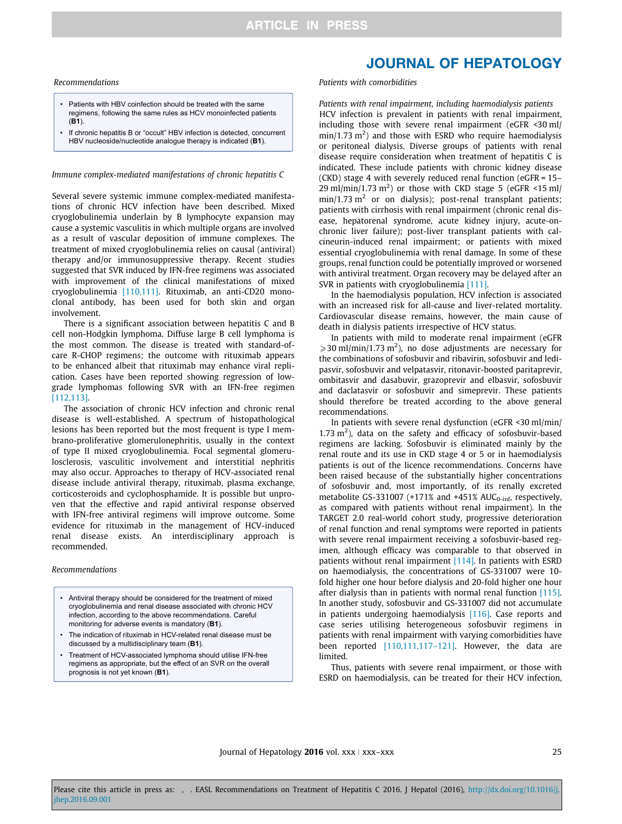Recommendations

- Patients with HBV coinfection should be treated with the same regimens, following the same rules as HCV monoinfected patients (**B1**).
- If chronic hepatitis B or "occult" HBV infection is detected, concurrent HBV nucleoside/nucleotide analogue therapy is indicated (**B1**).

Immune complex-mediated manifestations of chronic hepatitis C

Several severe systemic immune complex-mediated manifestations of chronic HCV infection have been described. Mixed cryoglobulinemia underlain by B lymphocyte expansion may cause a systemic vasculitis in which multiple organs are involved as a result of vascular deposition of immune complexes. The treatment of mixed cryoglobulinemia relies on causal (antiviral) therapy and/or immunosuppressive therapy. Recent studies suggested that SVR induced by IFN-free regimens was associated with improvement of the clinical manifestations of mixed cryoglobulinemia [\[110,111\]](#page-39-0). Rituximab, an anti-CD20 monoclonal antibody, has been used for both skin and organ involvement.

There is a significant association between hepatitis C and B cell non-Hodgkin lymphoma. Diffuse large B cell lymphoma is the most common. The disease is treated with standard-ofcare R-CHOP regimens; the outcome with rituximab appears to be enhanced albeit that rituximab may enhance viral replication. Cases have been reported showing regression of lowgrade lymphomas following SVR with an IFN-free regimen [\[112,113\]](#page-39-0).

The association of chronic HCV infection and chronic renal disease is well-established. A spectrum of histopathological lesions has been reported but the most frequent is type I membrano-proliferative glomerulonephritis, usually in the context of type II mixed cryoglobulinemia. Focal segmental glomerulosclerosis, vasculitic involvement and interstitial nephritis may also occur. Approaches to therapy of HCV-associated renal disease include antiviral therapy, rituximab, plasma exchange, corticosteroids and cyclophosphamide. It is possible but unproven that the effective and rapid antiviral response observed with IFN-free antiviral regimens will improve outcome. Some evidence for rituximab in the management of HCV-induced renal disease exists. An interdisciplinary approach is recommended.

Recommendations

- Antiviral therapy should be considered for the treatment of mixed cryoglobulinemia and renal disease associated with chronic HCV infection, according to the above recommendations. Careful monitoring for adverse events is mandatory (**B1**).
- The indication of rituximab in HCV-related renal disease must be discussed by a multidisciplinary team (**B1**).
- Treatment of HCV-associated lymphoma should utilise IFN-free regimens as appropriate, but the effect of an SVR on the overall prognosis is not yet known (**B1**).

## JOURNAL OF HEPATOLOGY

Patients with comorbidities

Patients with renal impairment, including haemodialysis patients HCV infection is prevalent in patients with renal impairment, including those with severe renal impairment (eGFR <30 ml/  $min/1.73$   $m<sup>2</sup>$ ) and those with ESRD who require haemodialysis or peritoneal dialysis. Diverse groups of patients with renal disease require consideration when treatment of hepatitis C is indicated. These include patients with chronic kidney disease (CKD) stage 4 with severely reduced renal function (eGFR = 15– 29 ml/min/1.73 m<sup>2</sup>) or those with CKD stage 5 (eGFR <15 ml/  $min/1.73$  m<sup>2</sup> or on dialysis); post-renal transplant patients; patients with cirrhosis with renal impairment (chronic renal disease, hepatorenal syndrome, acute kidney injury, acute-onchronic liver failure); post-liver transplant patients with calcineurin-induced renal impairment; or patients with mixed essential cryoglobulinemia with renal damage. In some of these groups, renal function could be potentially improved or worsened with antiviral treatment. Organ recovery may be delayed after an SVR in patients with cryoglobulinemia [\[111\]](#page-39-0).

In the haemodialysis population, HCV infection is associated with an increased risk for all-cause and liver-related mortality. Cardiovascular disease remains, however, the main cause of death in dialysis patients irrespective of HCV status.

In patients with mild to moderate renal impairment (eGFR  $\geqslant$  30 ml/min/1.73 m<sup>2</sup>), no dose adjustments are necessary for the combinations of sofosbuvir and ribavirin, sofosbuvir and ledipasvir, sofosbuvir and velpatasvir, ritonavir-boosted paritaprevir, ombitasvir and dasabuvir, grazoprevir and elbasvir, sofosbuvir and daclatasvir or sofosbuvir and simeprevir. These patients should therefore be treated according to the above general recommendations.

In patients with severe renal dysfunction (eGFR <30 ml/min/  $1.73 \text{ m}^2$ ), data on the safety and efficacy of sofosbuvir-based regimens are lacking. Sofosbuvir is eliminated mainly by the renal route and its use in CKD stage 4 or 5 or in haemodialysis patients is out of the licence recommendations. Concerns have been raised because of the substantially higher concentrations of sofosbuvir and, most importantly, of its renally excreted metabolite GS-331007 (+171% and +451% AUC $_{0\text{-inf}}$ , respectively, as compared with patients without renal impairment). In the TARGET 2.0 real-world cohort study, progressive deterioration of renal function and renal symptoms were reported in patients with severe renal impairment receiving a sofosbuvir-based regimen, although efficacy was comparable to that observed in patients without renal impairment [\[114\]](#page-39-0). In patients with ESRD on haemodialysis, the concentrations of GS-331007 were 10 fold higher one hour before dialysis and 20-fold higher one hour after dialysis than in patients with normal renal function [\[115\]](#page-39-0). In another study, sofosbuvir and GS-331007 did not accumulate in patients undergoing haemodialysis [\[116\].](#page-39-0) Case reports and case series utilising heterogeneous sofosbuvir regimens in patients with renal impairment with varying comorbidities have been reported [110,111,117-121]. However, the data are limited.

Thus, patients with severe renal impairment, or those with ESRD on haemodialysis, can be treated for their HCV infection,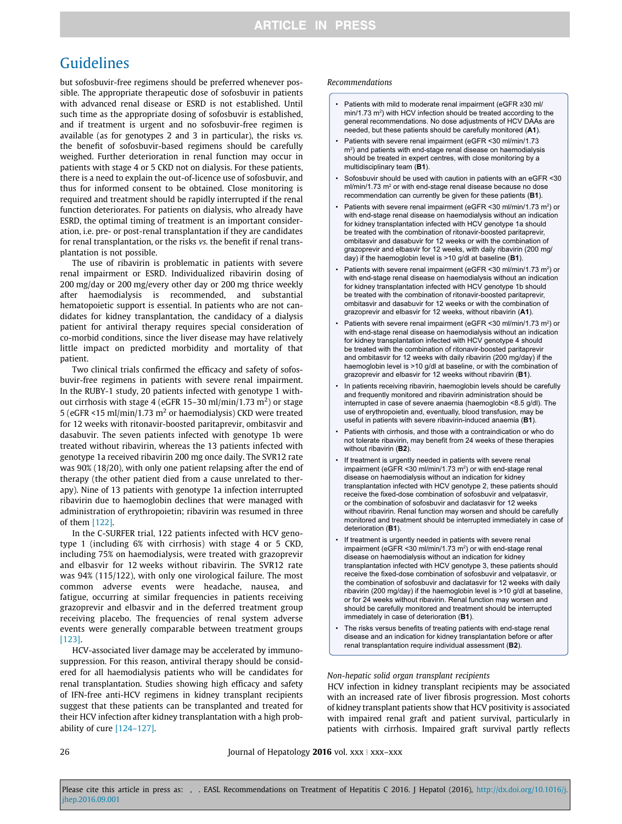but sofosbuvir-free regimens should be preferred whenever possible. The appropriate therapeutic dose of sofosbuvir in patients with advanced renal disease or ESRD is not established. Until such time as the appropriate dosing of sofosbuvir is established, and if treatment is urgent and no sofosbuvir-free regimen is available (as for genotypes 2 and 3 in particular), the risks vs. the benefit of sofosbuvir-based regimens should be carefully weighed. Further deterioration in renal function may occur in patients with stage 4 or 5 CKD not on dialysis. For these patients, there is a need to explain the out-of-licence use of sofosbuvir, and thus for informed consent to be obtained. Close monitoring is required and treatment should be rapidly interrupted if the renal function deteriorates. For patients on dialysis, who already have ESRD, the optimal timing of treatment is an important consideration, i.e. pre- or post-renal transplantation if they are candidates for renal transplantation, or the risks vs. the benefit if renal transplantation is not possible.

The use of ribavirin is problematic in patients with severe renal impairment or ESRD. Individualized ribavirin dosing of 200 mg/day or 200 mg/every other day or 200 mg thrice weekly after haemodialysis is recommended, and substantial hematopoietic support is essential. In patients who are not candidates for kidney transplantation, the candidacy of a dialysis patient for antiviral therapy requires special consideration of co-morbid conditions, since the liver disease may have relatively little impact on predicted morbidity and mortality of that patient.

Two clinical trials confirmed the efficacy and safety of sofosbuvir-free regimens in patients with severe renal impairment. In the RUBY-1 study, 20 patients infected with genotype 1 without cirrhosis with stage 4 (eGFR 15-30 ml/min/1.73 m<sup>2</sup>) or stage 5 (eGFR <15 ml/min/1.73 m<sup>2</sup> or haemodialysis) CKD were treated for 12 weeks with ritonavir-boosted paritaprevir, ombitasvir and dasabuvir. The seven patients infected with genotype 1b were treated without ribavirin, whereas the 13 patients infected with genotype 1a received ribavirin 200 mg once daily. The SVR12 rate was 90% (18/20), with only one patient relapsing after the end of therapy (the other patient died from a cause unrelated to therapy). Nine of 13 patients with genotype 1a infection interrupted ribavirin due to haemoglobin declines that were managed with administration of erythropoietin; ribavirin was resumed in three of them [\[122\].](#page-39-0)

In the C-SURFER trial, 122 patients infected with HCV genotype 1 (including 6% with cirrhosis) with stage 4 or 5 CKD, including 75% on haemodialysis, were treated with grazoprevir and elbasvir for 12 weeks without ribavirin. The SVR12 rate was 94% (115/122), with only one virological failure. The most common adverse events were headache, nausea, and fatigue, occurring at similar frequencies in patients receiving grazoprevir and elbasvir and in the deferred treatment group receiving placebo. The frequencies of renal system adverse events were generally comparable between treatment groups [\[123\]](#page-39-0).

HCV-associated liver damage may be accelerated by immunosuppression. For this reason, antiviral therapy should be considered for all haemodialysis patients who will be candidates for renal transplantation. Studies showing high efficacy and safety of IFN-free anti-HCV regimens in kidney transplant recipients suggest that these patients can be transplanted and treated for their HCV infection after kidney transplantation with a high probability of cure [\[124–127\].](#page-39-0)

#### Recommendations

- Patients with mild to moderate renal impairment (eGFR ≥30 ml/  $min/1.73$   $m<sup>2</sup>$ ) with HCV infection should be treated according to the general recommendations. No dose adjustments of HCV DAAs are needed, but these patients should be carefully monitored (**A1**).
- Patients with severe renal impairment (eGFR <30 ml/min/1.73 m2 ) and patients with end-stage renal disease on haemodialysis should be treated in expert centres, with close monitoring by a multidisciplinary team (**B1**).
- Sofosbuvir should be used with caution in patients with an eGFR <30 ml/min/1.73 m<sup>2</sup> or with end-stage renal disease because no dose recommendation can currently be given for these patients (**B1**).
- Patients with severe renal impairment (eGFR <30 ml/min/1.73 m<sup>2</sup>) or with end-stage renal disease on haemodialysis without an indication for kidney transplantation infected with HCV genotype 1a should be treated with the combination of ritonavir-boosted paritaprevir, ombitasvir and dasabuvir for 12 weeks or with the combination of grazoprevir and elbasvir for 12 weeks, with daily ribavirin (200 mg/ day) if the haemoglobin level is >10 g/dl at baseline (**B1**).
- Patients with severe renal impairment (eGFR < 30 ml/min/1.73 m<sup>2</sup>) or with end-stage renal disease on haemodialysis without an indication for kidney transplantation infected with HCV genotype 1b should be treated with the combination of ritonavir-boosted paritaprevir, ombitasvir and dasabuvir for 12 weeks or with the combination of grazoprevir and elbasvir for 12 weeks, without ribavirin (**A1**).
- Patients with severe renal impairment (eGFR  $\leq$  30 ml/min/1.73 m<sup>2</sup>) or with end-stage renal disease on haemodialysis without an indication for kidney transplantation infected with HCV genotype 4 should be treated with the combination of ritonavir-boosted paritaprevir and ombitasvir for 12 weeks with daily ribavirin (200 mg/day) if the haemoglobin level is >10 g/dl at baseline, or with the combination of grazoprevir and elbasvir for 12 weeks without ribavirin (**B1**).
- In patients receiving ribavirin, haemoglobin levels should be carefully and frequently monitored and ribavirin administration should be interrupted in case of severe anaemia (haemoglobin <8.5 g/dl). The use of erythropoietin and, eventually, blood transfusion, may be useful in patients with severe ribavirin-induced anaemia (**B1**).
- Patients with cirrhosis, and those with a contraindication or who do without ribavirin (**B2**). not tolerate ribavirin, may benefit from 24 weeks of these therapies
- If treatment is urgently needed in patients with severe renal impairment (eGFR <30 ml/min/1.73 m<sup>2</sup>) or with end-stage renal disease on haemodialysis without an indication for kidney transplantation infected with HCV genotype 2, these patients should or the combination of sofosbuvir and daclatasvir for 12 weeks without ribavirin. Renal function may worsen and should be carefully monitored and treatment should be interrupted immediately in case of deterioration (**B1**). receive the fixed-dose combination of sofosbuvir and velpatasvir,
- If treatment is urgently needed in patients with severe renal impairment (eGFR <30 ml/min/1.73 m<sup>2</sup>) or with end-stage renal disease on haemodialysis without an indication for kidney transplantation infected with HCV genotype 3, these patients should the combination of sofosbuvir and daclatasvir for 12 weeks with daily ribavirin (200 mg/day) if the haemoglobin level is >10 g/dl at baseline, or for 24 weeks without ribavirin. Renal function may worsen and should be carefully monitored and treatment should be interrupted immediately in case of deterioration (**B1**). receive the fixed-dose combination of sofosbuvir and velpatasvir, or
- disease and an indication for kidney transplantation before or after renal transplantation require individual assessment (**B2**). The risks versus benefits of treating patients with end-stage renal

#### Non-hepatic solid organ transplant recipients

HCV infection in kidney transplant recipients may be associated with an increased rate of liver fibrosis progression. Most cohorts of kidney transplant patients show that HCV positivity is associated with impaired renal graft and patient survival, particularly in patients with cirrhosis. Impaired graft survival partly reflects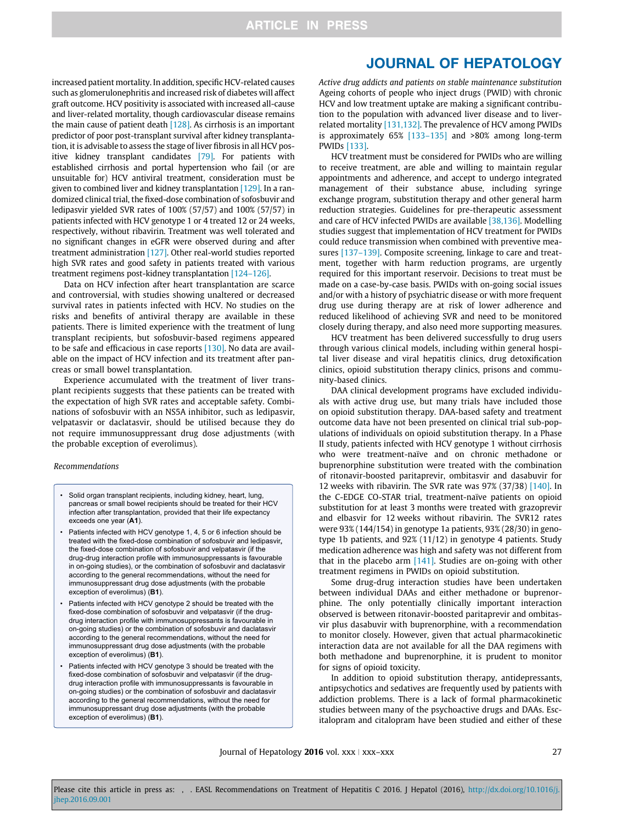increased patient mortality. In addition, specific HCV-related causes such as glomerulonephritis and increased risk of diabetes will affect graft outcome. HCV positivity is associated with increased all-cause and liver-related mortality, though cardiovascular disease remains the main cause of patient death  $[128]$ . As cirrhosis is an important predictor of poor post-transplant survival after kidney transplantation, it is advisable to assess the stage of liver fibrosis in all HCV positive kidney transplant candidates [\[79\].](#page-38-0) For patients with established cirrhosis and portal hypertension who fail (or are unsuitable for) HCV antiviral treatment, consideration must be given to combined liver and kidney transplantation [\[129\].](#page-40-0) In a randomized clinical trial, the fixed-dose combination of sofosbuvir and ledipasvir yielded SVR rates of 100% (57/57) and 100% (57/57) in patients infected with HCV genotype 1 or 4 treated 12 or 24 weeks, respectively, without ribavirin. Treatment was well tolerated and no significant changes in eGFR were observed during and after treatment administration [\[127\]](#page-40-0). Other real-world studies reported high SVR rates and good safety in patients treated with various treatment regimens post-kidney transplantation [\[124–126\]](#page-39-0).

Data on HCV infection after heart transplantation are scarce and controversial, with studies showing unaltered or decreased survival rates in patients infected with HCV. No studies on the risks and benefits of antiviral therapy are available in these patients. There is limited experience with the treatment of lung transplant recipients, but sofosbuvir-based regimens appeared to be safe and efficacious in case reports [\[130\].](#page-40-0) No data are available on the impact of HCV infection and its treatment after pancreas or small bowel transplantation.

Experience accumulated with the treatment of liver transplant recipients suggests that these patients can be treated with the expectation of high SVR rates and acceptable safety. Combinations of sofosbuvir with an NS5A inhibitor, such as ledipasvir, velpatasvir or daclatasvir, should be utilised because they do not require immunosuppressant drug dose adjustments (with the probable exception of everolimus).

#### Recommendations

- Solid organ transplant recipients, including kidney, heart, lung, pancreas or small bowel recipients should be treated for their HCV infection after transplantation, provided that their life expectancy exceeds one year (**A1**).
- Patients infected with HCV genotype 1, 4, 5 or 6 infection should be , treated with the fixed-dose combination of sofosbuvir and ledipasvir, in on-going studies), or the combination of sofosbuvir and daclatasvir according to the general recommendations, without the need for immunosuppressant drug dose adjustments (with the probable exception of everolimus) (**B1**). the fixed-dose combination of sofosbuvir and velpatasvir (if the drug-drug interaction profile with immunosuppressants is favourable
- Patients infected with HCV genotype 2 should be treated with the on-going studies) or the combination of sofosbuvir and daclatasvir according to the general recommendations, without the need for immunosuppressant drug dose adjustments (with the probable exception of everolimus) (**B1**). fixed-dose combination of sofosbuvir and velpatasvir (if the drugdrug interaction profile with immunosuppressants is favourable in
- Patients infected with HCV genotype 3 should be treated with the on-going studies) or the combination of sofosbuvir and daclatasvir according to the general recommendations, without the need for immunosuppressant drug dose adjustments (with the probable exception of everolimus) (**B1**). fixed-dose combination of sofosbuvir and velpatasvir (if the drugdrug interaction profile with immunosuppressants is favourable in

## JOURNAL OF HEPATOLOGY

Active drug addicts and patients on stable maintenance substitution Ageing cohorts of people who inject drugs (PWID) with chronic HCV and low treatment uptake are making a significant contribution to the population with advanced liver disease and to liverrelated mortality [\[131,132\]](#page-40-0). The prevalence of HCV among PWIDs is approximately 65% [\[133–135\]](#page-40-0) and >80% among long-term PWIDs [\[133\].](#page-40-0)

HCV treatment must be considered for PWIDs who are willing to receive treatment, are able and willing to maintain regular appointments and adherence, and accept to undergo integrated management of their substance abuse, including syringe exchange program, substitution therapy and other general harm reduction strategies. Guidelines for pre-therapeutic assessment and care of HCV infected PWIDs are available [\[38,136\]](#page-37-0). Modelling studies suggest that implementation of HCV treatment for PWIDs could reduce transmission when combined with preventive measures [\[137–139\]](#page-40-0). Composite screening, linkage to care and treatment, together with harm reduction programs, are urgently required for this important reservoir. Decisions to treat must be made on a case-by-case basis. PWIDs with on-going social issues and/or with a history of psychiatric disease or with more frequent drug use during therapy are at risk of lower adherence and reduced likelihood of achieving SVR and need to be monitored closely during therapy, and also need more supporting measures.

HCV treatment has been delivered successfully to drug users through various clinical models, including within general hospital liver disease and viral hepatitis clinics, drug detoxification clinics, opioid substitution therapy clinics, prisons and community-based clinics.

DAA clinical development programs have excluded individuals with active drug use, but many trials have included those on opioid substitution therapy. DAA-based safety and treatment outcome data have not been presented on clinical trial sub-populations of individuals on opioid substitution therapy. In a Phase II study, patients infected with HCV genotype 1 without cirrhosis who were treatment-naïve and on chronic methadone or buprenorphine substitution were treated with the combination of ritonavir-boosted paritaprevir, ombitasvir and dasabuvir for 12 weeks with ribavirin. The SVR rate was 97% (37/38) [\[140\]](#page-40-0). In the C-EDGE CO-STAR trial, treatment-naïve patients on opioid substitution for at least 3 months were treated with grazoprevir and elbasvir for 12 weeks without ribavirin. The SVR12 rates were 93% (144/154) in genotype 1a patients, 93% (28/30) in genotype 1b patients, and 92% (11/12) in genotype 4 patients. Study medication adherence was high and safety was not different from that in the placebo arm  $[141]$ . Studies are on-going with other treatment regimens in PWIDs on opioid substitution.

Some drug-drug interaction studies have been undertaken between individual DAAs and either methadone or buprenorphine. The only potentially clinically important interaction observed is between ritonavir-boosted paritaprevir and ombitasvir plus dasabuvir with buprenorphine, with a recommendation to monitor closely. However, given that actual pharmacokinetic interaction data are not available for all the DAA regimens with both methadone and buprenorphine, it is prudent to monitor for signs of opioid toxicity.

In addition to opioid substitution therapy, antidepressants, antipsychotics and sedatives are frequently used by patients with addiction problems. There is a lack of formal pharmacokinetic studies between many of the psychoactive drugs and DAAs. Escitalopram and citalopram have been studied and either of these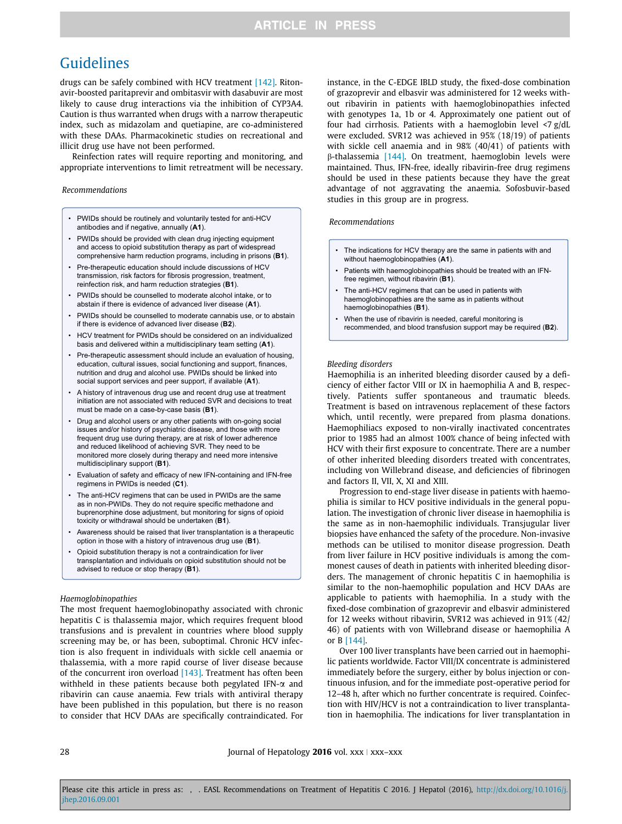drugs can be safely combined with HCV treatment [\[142\].](#page-40-0) Ritonavir-boosted paritaprevir and ombitasvir with dasabuvir are most likely to cause drug interactions via the inhibition of CYP3A4. Caution is thus warranted when drugs with a narrow therapeutic index, such as midazolam and quetiapine, are co-administered with these DAAs. Pharmacokinetic studies on recreational and illicit drug use have not been performed.

Reinfection rates will require reporting and monitoring, and appropriate interventions to limit retreatment will be necessary.

#### Recommendations

- PWIDs should be routinely and voluntarily tested for anti-HCV antibodies and if negative, annually (**A1**).
- PWIDs should be provided with clean drug injecting equipment and access to opioid substitution therapy as part of widespread comprehensive harm reduction programs, including in prisons (**B1**).
- Pre-therapeutic education should include discussions of HCV reinfection risk, and harm reduction strategies (**B1**). transmission, risk factors for fibrosis progression, treatment,
- PWIDs should be counselled to moderate alcohol intake, or to abstain if there is evidence of advanced liver disease (**A1**).
- PWIDs should be counselled to moderate cannabis use, or to abstain if there is evidence of advanced liver disease (**B2**).
- HCV treatment for PWIDs should be considered on an individualized basis and delivered within a multidisciplinary team setting (**A1**).
- Pre-therapeutic assessment should include an evaluation of housing, nutrition and drug and alcohol use. PWIDs should be linked into social support services and peer support, if available (**A1**). education, cultural issues, social functioning and support, finances,
- A history of intravenous drug use and recent drug use at treatment initiation are not associated with reduced SVR and decisions to treat must be made on a case-by-case basis (**B1**).
- Drug and alcohol users or any other patients with on-going social issues and/or history of psychiatric disease, and those with more frequent drug use during therapy, are at risk of lower adherence and reduced likelihood of achieving SVR. They need to be monitored more closely during therapy and need more intensive multidisciplinary support (**B1**).
- Evaluation of safety and efficacy of new IFN-containing and IFN-free regimens in PWIDs is needed (**C1**).
- The anti-HCV regimens that can be used in PWIDs are the same buprenorphine dose adjustment, but monitoring for signs of opioid toxicity or withdrawal should be undertaken (**B1**). as in non-PWIDs. They do not require specific methadone and
- Awareness should be raised that liver transplantation is a therapeutic option in those with a history of intravenous drug use (**B1**).
- Opioid substitution therapy is not a contraindication for liver transplantation and individuals on opioid substitution should not be advised to reduce or stop therapy (**B1**).

#### Haemoglobinopathies

The most frequent haemoglobinopathy associated with chronic hepatitis C is thalassemia major, which requires frequent blood transfusions and is prevalent in countries where blood supply screening may be, or has been, suboptimal. Chronic HCV infection is also frequent in individuals with sickle cell anaemia or thalassemia, with a more rapid course of liver disease because of the concurrent iron overload [\[143\]](#page-40-0). Treatment has often been withheld in these patients because both pegylated IFN- $\alpha$  and ribavirin can cause anaemia. Few trials with antiviral therapy have been published in this population, but there is no reason to consider that HCV DAAs are specifically contraindicated. For instance, in the C-EDGE IBLD study, the fixed-dose combination of grazoprevir and elbasvir was administered for 12 weeks without ribavirin in patients with haemoglobinopathies infected with genotypes 1a, 1b or 4. Approximately one patient out of four had cirrhosis. Patients with a haemoglobin level  $\langle 7 \text{ g/d} L \rangle$ were excluded. SVR12 was achieved in 95% (18/19) of patients with sickle cell anaemia and in 98% (40/41) of patients with  $\beta$ -thalassemia [\[144\]](#page-40-0). On treatment, haemoglobin levels were maintained. Thus, IFN-free, ideally ribavirin-free drug regimens should be used in these patients because they have the great advantage of not aggravating the anaemia. Sofosbuvir-based studies in this group are in progress.

#### Recommendations

- The indications for HCV therapy are the same in patients with and without haemoglobinopathies (**A1**).
- Patients with haemoglobinopathies should be treated with an IFNfree regimen, without ribavirin (**B1**).
- The anti-HCV regimens that can be used in patients with haemoglobinopathies are the same as in patients without haemoglobinopathies (**B1**).
- When the use of ribavirin is needed, careful monitoring is recommended, and blood transfusion support may be required (**B2**).

#### Bleeding disorders

Haemophilia is an inherited bleeding disorder caused by a deficiency of either factor VIII or IX in haemophilia A and B, respectively. Patients suffer spontaneous and traumatic bleeds. Treatment is based on intravenous replacement of these factors which, until recently, were prepared from plasma donations. Haemophiliacs exposed to non-virally inactivated concentrates prior to 1985 had an almost 100% chance of being infected with HCV with their first exposure to concentrate. There are a number of other inherited bleeding disorders treated with concentrates, including von Willebrand disease, and deficiencies of fibrinogen and factors II, VII, X, XI and XIII.

Progression to end-stage liver disease in patients with haemophilia is similar to HCV positive individuals in the general population. The investigation of chronic liver disease in haemophilia is the same as in non-haemophilic individuals. Transjugular liver biopsies have enhanced the safety of the procedure. Non-invasive methods can be utilised to monitor disease progression. Death from liver failure in HCV positive individuals is among the commonest causes of death in patients with inherited bleeding disorders. The management of chronic hepatitis C in haemophilia is similar to the non-haemophilic population and HCV DAAs are applicable to patients with haemophilia. In a study with the fixed-dose combination of grazoprevir and elbasvir administered for 12 weeks without ribavirin, SVR12 was achieved in 91% (42/ 46) of patients with von Willebrand disease or haemophilia A or B [\[144\].](#page-40-0)

Over 100 liver transplants have been carried out in haemophilic patients worldwide. Factor VIII/IX concentrate is administered immediately before the surgery, either by bolus injection or continuous infusion, and for the immediate post-operative period for 12–48 h, after which no further concentrate is required. Coinfection with HIV/HCV is not a contraindication to liver transplantation in haemophilia. The indications for liver transplantation in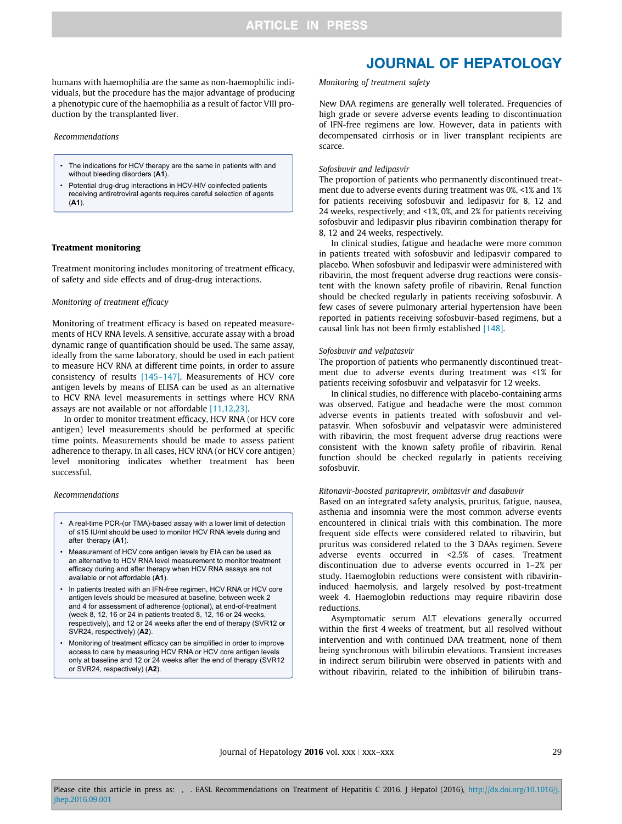humans with haemophilia are the same as non-haemophilic individuals, but the procedure has the major advantage of producing a phenotypic cure of the haemophilia as a result of factor VIII production by the transplanted liver.

Recommendations

- The indications for HCV therapy are the same in patients with and without bleeding disorders (**A1**).
- Potential drug-drug interactions in HCV-HIV coinfected patients receiving antiretroviral agents requires careful selection of agents (**A1**).

#### Treatment monitoring

Treatment monitoring includes monitoring of treatment efficacy, of safety and side effects and of drug-drug interactions.

#### Monitoring of treatment efficacy

Monitoring of treatment efficacy is based on repeated measurements of HCV RNA levels. A sensitive, accurate assay with a broad dynamic range of quantification should be used. The same assay, ideally from the same laboratory, should be used in each patient to measure HCV RNA at different time points, in order to assure consistency of results [\[145–147\]](#page-40-0). Measurements of HCV core antigen levels by means of ELISA can be used as an alternative to HCV RNA level measurements in settings where HCV RNA assays are not available or not affordable [\[11,12,23\].](#page-37-0)

In order to monitor treatment efficacy, HCV RNA (or HCV core antigen) level measurements should be performed at specific time points. Measurements should be made to assess patient adherence to therapy. In all cases, HCV RNA (or HCV core antigen) level monitoring indicates whether treatment has been successful.

#### Recommendations

- A real-time PCR-(or TMA)-based assay with a lower limit of detection of ≤15 IU/ml should be used to monitor HCV RNA levels during and after therapy (**A1**).
- Measurement of HCV core antigen levels by EIA can be used as an alternative to HCV RNA level measurement to monitor treatment available or not affordable (**A1**). efficacy during and after therapy when HCV RNA assays are not
- In patients treated with an IFN-free regimen, HCV RNA or HCV core antigen levels should be measured at baseline, between week 2 and 4 for assessment of adherence (optional), at end-of-treatment (week 8, 12, 16 or 24 in patients treated 8, 12, 16 or 24 weeks, respectively), and 12 or 24 weeks after the end of therapy (SVR12 or SVR24, respectively) (**A2**).
- access to care by measuring HCV RNA or HCV core antigen levels only at baseline and 12 or 24 weeks after the end of therapy (SVR12 or SVR24, respectively) (**A2**). Monitoring of treatment efficacy can be simplified in order to improve

## JOURNAL OF HEPATOLOGY

Monitoring of treatment safety

New DAA regimens are generally well tolerated. Frequencies of high grade or severe adverse events leading to discontinuation of IFN-free regimens are low. However, data in patients with decompensated cirrhosis or in liver transplant recipients are scarce.

#### Sofosbuvir and ledipasvir

The proportion of patients who permanently discontinued treatment due to adverse events during treatment was 0%, <1% and 1% for patients receiving sofosbuvir and ledipasvir for 8, 12 and 24 weeks, respectively; and <1%, 0%, and 2% for patients receiving sofosbuvir and ledipasvir plus ribavirin combination therapy for 8, 12 and 24 weeks, respectively.

In clinical studies, fatigue and headache were more common in patients treated with sofosbuvir and ledipasvir compared to placebo. When sofosbuvir and ledipasvir were administered with ribavirin, the most frequent adverse drug reactions were consistent with the known safety profile of ribavirin. Renal function should be checked regularly in patients receiving sofosbuvir. A few cases of severe pulmonary arterial hypertension have been reported in patients receiving sofosbuvir-based regimens, but a causal link has not been firmly established [\[148\]](#page-40-0).

#### Sofosbuvir and velpatasvir

The proportion of patients who permanently discontinued treatment due to adverse events during treatment was <1% for patients receiving sofosbuvir and velpatasvir for 12 weeks.

In clinical studies, no difference with placebo-containing arms was observed. Fatigue and headache were the most common adverse events in patients treated with sofosbuvir and velpatasvir. When sofosbuvir and velpatasvir were administered with ribavirin, the most frequent adverse drug reactions were consistent with the known safety profile of ribavirin. Renal function should be checked regularly in patients receiving sofosbuvir.

#### Ritonavir-boosted paritaprevir, ombitasvir and dasabuvir

Based on an integrated safety analysis, pruritus, fatigue, nausea, asthenia and insomnia were the most common adverse events encountered in clinical trials with this combination. The more frequent side effects were considered related to ribavirin, but pruritus was considered related to the 3 DAAs regimen. Severe adverse events occurred in <2.5% of cases. Treatment discontinuation due to adverse events occurred in 1–2% per study. Haemoglobin reductions were consistent with ribavirininduced haemolysis, and largely resolved by post-treatment week 4. Haemoglobin reductions may require ribavirin dose reductions.

Asymptomatic serum ALT elevations generally occurred within the first 4 weeks of treatment, but all resolved without intervention and with continued DAA treatment, none of them being synchronous with bilirubin elevations. Transient increases in indirect serum bilirubin were observed in patients with and without ribavirin, related to the inhibition of bilirubin trans-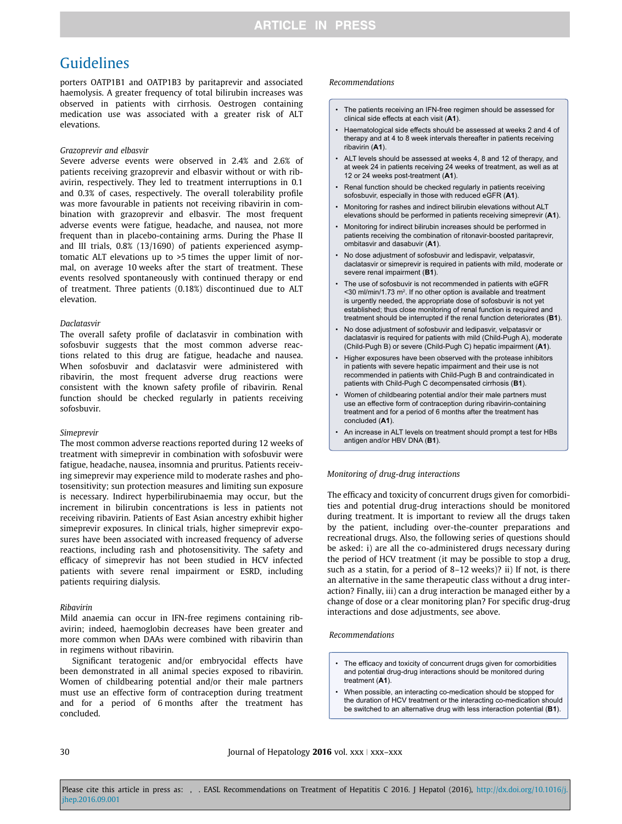porters OATP1B1 and OATP1B3 by paritaprevir and associated haemolysis. A greater frequency of total bilirubin increases was observed in patients with cirrhosis. Oestrogen containing medication use was associated with a greater risk of ALT elevations.

#### Grazoprevir and elbasvir

Severe adverse events were observed in 2.4% and 2.6% of patients receiving grazoprevir and elbasvir without or with ribavirin, respectively. They led to treatment interruptions in 0.1 and 0.3% of cases, respectively. The overall tolerability profile was more favourable in patients not receiving ribavirin in combination with grazoprevir and elbasvir. The most frequent adverse events were fatigue, headache, and nausea, not more frequent than in placebo-containing arms. During the Phase II and III trials, 0.8% (13/1690) of patients experienced asymptomatic ALT elevations up to >5 times the upper limit of normal, on average 10 weeks after the start of treatment. These events resolved spontaneously with continued therapy or end of treatment. Three patients (0.18%) discontinued due to ALT elevation.

#### Daclatasvir

The overall safety profile of daclatasvir in combination with sofosbuvir suggests that the most common adverse reactions related to this drug are fatigue, headache and nausea. When sofosbuvir and daclatasvir were administered with ribavirin, the most frequent adverse drug reactions were consistent with the known safety profile of ribavirin. Renal function should be checked regularly in patients receiving sofosbuvir.

#### Simeprevir

The most common adverse reactions reported during 12 weeks of treatment with simeprevir in combination with sofosbuvir were fatigue, headache, nausea, insomnia and pruritus. Patients receiving simeprevir may experience mild to moderate rashes and photosensitivity; sun protection measures and limiting sun exposure is necessary. Indirect hyperbilirubinaemia may occur, but the increment in bilirubin concentrations is less in patients not receiving ribavirin. Patients of East Asian ancestry exhibit higher simeprevir exposures. In clinical trials, higher simeprevir exposures have been associated with increased frequency of adverse reactions, including rash and photosensitivity. The safety and efficacy of simeprevir has not been studied in HCV infected patients with severe renal impairment or ESRD, including patients requiring dialysis.

#### Ribavirin

Mild anaemia can occur in IFN-free regimens containing ribavirin; indeed, haemoglobin decreases have been greater and more common when DAAs were combined with ribavirin than in regimens without ribavirin.

Significant teratogenic and/or embryocidal effects have been demonstrated in all animal species exposed to ribavirin. Women of childbearing potential and/or their male partners must use an effective form of contraception during treatment and for a period of 6 months after the treatment has concluded.

#### Recommendations

- The patients receiving an IFN-free regimen should be assessed for clinical side effects at each visit (**A1**).
- Haematological side effects should be assessed at weeks 2 and 4 of therapy and at 4 to 8 week intervals thereafter in patients receiving ribavirin (**A1**).
- ALT levels should be assessed at weeks 4, 8 and 12 of therapy, and at week 24 in patients receiving 24 weeks of treatment, as well as at 12 or 24 weeks post-treatment (**A1**).
- Renal function should be checked regularly in patients receiving sofosbuvir, especially in those with reduced eGFR (**A1**).
- Monitoring for rashes and indirect bilirubin elevations without ALT elevations should be performed in patients receiving simeprevir (**A1**).
- Monitoring for indirect bilirubin increases should be performed in patients receiving the combination of ritonavir-boosted paritaprevir, ombitasvir and dasabuvir (**A1**).
- No dose adjustment of sofosbuvir and ledispavir, velpatasvir, daclatasvir or simeprevir is required in patients with mild, moderate or severe renal impairment (**B1**).
- The use of sofosbuvir is not recommended in patients with eGFR  $\leq$  30 ml/min/1.73 m<sup>2</sup>. If no other option is available and treatment is urgently needed, the appropriate dose of sofosbuvir is not yet established; thus close monitoring of renal function is required and treatment should be interrupted if the renal function deteriorates (**B1**).
- No dose adjustment of sofosbuvir and ledipasvir, velpatasvir or daclatasvir is required for patients with mild (Child-Pugh A), moderate (Child-Pugh B) or severe (Child-Pugh C) hepatic impairment (**A1**).
- Higher exposures have been observed with the protease inhibitors in patients with severe hepatic impairment and their use is not recommended in patients with Child-Pugh B and contraindicated in patients with Child-Pugh C decompensated cirrhosis (**B1**).
- Women of childbearing potential and/or their male partners must use an effective form of contraception during ribavirin-containing treatment and for a period of 6 months after the treatment has concluded (**A1**).
- An increase in ALT levels on treatment should prompt a test for HBs antigen and/or HBV DNA (**B1**).

#### Monitoring of drug-drug interactions

The efficacy and toxicity of concurrent drugs given for comorbidities and potential drug-drug interactions should be monitored during treatment. It is important to review all the drugs taken by the patient, including over-the-counter preparations and recreational drugs. Also, the following series of questions should be asked: i) are all the co-administered drugs necessary during the period of HCV treatment (it may be possible to stop a drug, such as a statin, for a period of 8–12 weeks)? ii) If not, is there an alternative in the same therapeutic class without a drug interaction? Finally, iii) can a drug interaction be managed either by a change of dose or a clear monitoring plan? For specific drug-drug interactions and dose adjustments, see above.

#### Recommendations

- The efficacy and toxicity of concurrent drugs given for comorbidities and potential drug-drug interactions should be monitored during treatment (**A1**).
- When possible, an interacting co-medication should be stopped for the duration of HCV treatment or the interacting co-medication should be switched to an alternative drug with less interaction potential (**B1**).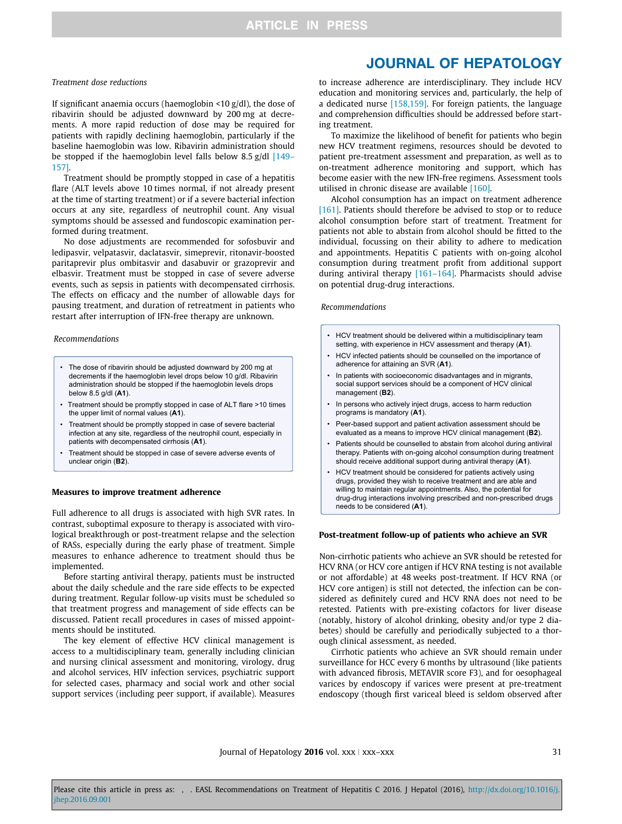Treatment dose reductions

If significant anaemia occurs (haemoglobin <10 g/dl), the dose of ribavirin should be adjusted downward by 200 mg at decrements. A more rapid reduction of dose may be required for patients with rapidly declining haemoglobin, particularly if the baseline haemoglobin was low. Ribavirin administration should be stopped if the haemoglobin level falls below 8.5 g/dl [\[149–](#page-40-0) [157\].](#page-40-0)

Treatment should be promptly stopped in case of a hepatitis flare (ALT levels above 10 times normal, if not already present at the time of starting treatment) or if a severe bacterial infection occurs at any site, regardless of neutrophil count. Any visual symptoms should be assessed and fundoscopic examination performed during treatment.

No dose adjustments are recommended for sofosbuvir and ledipasvir, velpatasvir, daclatasvir, simeprevir, ritonavir-boosted paritaprevir plus ombitasvir and dasabuvir or grazoprevir and elbasvir. Treatment must be stopped in case of severe adverse events, such as sepsis in patients with decompensated cirrhosis. The effects on efficacy and the number of allowable days for pausing treatment, and duration of retreatment in patients who restart after interruption of IFN-free therapy are unknown.

#### Recommendations

- The dose of ribavirin should be adjusted downward by 200 mg at decrements if the haemoglobin level drops below 10 g/dl. Ribavirin administration should be stopped if the haemoglobin levels drops below 8.5 g/dl (**A1**).
- Treatment should be promptly stopped in case of ALT flare >10 times the upper limit of normal values (**A1**).
- Treatment should be promptly stopped in case of severe bacterial infection at any site, regardless of the neutrophil count, especially in patients with decompensated cirrhosis (**A1**).
- Treatment should be stopped in case of severe adverse events of unclear origin (**B2**).

#### Measures to improve treatment adherence

Full adherence to all drugs is associated with high SVR rates. In contrast, suboptimal exposure to therapy is associated with virological breakthrough or post-treatment relapse and the selection of RASs, especially during the early phase of treatment. Simple measures to enhance adherence to treatment should thus be implemented.

Before starting antiviral therapy, patients must be instructed about the daily schedule and the rare side effects to be expected during treatment. Regular follow-up visits must be scheduled so that treatment progress and management of side effects can be discussed. Patient recall procedures in cases of missed appointments should be instituted.

The key element of effective HCV clinical management is access to a multidisciplinary team, generally including clinician and nursing clinical assessment and monitoring, virology, drug and alcohol services, HIV infection services, psychiatric support for selected cases, pharmacy and social work and other social support services (including peer support, if available). Measures

## JOURNAL OF HEPATOLOGY

to increase adherence are interdisciplinary. They include HCV education and monitoring services and, particularly, the help of a dedicated nurse  $[158, 159]$ . For foreign patients, the language and comprehension difficulties should be addressed before starting treatment.

To maximize the likelihood of benefit for patients who begin new HCV treatment regimens, resources should be devoted to patient pre-treatment assessment and preparation, as well as to on-treatment adherence monitoring and support, which has become easier with the new IFN-free regimens. Assessment tools utilised in chronic disease are available [\[160\]](#page-40-0).

Alcohol consumption has an impact on treatment adherence [\[161\].](#page-40-0) Patients should therefore be advised to stop or to reduce alcohol consumption before start of treatment. Treatment for patients not able to abstain from alcohol should be fitted to the individual, focussing on their ability to adhere to medication and appointments. Hepatitis C patients with on-going alcohol consumption during treatment profit from additional support during antiviral therapy [161-164]. Pharmacists should advise on potential drug-drug interactions.

#### Recommendations

- HCV treatment should be delivered within a multidisciplinary team setting, with experience in HCV assessment and therapy (**A1**).
- HCV infected patients should be counselled on the importance of adherence for attaining an SVR (**A1**).
- In patients with socioeconomic disadvantages and in migrants, social support services should be a component of HCV clinical management (**B2**).
- In persons who actively inject drugs, access to harm reduction programs is mandatory (**A1**).
- Peer-based support and patient activation assessment should be evaluated as a means to improve HCV clinical management (**B2**).
- Patients should be counselled to abstain from alcohol during antiviral therapy. Patients with on-going alcohol consumption during treatment should receive additional support during antiviral therapy (**A1**).
- HCV treatment should be considered for patients actively using drugs, provided they wish to receive treatment and are able and willing to maintain regular appointments. Also, the potential for drug-drug interactions involving prescribed and non-prescribed drugs needs to be considered (**A1**).

#### Post-treatment follow-up of patients who achieve an SVR

Non-cirrhotic patients who achieve an SVR should be retested for HCV RNA (or HCV core antigen if HCV RNA testing is not available or not affordable) at 48 weeks post-treatment. If HCV RNA (or HCV core antigen) is still not detected, the infection can be considered as definitely cured and HCV RNA does not need to be retested. Patients with pre-existing cofactors for liver disease (notably, history of alcohol drinking, obesity and/or type 2 diabetes) should be carefully and periodically subjected to a thorough clinical assessment, as needed.

Cirrhotic patients who achieve an SVR should remain under surveillance for HCC every 6 months by ultrasound (like patients with advanced fibrosis, METAVIR score F3), and for oesophageal varices by endoscopy if varices were present at pre-treatment endoscopy (though first variceal bleed is seldom observed after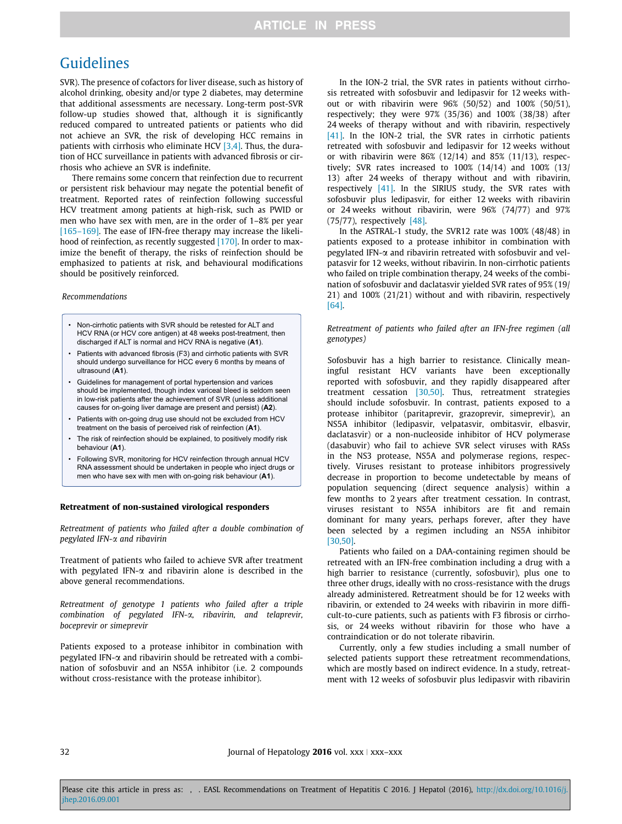SVR). The presence of cofactors for liver disease, such as history of alcohol drinking, obesity and/or type 2 diabetes, may determine that additional assessments are necessary. Long-term post-SVR follow-up studies showed that, although it is significantly reduced compared to untreated patients or patients who did not achieve an SVR, the risk of developing HCC remains in patients with cirrhosis who eliminate HCV  $[3,4]$ . Thus, the duration of HCC surveillance in patients with advanced fibrosis or cirrhosis who achieve an SVR is indefinite.

There remains some concern that reinfection due to recurrent or persistent risk behaviour may negate the potential benefit of treatment. Reported rates of reinfection following successful HCV treatment among patients at high-risk, such as PWID or men who have sex with men, are in the order of 1–8% per year [\[165–169\]](#page-40-0). The ease of IFN-free therapy may increase the likeli-hood of reinfection, as recently suggested [\[170\].](#page-41-0) In order to maximize the benefit of therapy, the risks of reinfection should be emphasized to patients at risk, and behavioural modifications should be positively reinforced.

#### Recommendations

- Non-cirrhotic patients with SVR should be retested for ALT and HCV RNA (or HCV core antigen) at 48 weeks post-treatment, then discharged if ALT is normal and HCV RNA is negative (**A1**).
- Patients with advanced fibrosis (F3) and cirrhotic patients with SVR should undergo surveillance for HCC every 6 months by means of ultrasound (**A1**).
- Guidelines for management of portal hypertension and varices should be implemented, though index variceal bleed is seldom seen in low-risk patients after the achievement of SVR (unless additional causes for on-going liver damage are present and persist) (**A2**).
- Patients with on-going drug use should not be excluded from HCV treatment on the basis of perceived risk of reinfection (**A1**).
- The risk of reinfection should be explained, to positively modify risk behaviour (**A1**).
- Following SVR, monitoring for HCV reinfection through annual HCV RNA assessment should be undertaken in people who inject drugs or men who have sex with men with on-going risk behaviour (**A1**).

#### Retreatment of non-sustained virological responders

Retreatment of patients who failed after a double combination of pegylated IFN-a and ribavirin

Treatment of patients who failed to achieve SVR after treatment with pegylated IFN- $\alpha$  and ribavirin alone is described in the above general recommendations.

Retreatment of genotype 1 patients who failed after a triple combination of pegylated IFN-a, ribavirin, and telaprevir, boceprevir or simeprevir

Patients exposed to a protease inhibitor in combination with  $pegylated IFN- $\alpha$  and ribavirin should be retreated with a combi$ nation of sofosbuvir and an NS5A inhibitor (i.e. 2 compounds without cross-resistance with the protease inhibitor).

In the ION-2 trial, the SVR rates in patients without cirrhosis retreated with sofosbuvir and ledipasvir for 12 weeks without or with ribavirin were 96% (50/52) and 100% (50/51), respectively; they were 97% (35/36) and 100% (38/38) after 24 weeks of therapy without and with ribavirin, respectively [\[41\]](#page-37-0). In the ION-2 trial, the SVR rates in cirrhotic patients retreated with sofosbuvir and ledipasvir for 12 weeks without or with ribavirin were  $86\%$  (12/14) and  $85\%$  (11/13), respectively; SVR rates increased to  $100\%$   $(14/14)$  and  $100\%$   $(13/14)$ 13) after 24 weeks of therapy without and with ribavirin, respectively  $[41]$ . In the SIRIUS study, the SVR rates with sofosbuvir plus ledipasvir, for either 12 weeks with ribavirin or 24 weeks without ribavirin, were 96% (74/77) and 97% (75/77), respectively [\[48\]](#page-38-0).

In the ASTRAL-1 study, the SVR12 rate was 100% (48/48) in patients exposed to a protease inhibitor in combination with  $p$ egylated IFN- $\alpha$  and ribavirin retreated with sofosbuvir and velpatasvir for 12 weeks, without ribavirin. In non-cirrhotic patients who failed on triple combination therapy, 24 weeks of the combination of sofosbuvir and daclatasvir yielded SVR rates of 95% (19/ 21) and 100% (21/21) without and with ribavirin, respectively [\[64\]](#page-38-0).

#### Retreatment of patients who failed after an IFN-free regimen (all genotypes)

Sofosbuvir has a high barrier to resistance. Clinically meaningful resistant HCV variants have been exceptionally reported with sofosbuvir, and they rapidly disappeared after treatment cessation [\[30,50\]](#page-37-0). Thus, retreatment strategies should include sofosbuvir. In contrast, patients exposed to a protease inhibitor (paritaprevir, grazoprevir, simeprevir), an NS5A inhibitor (ledipasvir, velpatasvir, ombitasvir, elbasvir, daclatasvir) or a non-nucleoside inhibitor of HCV polymerase (dasabuvir) who fail to achieve SVR select viruses with RASs in the NS3 protease, NS5A and polymerase regions, respectively. Viruses resistant to protease inhibitors progressively decrease in proportion to become undetectable by means of population sequencing (direct sequence analysis) within a few months to 2 years after treatment cessation. In contrast, viruses resistant to NS5A inhibitors are fit and remain dominant for many years, perhaps forever, after they have been selected by a regimen including an NS5A inhibitor [\[30,50\]](#page-37-0).

Patients who failed on a DAA-containing regimen should be retreated with an IFN-free combination including a drug with a high barrier to resistance (currently, sofosbuvir), plus one to three other drugs, ideally with no cross-resistance with the drugs already administered. Retreatment should be for 12 weeks with ribavirin, or extended to 24 weeks with ribavirin in more difficult-to-cure patients, such as patients with F3 fibrosis or cirrhosis, or 24 weeks without ribavirin for those who have a contraindication or do not tolerate ribavirin.

Currently, only a few studies including a small number of selected patients support these retreatment recommendations, which are mostly based on indirect evidence. In a study, retreatment with 12 weeks of sofosbuvir plus ledipasvir with ribavirin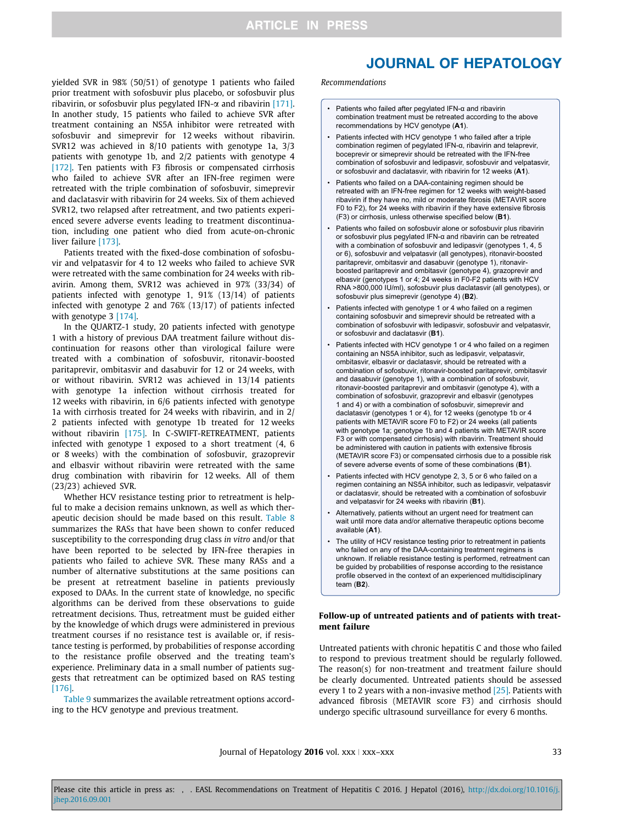yielded SVR in 98% (50/51) of genotype 1 patients who failed prior treatment with sofosbuvir plus placebo, or sofosbuvir plus ribavirin, or sofosbuvir plus pegylated IFN- $\alpha$  and ribavirin [\[171\]](#page-41-0). In another study, 15 patients who failed to achieve SVR after treatment containing an NS5A inhibitor were retreated with sofosbuvir and simeprevir for 12 weeks without ribavirin. SVR12 was achieved in 8/10 patients with genotype 1a, 3/3 patients with genotype 1b, and 2/2 patients with genotype 4 [\[172\].](#page-41-0) Ten patients with F3 fibrosis or compensated cirrhosis who failed to achieve SVR after an IFN-free regimen were retreated with the triple combination of sofosbuvir, simeprevir and daclatasvir with ribavirin for 24 weeks. Six of them achieved SVR12, two relapsed after retreatment, and two patients experienced severe adverse events leading to treatment discontinuation, including one patient who died from acute-on-chronic liver failure [\[173\].](#page-41-0)

Patients treated with the fixed-dose combination of sofosbuvir and velpatasvir for 4 to 12 weeks who failed to achieve SVR were retreated with the same combination for 24 weeks with ribavirin. Among them, SVR12 was achieved in 97% (33/34) of patients infected with genotype 1, 91% (13/14) of patients infected with genotype 2 and 76% (13/17) of patients infected with genotype 3 [\[174\]](#page-41-0).

In the QUARTZ-1 study, 20 patients infected with genotype 1 with a history of previous DAA treatment failure without discontinuation for reasons other than virological failure were treated with a combination of sofosbuvir, ritonavir-boosted paritaprevir, ombitasvir and dasabuvir for 12 or 24 weeks, with or without ribavirin. SVR12 was achieved in 13/14 patients with genotype 1a infection without cirrhosis treated for 12 weeks with ribavirin, in 6/6 patients infected with genotype 1a with cirrhosis treated for 24 weeks with ribavirin, and in 2/ 2 patients infected with genotype 1b treated for 12 weeks without ribavirin [\[175\].](#page-41-0) In C-SWIFT-RETREATMENT, patients infected with genotype 1 exposed to a short treatment (4, 6 or 8 weeks) with the combination of sofosbuvir, grazoprevir and elbasvir without ribavirin were retreated with the same drug combination with ribavirin for 12 weeks. All of them (23/23) achieved SVR.

Whether HCV resistance testing prior to retreatment is helpful to make a decision remains unknown, as well as which therapeutic decision should be made based on this result. [Table 8](#page-33-0) summarizes the RASs that have been shown to confer reduced susceptibility to the corresponding drug class in vitro and/or that have been reported to be selected by IFN-free therapies in patients who failed to achieve SVR. These many RASs and a number of alternative substitutions at the same positions can be present at retreatment baseline in patients previously exposed to DAAs. In the current state of knowledge, no specific algorithms can be derived from these observations to guide retreatment decisions. Thus, retreatment must be guided either by the knowledge of which drugs were administered in previous treatment courses if no resistance test is available or, if resistance testing is performed, by probabilities of response according to the resistance profile observed and the treating team's experience. Preliminary data in a small number of patients suggests that retreatment can be optimized based on RAS testing [\[176\].](#page-41-0)

[Table 9](#page-34-0) summarizes the available retreatment options according to the HCV genotype and previous treatment.

## JOURNAL OF HEPATOLOGY

#### Recommendations

- Patients who failed after pegylated IFN-α and ribavirin combination treatment must be retreated according to the above recommendations by HCV genotype (**A1**).
- Patients infected with HCV genotype 1 who failed after a triple combination regimen of pegylated IFN-α, ribavirin and telaprevir, boceprevir or simeprevir should be retreated with the IFN-free combination of sofosbuvir and ledipasvir, sofosbuvir and velpatasvir, or sofosbuvir and daclatasvir, with ribavirin for 12 weeks (**A1**).
- Patients who failed on a DAA-containing regimen should be retreated with an IFN-free regimen for 12 weeks with weight-based ribavirin if they have no, mild or moderate fibrosis (METAVIR score F0 to F2), for 24 weeks with ribavirin if they have extensive fibrosis (F3) or cirrhosis, unless otherwise specified below (**B1**).
- Patients who failed on sofosbuvir alone or sofosbuvir plus ribavirin or sofosbuvir plus pegylated IFN-α and ribavirin can be retreated with a combination of sofosbuvir and ledipasvir (genotypes 1, 4, 5 or 6), sofosbuvir and velpatasvir (all genotypes), ritonavir-boosted paritaprevir, ombitasvir and dasabuvir (genotype 1), ritonavirboosted paritaprevir and ombitasvir (genotype 4), grazoprevir and elbasvir (genotypes 1 or 4; 24 weeks in F0-F2 patients with HCV RNA >800,000 IU/ml), sofosbuvir plus daclatasvir (all genotypes), or sofosbuvir plus simeprevir (genotype 4) (**B2**).
- Patients infected with genotype 1 or 4 who failed on a regimen containing sofosbuvir and simeprevir should be retreated with a combination of sofosbuvir with ledipasvir, sofosbuvir and velpatasvir, or sofosbuvir and daclatasvir (**B1**).
- Patients infected with HCV genotype 1 or 4 who failed on a regimen containing an NS5A inhibitor, such as ledipasvir, velpatasvir, ombitasvir, elbasvir or daclatasvir, should be retreated with a combination of sofosbuvir, ritonavir-boosted paritaprevir, ombitasvir and dasabuvir (genotype 1), with a combination of sofosbuvir, ritonavir-boosted paritaprevir and ombitasvir (genotype 4), with a combination of sofosbuvir, grazoprevir and elbasvir (genotypes 1 and 4) or with a combination of sofosbuvir, simeprevir and daclatasvir (genotypes 1 or 4), for 12 weeks (genotype 1b or 4 patients with METAVIR score F0 to F2) or 24 weeks (all patients with genotype 1a; genotype 1b and 4 patients with METAVIR score F3 or with compensated cirrhosis) with ribavirin. Treatment should (METAVIR score F3) or compensated cirrhosis due to a possible risk of severe adverse events of some of these combinations (**B1**). be administered with caution in patients with extensive fibrosis
- Patients infected with HCV genotype 2, 3, 5 or 6 who failed on a regimen containing an NS5A inhibitor, such as ledipasvir, velpatasvir or daclatasvir, should be retreated with a combination of sofosbuvir and velpatasvir for 24 weeks with ribavirin (**B1**).
- Alternatively, patients without an urgent need for treatment can wait until more data and/or alternative therapeutic options become available (**A1**).
- The utility of HCV resistance testing prior to retreatment in patients who failed on any of the DAA-containing treatment regimens is unknown. If reliable resistance testing is performed, retreatment can be guided by probabilities of response according to the resistance team (**B2**). profile observed in the context of an experienced multidisciplinary

#### Follow-up of untreated patients and of patients with treatment failure

Untreated patients with chronic hepatitis C and those who failed to respond to previous treatment should be regularly followed. The reason(s) for non-treatment and treatment failure should be clearly documented. Untreated patients should be assessed every 1 to 2 years with a non-invasive method  $[25]$ . Patients with advanced fibrosis (METAVIR score F3) and cirrhosis should undergo specific ultrasound surveillance for every 6 months.

Journal of Hepatology 2016 vol.  $xxx + xxx$   $\rightarrow$  33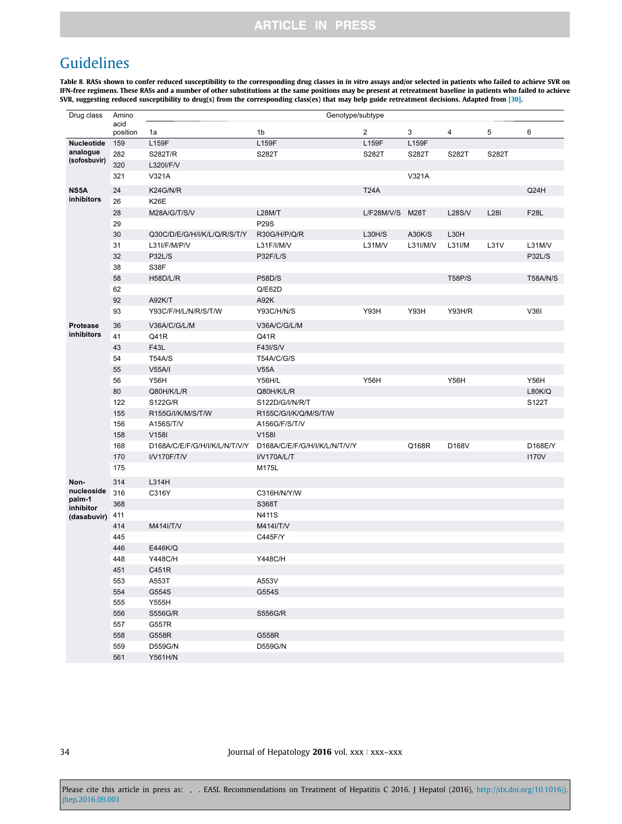# <span id="page-33-0"></span>Guidelines

Table 8. RASs shown to confer reduced susceptibility to the corresponding drug classes in in vitro assays and/or selected in patients who failed to achieve SVR on IFN-free regimens. These RASs and a number of other substitutions at the same positions may be present at retreatment baseline in patients who failed to achieve SVR, suggesting reduced susceptibility to drug(s) from the corresponding class(es) that may help guide retreatment decisions. Adapted from [\[30\]](#page-37-0).

| Drug class          | Amino            |                               | Genotype/subtype              |                 |          |               |             |                 |
|---------------------|------------------|-------------------------------|-------------------------------|-----------------|----------|---------------|-------------|-----------------|
|                     | acid<br>position | 1a                            | 1b                            | 2               | 3        | 4             | 5           | 6               |
| <b>Nucleotide</b>   | 159              | L159F                         | L159F                         | L159F           | L159F    |               |             |                 |
| analogue            | 282              | <b>S282T/R</b>                | S282T                         | S282T           | S282T    | S282T         | S282T       |                 |
| (sofosbuvir)        | 320              | L320I/F/V                     |                               |                 |          |               |             |                 |
|                     | 321              | V321A                         |                               |                 | V321A    |               |             |                 |
| NS5A                | 24               | K24G/N/R                      |                               | <b>T24A</b>     |          |               |             | Q24H            |
| inhibitors          | 26               | <b>K26E</b>                   |                               |                 |          |               |             |                 |
|                     | 28               | M28A/G/T/S/V                  | <b>L28M/T</b>                 | L/F28M/V/S M28T |          | <b>L28S/V</b> | <b>L28I</b> | <b>F28L</b>     |
|                     | 29               |                               | <b>P29S</b>                   |                 |          |               |             |                 |
|                     | 30               | Q30C/D/E/G/H/I/K/L/Q/R/S/T/Y  | R30G/H/P/Q/R                  | L30H/S          | A30K/S   | L30H          |             |                 |
|                     | 31               | L31I/F/M/P/V                  | L31F/I/M/V                    | L31M/V          | L31I/M/V | L31I/M        | L31V        | L31M/V          |
|                     | 32               | <b>P32L/S</b>                 | P32F/L/S                      |                 |          |               |             | <b>P32L/S</b>   |
|                     | 38               | S38F                          |                               |                 |          |               |             |                 |
|                     | 58               | <b>H58D/L/R</b>               | <b>P58D/S</b>                 |                 |          | <b>T58P/S</b> |             | <b>T58A/N/S</b> |
|                     | 62               |                               | Q/E62D                        |                 |          |               |             |                 |
|                     | 92               | A92K/T                        | A92K                          |                 |          |               |             |                 |
|                     | 93               | Y93C/F/H/L/N/R/S/T/W          | <b>Y93C/H/N/S</b>             | Y93H            | Y93H     | <b>Y93H/R</b> |             | V361            |
| <b>Protease</b>     | 36               | V36A/C/G/L/M                  | V36A/C/G/L/M                  |                 |          |               |             |                 |
| inhibitors          | 41               | Q41R                          | Q41R                          |                 |          |               |             |                 |
|                     | 43               | F43L                          | F43I/S/V                      |                 |          |               |             |                 |
|                     | 54               | <b>T54A/S</b>                 | <b>T54A/C/G/S</b>             |                 |          |               |             |                 |
|                     | 55               | <b>V55A/I</b>                 | V55A                          |                 |          |               |             |                 |
|                     | 56               | <b>Y56H</b>                   | <b>Y56H/L</b>                 | <b>Y56H</b>     |          | <b>Y56H</b>   |             | <b>Y56H</b>     |
|                     | 80               | Q80H/K/L/R                    | Q80H/K/L/R                    |                 |          |               |             | L80K/Q          |
|                     | 122              | S122G/R                       | S122D/G/I/N/R/T               |                 |          |               |             | S122T           |
|                     | 155              | R155G/I/K/M/S/T/W             | R155C/G/I/K/Q/M/S/T/W         |                 |          |               |             |                 |
|                     | 156              | A156S/T/V                     | A156G/F/S/T/V                 |                 |          |               |             |                 |
|                     | 158              | V1581                         | V158I                         |                 |          |               |             |                 |
|                     | 168              | D168A/C/E/F/G/H/I/K/L/N/T/V/Y | D168A/C/E/F/G/H/I/K/L/N/T/V/Y |                 | Q168R    | D168V         |             | D168E/Y         |
|                     | 170              | I/V170F/T/V                   | I/V170A/L/T                   |                 |          |               |             | <b>I170V</b>    |
|                     | 175              |                               | M175L                         |                 |          |               |             |                 |
| Non-                | 314              | L314H                         |                               |                 |          |               |             |                 |
| nucleoside          | 316              | C316Y                         | C316H/N/Y/W                   |                 |          |               |             |                 |
| palm-1<br>inhibitor | 368              |                               | S368T                         |                 |          |               |             |                 |
| (dasabuvir) 411     |                  |                               | <b>N411S</b>                  |                 |          |               |             |                 |
|                     | 414              | M414I/T/V                     | M414I/T/V                     |                 |          |               |             |                 |
|                     | 445              |                               | C445F/Y                       |                 |          |               |             |                 |
|                     | 446              | E446K/Q                       |                               |                 |          |               |             |                 |
|                     | 448              | <b>Y448C/H</b>                | <b>Y448C/H</b>                |                 |          |               |             |                 |
|                     | 451              | C451R                         |                               |                 |          |               |             |                 |
|                     | 553              | A553T                         | A553V                         |                 |          |               |             |                 |
|                     | 554              | G554S                         | G554S                         |                 |          |               |             |                 |
|                     | 555              | Y555H                         |                               |                 |          |               |             |                 |
|                     | 556              | S556G/R                       | <b>S556G/R</b>                |                 |          |               |             |                 |
|                     | 557              | G557R                         |                               |                 |          |               |             |                 |
|                     | 558              | G558R                         | G558R                         |                 |          |               |             |                 |
|                     | 559              | D559G/N                       | D559G/N                       |                 |          |               |             |                 |
|                     | 561              | <b>Y561H/N</b>                |                               |                 |          |               |             |                 |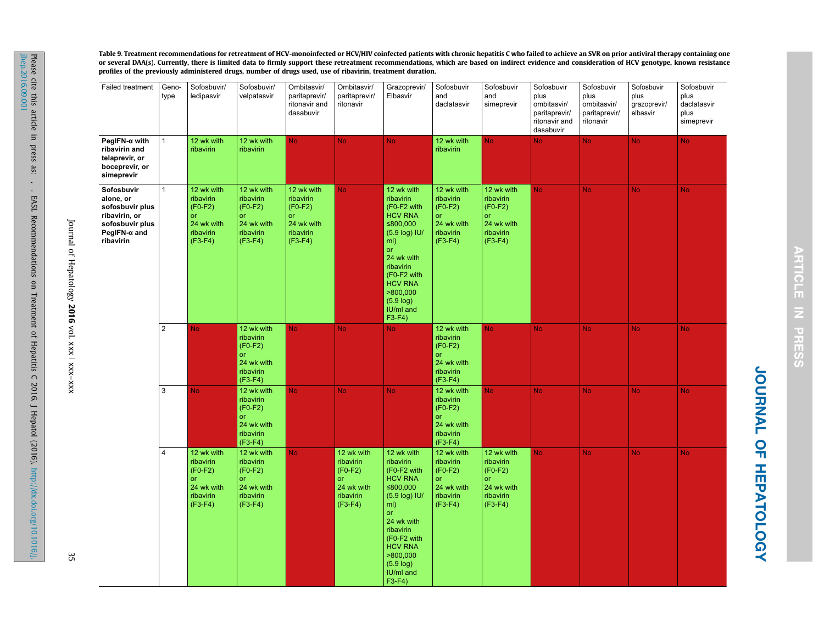<span id="page-34-0"></span>Table 9. Treatment recommendations for retreatment of HCV-monoinfected or HCV/HIV coinfected patients with chronic hepatitis C who failed to achieve an SVR on prior antiviral therapy containing one or several DAA(s). Currently, there is limited data to firmly support these retreatment recommendations, which are based on indirect evidence and consideration of HCV genotype, known resistance profiles of the previously administered drugs, number of drugs used, use of ribavirin, treatment duration.

| <b>Failed treatment</b>                                                                                     | Geno-<br>type  | Sofosbuvir/<br>ledipasvir                                                                 | Sofosbuvir/<br>velpatasvir                                                                | Ombitasvir/<br>paritaprevir/<br>ritonavir and<br>dasabuvir                                | Ombitasvir/<br>paritaprevir/<br>ritonavir                                          | Grazoprevir/<br>Elbasvir                                                                                                                                                                                               | Sofosbuvir<br>and<br>daclatasvir                                                          | Sofosbuvir<br>and<br>simeprevir                                                           | Sofosbuvir<br>plus<br>ombitasvir/<br>paritaprevir/<br>ritonavir and<br>dasabuvir | Sofosbuvir<br>plus<br>ombitasvir/<br>paritaprevir/<br>ritonavir | Sofosbuvir<br>plus<br>grazoprevir/<br>elbasvir | Sofosbuvir<br>plus<br>daclatasvir<br>plus<br>simeprevir |
|-------------------------------------------------------------------------------------------------------------|----------------|-------------------------------------------------------------------------------------------|-------------------------------------------------------------------------------------------|-------------------------------------------------------------------------------------------|------------------------------------------------------------------------------------|------------------------------------------------------------------------------------------------------------------------------------------------------------------------------------------------------------------------|-------------------------------------------------------------------------------------------|-------------------------------------------------------------------------------------------|----------------------------------------------------------------------------------|-----------------------------------------------------------------|------------------------------------------------|---------------------------------------------------------|
| PegIFN-a with<br>ribavirin and<br>telaprevir, or<br>boceprevir, or<br>simeprevir                            | $\mathbf{1}$   | 12 wk with<br>ribavirin                                                                   | 12 wk with<br>ribavirin                                                                   | <b>No</b>                                                                                 | <b>No</b>                                                                          | <b>No</b>                                                                                                                                                                                                              | 12 wk with<br>ribavirin                                                                   | <b>No</b>                                                                                 | <b>No</b>                                                                        | <b>No</b>                                                       | <b>No</b>                                      | <b>No</b>                                               |
| Sofosbuvir<br>alone, or<br>sofosbuvir plus<br>ribavirin, or<br>sofosbuvir plus<br>PegIFN-a and<br>ribavirin | $\mathbf{1}$   | 12 wk with<br>ribavirin<br>$(F0-F2)$<br><b>or</b><br>24 wk with<br>ribavirin<br>$(F3-F4)$ | 12 wk with<br>ribavirin<br>$(F0-F2)$<br><b>or</b><br>24 wk with<br>ribavirin<br>$(F3-F4)$ | 12 wk with<br>ribavirin<br>$(F0-F2)$<br><b>or</b><br>24 wk with<br>ribavirin<br>$(F3-F4)$ | <b>No</b>                                                                          | 12 wk with<br>ribavirin<br>(F0-F2 with<br><b>HCV RNA</b><br>≤800,000<br>(5.9 log) IU/<br>ml)<br>or<br>24 wk with<br>ribavirin<br>(F0-F2 with<br><b>HCV RNA</b><br>>800,000<br>$(5.9 \log)$<br>IU/ml and<br>$F3-F4)$    | 12 wk with<br>ribavirin<br>$(F0-F2)$<br><b>or</b><br>24 wk with<br>ribavirin<br>$(F3-F4)$ | 12 wk with<br>ribavirin<br>$(F0-F2)$<br><b>or</b><br>24 wk with<br>ribavirin<br>$(F3-F4)$ | <b>No</b>                                                                        | <b>No</b>                                                       | <b>No</b>                                      | <b>No</b>                                               |
|                                                                                                             | $\overline{2}$ | <b>No</b>                                                                                 | 12 wk with<br>ribavirin<br>$(F0-F2)$<br>or<br>24 wk with<br>ribavirin<br>$(F3-F4)$        | No.                                                                                       | <b>No</b>                                                                          | <b>No</b>                                                                                                                                                                                                              | 12 wk with<br>ribavirin<br>$(F0-F2)$<br><b>or</b><br>24 wk with<br>ribavirin<br>$(F3-F4)$ | <b>No</b>                                                                                 | <b>No</b>                                                                        | <b>No</b>                                                       | <b>No</b>                                      | <b>No</b>                                               |
|                                                                                                             | $\mathbf{3}$   | No                                                                                        | 12 wk with<br>ribavirin<br>$(F0-F2)$<br>or<br>24 wk with<br>ribavirin<br>$(F3-F4)$        | <b>No</b>                                                                                 | <b>No</b>                                                                          | <b>No</b>                                                                                                                                                                                                              | 12 wk with<br>ribavirin<br>$(F0-F2)$<br><b>or</b><br>24 wk with<br>ribavirin<br>$(F3-F4)$ | <b>No</b>                                                                                 | <b>No</b>                                                                        | <b>No</b>                                                       | <b>No</b>                                      | No.                                                     |
|                                                                                                             | $\overline{4}$ | 12 wk with<br>ribavirin<br>$(F0-F2)$<br>or<br>24 wk with<br>ribavirin<br>$(F3-F4)$        | 12 wk with<br>ribavirin<br>$(F0-F2)$<br><b>or</b><br>24 wk with<br>ribavirin<br>$(F3-F4)$ | <b>No</b>                                                                                 | 12 wk with<br>ribavirin<br>$(F0-F2)$<br>or<br>24 wk with<br>ribavirin<br>$(F3-F4)$ | 12 wk with<br>ribavirin<br>(F0-F2 with<br><b>HCV RNA</b><br>≤800,000<br>$(5.9 \log)$ IU/<br>ml)<br>or<br>24 wk with<br>ribavirin<br>(F0-F2 with<br><b>HCV RNA</b><br>>800,000<br>$(5.9 \log)$<br>IU/ml and<br>$F3-F4)$ | 12 wk with<br>ribavirin<br>$(F0-F2)$<br><b>or</b><br>24 wk with<br>ribavirin<br>$(F3-F4)$ | 12 wk with<br>ribavirin<br>$(F0-F2)$<br>or<br>24 wk with<br>ribavirin<br>$(F3-F4)$        | <b>No</b>                                                                        | <b>No</b>                                                       | <b>No</b>                                      | No.                                                     |

# **JOURNAL OF HEPATOLOGY** JOURNAL OF HEPATOLOGY

35<br>5

Journal of Hepatology

2016

vol. xxx j xxx–xxx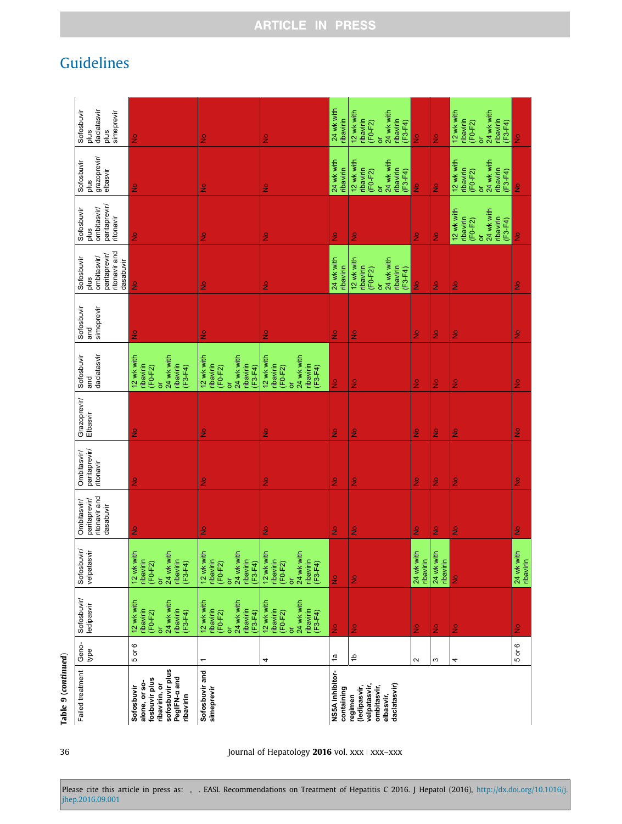| Table 9 (continued |                                                                                                                         |
|--------------------|-------------------------------------------------------------------------------------------------------------------------|
|                    | $\begin{array}{c} \begin{array}{c} \begin{array}{c} \end{array}\\ \begin{array}{c} \end{array} \end{array} \end{array}$ |
|                    |                                                                                                                         |
|                    |                                                                                                                         |
|                    |                                                                                                                         |
|                    |                                                                                                                         |

| Failed treatment                                                                                            | Geno-<br>type  | Sofosbuvir/<br>ledipasvir                                                                               | velpatasvir<br>Sofosbuvir/                                                                            | ritonavir and<br>paritaprevir<br>Ombitasvir/<br>dasabuvir | paritaprevir/<br>Ombitasvir/<br>ritonavir | Grazoprevir/<br>Elbasvir | daclatasvir<br>Sofosbuvir<br>and                                                                        | Sofosbuvir<br>simeprevir<br>and | ritonavir and<br>paritaprevir/<br>Sofosbuvir<br>ombitasvir/<br>dasabuvir<br>plus                   | paritaprevir/<br>ombitasvir/<br>Sofosbuvir<br>ritonavir<br>plus                                  | grazoprevir/<br>Sofosbuvir<br>elbasvir<br>plus                                                 | daclatasvir<br>Sofosbuvir<br>simeprevir<br>plus<br>plus                                          |
|-------------------------------------------------------------------------------------------------------------|----------------|---------------------------------------------------------------------------------------------------------|-------------------------------------------------------------------------------------------------------|-----------------------------------------------------------|-------------------------------------------|--------------------------|---------------------------------------------------------------------------------------------------------|---------------------------------|----------------------------------------------------------------------------------------------------|--------------------------------------------------------------------------------------------------|------------------------------------------------------------------------------------------------|--------------------------------------------------------------------------------------------------|
| sofosbuvir plus<br>PeglFN-and<br>fosbuvir plus<br>alone, or so-<br>ribavirin, or<br>Sofosbuvir<br>ribavirin | $5$ or $6$     | 24 wk with<br>12 wk with<br>ribavirin<br>ribavirin<br>$(F3 - F4)$<br>$(F0 - F2)$<br>$\delta$            | 12 wk with<br>24 wk with<br>ribavirin<br>ribavirin<br>$(F3-F4)$<br>$(F0-F2)$<br>$\overline{\sigma}$   | $\frac{9}{2}$                                             | $\frac{9}{2}$                             | $\frac{1}{2}$            | 12 wk with<br>24 wk with<br>ribavirin<br>ribavirin<br>$(F0 - F2)$<br>$(F3 - F4)$<br>$\overline{a}$      | $\frac{1}{2}$                   | ž                                                                                                  | å                                                                                                | ş                                                                                              | å                                                                                                |
| Sofosbuvir and<br>simeprevir                                                                                | $\overline{ }$ | 12 wk with<br>24 wk with<br>ribavirin<br>ribavirin<br>$(F3 - F4)$<br>$(F0-F2)$<br>$\delta$              | 12 wk with<br>24 wk with<br>ribavirin<br>ribavirin<br>$(F3 - F4)$<br>$(F0-F2)$<br>$\overline{\sigma}$ | $\frac{1}{2}$                                             | $\frac{1}{2}$                             | $\frac{1}{2}$            | 12 wk with<br>24 wk with<br>ribavirin<br>ribavirin<br>$(F3 - F4)$<br>$(F0-F2)$<br>$\overline{\sigma}$   | $\frac{1}{2}$                   | $\frac{1}{2}$                                                                                      | $\frac{1}{2}$                                                                                    | ş                                                                                              | $\frac{1}{2}$                                                                                    |
|                                                                                                             | 4              | 24 wk with<br>12 wk with<br>ribavirin<br>ribavirin<br>$(F0 - F2)$<br>$(F3 - F4)$<br>$\overline{\sigma}$ | 24 wk with<br>12 wk with<br>ribavirin<br>ribavirin<br>$(F0-F2)$<br>$(F3 - F4)$<br>$\overline{\sigma}$ | $\frac{1}{2}$                                             | $\frac{1}{2}$                             | $\frac{1}{2}$            | 24 wk with<br>12 wk with<br>ribavirin<br>ribavirin<br>$(F0 - F2)$<br>$(F3 - F4)$<br>$\overline{\sigma}$ | $\frac{1}{2}$                   | $\frac{1}{2}$                                                                                      | $\frac{1}{2}$                                                                                    | $\frac{1}{2}$                                                                                  | $\frac{1}{2}$                                                                                    |
| NS5A inhibitor-<br>containing                                                                               | $\frac{a}{b}$  | $\frac{9}{2}$                                                                                           | $\frac{1}{2}$                                                                                         | ž                                                         | $\frac{9}{2}$                             | $\frac{9}{2}$            | $\frac{9}{2}$                                                                                           | $\frac{1}{2}$                   | 24 wk with<br>ribavirin                                                                            | $\frac{1}{2}$                                                                                    | 24 wk with<br>ribavirin                                                                        | 24 wk with<br>ribavirin                                                                          |
| daclatasvir)<br>velpatasvir,<br>ombitasvir,<br>(ledipasvir,<br>elbasvir,<br>regimen                         | $\mathfrak{a}$ | $\frac{9}{2}$                                                                                           | $\frac{1}{2}$                                                                                         | $\frac{1}{2}$                                             | $\frac{1}{2}$                             | $\frac{1}{2}$            | $\frac{9}{2}$                                                                                           | $\frac{1}{2}$                   | 12 wk with<br>24 wk with<br>ribavirin<br>ribavirin<br>$(F3 - F4)$<br>$(F0 - F2)$<br>$\overline{5}$ | $\frac{1}{2}$                                                                                    | 12 wk with<br>24 wk with<br>ribavirin<br>ribavirin<br>$(F3-F4)$<br>$(F0-F2)$<br>$\delta$       | 24 wk with<br>12 wk with<br>ribavirin<br>ribavirin<br>$(F3 - F4)$<br>$(F0-F2)$<br>$\overline{a}$ |
|                                                                                                             | $\sim$         | $\frac{1}{2}$                                                                                           | 24 wk with<br>ribavirin                                                                               | $\frac{1}{2}$                                             | $\frac{1}{2}$                             | $\frac{1}{2}$            | $\frac{1}{2}$                                                                                           | $\frac{1}{2}$                   | ş                                                                                                  | $\frac{1}{2}$                                                                                    | $\frac{1}{2}$                                                                                  | $\frac{1}{2}$                                                                                    |
|                                                                                                             | S              | ş                                                                                                       | 24 wk with<br>ribavirin                                                                               | $\frac{9}{2}$                                             | ž                                         | $\frac{1}{2}$            | ž                                                                                                       | $\frac{1}{2}$                   | ž                                                                                                  | ş                                                                                                | ş                                                                                              | ž                                                                                                |
|                                                                                                             | 4              | ş                                                                                                       | $\frac{1}{2}$                                                                                         | $\frac{1}{2}$                                             | $\frac{1}{2}$                             | $\frac{1}{2}$            | $\frac{9}{2}$                                                                                           | $\frac{1}{2}$                   | $\frac{1}{2}$                                                                                      | 24 wk with<br>12 wk with<br>ribavirin<br>ribavirin<br>$(F3 - F4)$<br>$(F0-F2)$<br>$\overline{a}$ | 12 wk with<br>24 wk with<br>ribavirin<br>ribavirin<br>$(F3-F4)$<br>$(F0-F2)$<br>$\overline{5}$ | 24 wk with<br>12 wk with<br>ribavirin<br>ribavirin<br>$(F3 - F4)$<br>$(F0 - F2)$<br>ð            |
|                                                                                                             | 5 or 6         | $\frac{1}{2}$                                                                                           | 24 wk with                                                                                            | $\frac{9}{2}$                                             | $\frac{1}{2}$                             | $\frac{1}{2}$            | $\frac{9}{2}$                                                                                           | $\frac{1}{2}$                   | $\frac{1}{2}$                                                                                      | $\frac{1}{2}$                                                                                    | $\frac{1}{2}$                                                                                  | ż                                                                                                |

36 Journal of Hepatology 2016 vol. xxx | xxx-xxx

ribavirin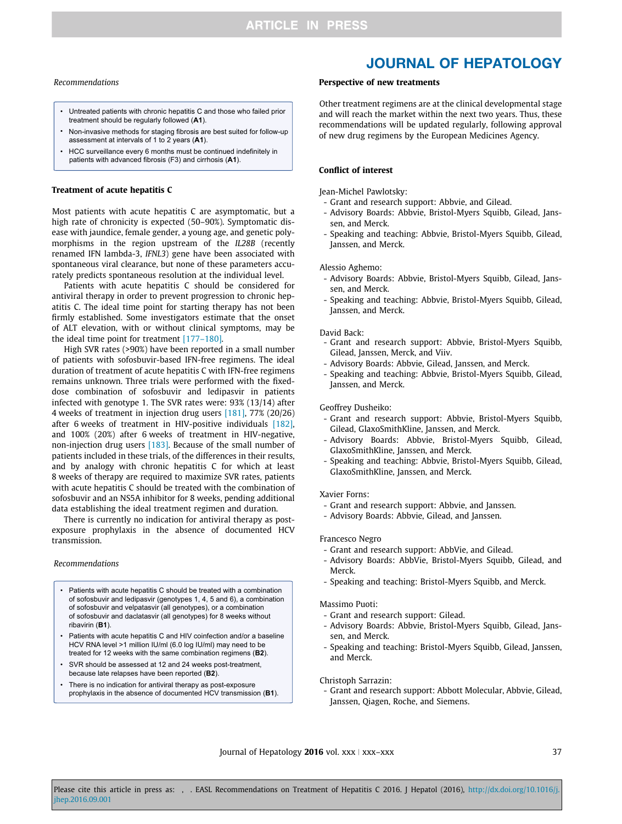#### Recommendations

#### • Untreated patients with chronic hepatitis C and those who failed prior treatment should be regularly followed (**A1**).

- assessment at intervals of 1 to 2 years (**A1**). Non-invasive methods for staging fibrosis are best suited for follow-up
- HCC surveillance every 6 months must be continued indefinitely in patients with advanced fibrosis (F3) and cirrhosis (**A1**).

#### Treatment of acute hepatitis C

Most patients with acute hepatitis C are asymptomatic, but a high rate of chronicity is expected (50–90%). Symptomatic disease with jaundice, female gender, a young age, and genetic polymorphisms in the region upstream of the IL28B (recently renamed IFN lambda-3, IFNL3) gene have been associated with spontaneous viral clearance, but none of these parameters accurately predicts spontaneous resolution at the individual level.

Patients with acute hepatitis C should be considered for antiviral therapy in order to prevent progression to chronic hepatitis C. The ideal time point for starting therapy has not been firmly established. Some investigators estimate that the onset of ALT elevation, with or without clinical symptoms, may be the ideal time point for treatment [\[177–180\]](#page-41-0).

High SVR rates (>90%) have been reported in a small number of patients with sofosbuvir-based IFN-free regimens. The ideal duration of treatment of acute hepatitis C with IFN-free regimens remains unknown. Three trials were performed with the fixeddose combination of sofosbuvir and ledipasvir in patients infected with genotype 1. The SVR rates were: 93% (13/14) after 4 weeks of treatment in injection drug users [\[181\],](#page-41-0) 77% (20/26) after 6 weeks of treatment in HIV-positive individuals [\[182\]](#page-41-0), and 100% (20%) after 6 weeks of treatment in HIV-negative, non-injection drug users [\[183\].](#page-41-0) Because of the small number of patients included in these trials, of the differences in their results, and by analogy with chronic hepatitis C for which at least 8 weeks of therapy are required to maximize SVR rates, patients with acute hepatitis C should be treated with the combination of sofosbuvir and an NS5A inhibitor for 8 weeks, pending additional data establishing the ideal treatment regimen and duration.

There is currently no indication for antiviral therapy as postexposure prophylaxis in the absence of documented HCV transmission.

#### Recommendations

- Patients with acute hepatitis C should be treated with a combination of sofosbuvir and ledipasvir (genotypes 1, 4, 5 and 6), a combination of sofosbuvir and velpatasvir (all genotypes), or a combination of sofosbuvir and daclatasvir (all genotypes) for 8 weeks without ribavirin (**B1**).
- Patients with acute hepatitis C and HIV coinfection and/or a baseline HCV RNA level >1 million IU/ml (6.0 log IU/ml) may need to be treated for 12 weeks with the same combination regimens (**B2**).
- SVR should be assessed at 12 and 24 weeks post-treatment, because late relapses have been reported (**B2**).
- There is no indication for antiviral therapy as post-exposure prophylaxis in the absence of documented HCV transmission (**B1**).

## JOURNAL OF HEPATOLOGY

#### Perspective of new treatments

Other treatment regimens are at the clinical developmental stage and will reach the market within the next two years. Thus, these recommendations will be updated regularly, following approval of new drug regimens by the European Medicines Agency.

#### Conflict of interest

Jean-Michel Pawlotsky:

- Grant and research support: Abbvie, and Gilead.
- Advisory Boards: Abbvie, Bristol-Myers Squibb, Gilead, Janssen, and Merck.
- Speaking and teaching: Abbvie, Bristol-Myers Squibb, Gilead, Janssen, and Merck.

#### Alessio Aghemo:

- Advisory Boards: Abbvie, Bristol-Myers Squibb, Gilead, Janssen, and Merck.
- Speaking and teaching: Abbvie, Bristol-Myers Squibb, Gilead, Janssen, and Merck.

#### David Back:

- Grant and research support: Abbvie, Bristol-Myers Squibb, Gilead, Janssen, Merck, and Viiv.
- Advisory Boards: Abbvie, Gilead, Janssen, and Merck.
- Speaking and teaching: Abbvie, Bristol-Myers Squibb, Gilead, Janssen, and Merck.

#### Geoffrey Dusheiko:

- Grant and research support: Abbvie, Bristol-Myers Squibb, Gilead, GlaxoSmithKline, Janssen, and Merck.
- Advisory Boards: Abbvie, Bristol-Myers Squibb, Gilead, GlaxoSmithKline, Janssen, and Merck.
- Speaking and teaching: Abbvie, Bristol-Myers Squibb, Gilead, GlaxoSmithKline, Janssen, and Merck.

#### Xavier Forns:

- Grant and research support: Abbvie, and Janssen.
- Advisory Boards: Abbvie, Gilead, and Janssen.

#### Francesco Negro

- Grant and research support: AbbVie, and Gilead.
- Advisory Boards: AbbVie, Bristol-Myers Squibb, Gilead, and Merck.
- Speaking and teaching: Bristol-Myers Squibb, and Merck.

#### Massimo Puoti:

- Grant and research support: Gilead.
- Advisory Boards: Abbvie, Bristol-Myers Squibb, Gilead, Janssen, and Merck.
- Speaking and teaching: Bristol-Myers Squibb, Gilead, Janssen, and Merck.

#### Christoph Sarrazin:

- Grant and research support: Abbott Molecular, Abbvie, Gilead, Janssen, Qiagen, Roche, and Siemens.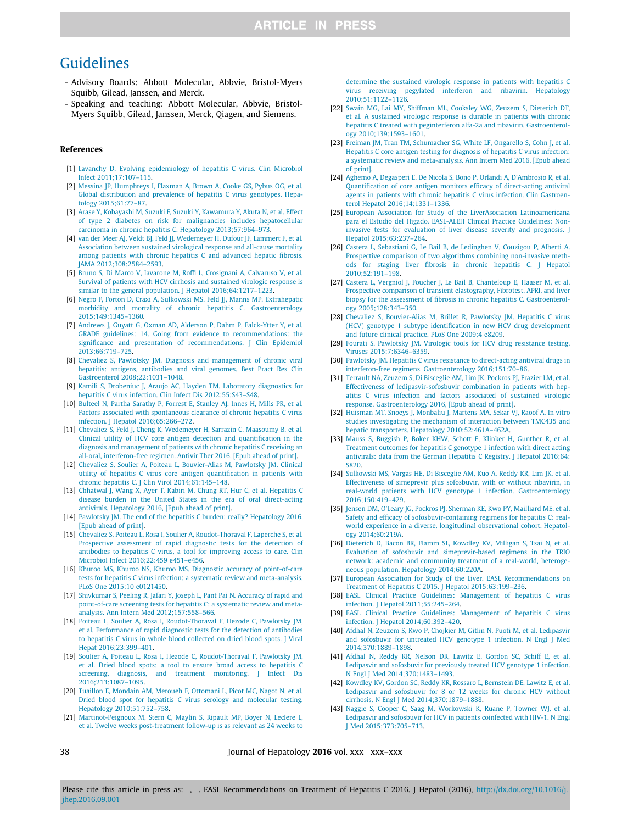# <span id="page-37-0"></span>Guidelines

- Advisory Boards: Abbott Molecular, Abbvie, Bristol-Myers Squibb, Gilead, Janssen, and Merck.
- Speaking and teaching: Abbott Molecular, Abbvie, Bristol-Myers Squibb, Gilead, Janssen, Merck, Qiagen, and Siemens.

#### References

- [1] [Lavanchy D. Evolving epidemiology of hepatitis C virus. Clin Microbiol](http://refhub.elsevier.com/S0168-8278(16)30489-5/h0005) [Infect 2011;17:107–115.](http://refhub.elsevier.com/S0168-8278(16)30489-5/h0005)
- [2] [Messina JP, Humphreys I, Flaxman A, Brown A, Cooke GS, Pybus OG, et al.](http://refhub.elsevier.com/S0168-8278(16)30489-5/h0010) [Global distribution and prevalence of hepatitis C virus genotypes. Hepa](http://refhub.elsevier.com/S0168-8278(16)30489-5/h0010)[tology 2015;61:77–87](http://refhub.elsevier.com/S0168-8278(16)30489-5/h0010).
- [3] [Arase Y, Kobayashi M, Suzuki F, Suzuki Y, Kawamura Y, Akuta N, et al. Effect](http://refhub.elsevier.com/S0168-8278(16)30489-5/h0015) [of type 2 diabetes on risk for malignancies includes hepatocellular](http://refhub.elsevier.com/S0168-8278(16)30489-5/h0015) [carcinoma in chronic hepatitis C. Hepatology 2013;57:964–973.](http://refhub.elsevier.com/S0168-8278(16)30489-5/h0015)
- [4] [van der Meer AJ, Veldt BJ, Feld JJ, Wedemeyer H, Dufour JF, Lammert F, et al.](http://refhub.elsevier.com/S0168-8278(16)30489-5/h0020) [Association between sustained virological response and all-cause mortality](http://refhub.elsevier.com/S0168-8278(16)30489-5/h0020) [among patients with chronic hepatitis C and advanced hepatic fibrosis.](http://refhub.elsevier.com/S0168-8278(16)30489-5/h0020) [JAMA 2012;308:2584–2593](http://refhub.elsevier.com/S0168-8278(16)30489-5/h0020).
- [5] [Bruno S, Di Marco V, Iavarone M, Roffi L, Crosignani A, Calvaruso V, et al.](http://refhub.elsevier.com/S0168-8278(16)30489-5/h0025) [Survival of patients with HCV cirrhosis and sustained virologic response is](http://refhub.elsevier.com/S0168-8278(16)30489-5/h0025) similar to the general population. J Hepatol 2016;64:1217-1223.
- [6] [Negro F, Forton D, Craxi A, Sulkowski MS, Feld JJ, Manns MP. Extrahepatic](http://refhub.elsevier.com/S0168-8278(16)30489-5/h0030) [morbidity and mortality of chronic hepatitis C. Gastroenterology](http://refhub.elsevier.com/S0168-8278(16)30489-5/h0030) [2015;149:1345–1360.](http://refhub.elsevier.com/S0168-8278(16)30489-5/h0030)
- [7] [Andrews J, Guyatt G, Oxman AD, Alderson P, Dahm P, Falck-Ytter Y, et al.](http://refhub.elsevier.com/S0168-8278(16)30489-5/h0035) [GRADE guidelines: 14. Going from evidence to recommendations: the](http://refhub.elsevier.com/S0168-8278(16)30489-5/h0035) [significance and presentation of recommendations. J Clin Epidemiol](http://refhub.elsevier.com/S0168-8278(16)30489-5/h0035) [2013;66:719–725.](http://refhub.elsevier.com/S0168-8278(16)30489-5/h0035)
- [8] [Chevaliez S, Pawlotsky JM. Diagnosis and management of chronic viral](http://refhub.elsevier.com/S0168-8278(16)30489-5/h0040) [hepatitis: antigens, antibodies and viral genomes. Best Pract Res Clin](http://refhub.elsevier.com/S0168-8278(16)30489-5/h0040) [Gastroenterol 2008;22:1031–1048.](http://refhub.elsevier.com/S0168-8278(16)30489-5/h0040)
- [9] [Kamili S, Drobeniuc J, Araujo AC, Hayden TM. Laboratory diagnostics for](http://refhub.elsevier.com/S0168-8278(16)30489-5/h0045) [hepatitis C virus infection. Clin Infect Dis 2012;55:S43–S48.](http://refhub.elsevier.com/S0168-8278(16)30489-5/h0045)
- [10] [Bulteel N, Partha Sarathy P, Forrest E, Stanley AJ, Innes H, Mills PR, et al.](http://refhub.elsevier.com/S0168-8278(16)30489-5/h0050) [Factors associated with spontaneous clearance of chronic hepatitis C virus](http://refhub.elsevier.com/S0168-8278(16)30489-5/h0050) [infection. J Hepatol 2016;65:266–272](http://refhub.elsevier.com/S0168-8278(16)30489-5/h0050).
- [11] [Chevaliez S, Feld J, Cheng K, Wedemeyer H, Sarrazin C, Maasoumy B, et al.](http://refhub.elsevier.com/S0168-8278(16)30489-5/h0055) [Clinical utility of HCV core antigen detection and quantification in the](http://refhub.elsevier.com/S0168-8278(16)30489-5/h0055) [diagnosis and management of patients with chronic hepatitis C receiving an](http://refhub.elsevier.com/S0168-8278(16)30489-5/h0055) [all-oral, interferon-free regimen. Antivir Ther 2016, \[Epub ahead of print\]](http://refhub.elsevier.com/S0168-8278(16)30489-5/h0055).
- [12] [Chevaliez S, Soulier A, Poiteau L, Bouvier-Alias M, Pawlotsky JM. Clinical](http://refhub.elsevier.com/S0168-8278(16)30489-5/h0060) [utility of hepatitis C virus core antigen quantification in patients with](http://refhub.elsevier.com/S0168-8278(16)30489-5/h0060) [chronic hepatitis C. J Clin Virol 2014;61:145–148](http://refhub.elsevier.com/S0168-8278(16)30489-5/h0060).
- [13] [Chhatwal J, Wang X, Ayer T, Kabiri M, Chung RT, Hur C, et al. Hepatitis C](http://refhub.elsevier.com/S0168-8278(16)30489-5/h0065) [disease burden in the United States in the era of oral direct-acting](http://refhub.elsevier.com/S0168-8278(16)30489-5/h0065) [antivirals. Hepatology 2016, \[Epub ahead of print\].](http://refhub.elsevier.com/S0168-8278(16)30489-5/h0065)
- [14] [Pawlotsky JM. The end of the hepatitis C burden: really? Hepatology 2016,](http://refhub.elsevier.com/S0168-8278(16)30489-5/h0070) [\[Epub ahead of print\]](http://refhub.elsevier.com/S0168-8278(16)30489-5/h0070).
- [15] [Chevaliez S, Poiteau L, Rosa I, Soulier A, Roudot-Thoraval F, Laperche S, et al.](http://refhub.elsevier.com/S0168-8278(16)30489-5/h0075) [Prospective assessment of rapid diagnostic tests for the detection of](http://refhub.elsevier.com/S0168-8278(16)30489-5/h0075) [antibodies to hepatitis C virus, a tool for improving access to care. Clin](http://refhub.elsevier.com/S0168-8278(16)30489-5/h0075) [Microbiol Infect 2016;22:459 e451–e456.](http://refhub.elsevier.com/S0168-8278(16)30489-5/h0075)
- [16] [Khuroo MS, Khuroo NS, Khuroo MS. Diagnostic accuracy of point-of-care](http://refhub.elsevier.com/S0168-8278(16)30489-5/h0080) [tests for hepatitis C virus infection: a systematic review and meta-analysis.](http://refhub.elsevier.com/S0168-8278(16)30489-5/h0080) [PLoS One 2015;10 e0121450](http://refhub.elsevier.com/S0168-8278(16)30489-5/h0080).
- [17] [Shivkumar S, Peeling R, Jafari Y, Joseph L, Pant Pai N. Accuracy of rapid and](http://refhub.elsevier.com/S0168-8278(16)30489-5/h0085) [point-of-care screening tests for hepatitis C: a systematic review and meta](http://refhub.elsevier.com/S0168-8278(16)30489-5/h0085)[analysis. Ann Intern Med 2012;157:558–566.](http://refhub.elsevier.com/S0168-8278(16)30489-5/h0085)
- [18] [Poiteau L, Soulier A, Rosa I, Roudot-Thoraval F, Hezode C, Pawlotsky JM,](http://refhub.elsevier.com/S0168-8278(16)30489-5/h0090) [et al. Performance of rapid diagnostic tests for the detection of antibodies](http://refhub.elsevier.com/S0168-8278(16)30489-5/h0090) [to hepatitis C virus in whole blood collected on dried blood spots. J Viral](http://refhub.elsevier.com/S0168-8278(16)30489-5/h0090) [Hepat 2016;23:399–401](http://refhub.elsevier.com/S0168-8278(16)30489-5/h0090).
- [19] [Soulier A, Poiteau L, Rosa I, Hezode C, Roudot-Thoraval F, Pawlotsky JM,](http://refhub.elsevier.com/S0168-8278(16)30489-5/h0095) [et al. Dried blood spots: a tool to ensure broad access to hepatitis C](http://refhub.elsevier.com/S0168-8278(16)30489-5/h0095) [screening, diagnosis, and treatment monitoring. J Infect Dis](http://refhub.elsevier.com/S0168-8278(16)30489-5/h0095) [2016;213:1087–1095](http://refhub.elsevier.com/S0168-8278(16)30489-5/h0095).
- [20] [Tuaillon E, Mondain AM, Meroueh F, Ottomani L, Picot MC, Nagot N, et al.](http://refhub.elsevier.com/S0168-8278(16)30489-5/h0100) [Dried blood spot for hepatitis C virus serology and molecular testing.](http://refhub.elsevier.com/S0168-8278(16)30489-5/h0100) [Hepatology 2010;51:752–758](http://refhub.elsevier.com/S0168-8278(16)30489-5/h0100).
- [21] [Martinot-Peignoux M, Stern C, Maylin S, Ripault MP, Boyer N, Leclere L,](http://refhub.elsevier.com/S0168-8278(16)30489-5/h0105) [et al. Twelve weeks post-treatment follow-up is as relevant as 24 weeks to](http://refhub.elsevier.com/S0168-8278(16)30489-5/h0105)

[determine the sustained virologic response in patients with hepatitis C](http://refhub.elsevier.com/S0168-8278(16)30489-5/h0105) [virus receiving pegylated interferon and ribavirin. Hepatology](http://refhub.elsevier.com/S0168-8278(16)30489-5/h0105) [2010;51:1122–1126.](http://refhub.elsevier.com/S0168-8278(16)30489-5/h0105)

- [22] [Swain MG, Lai MY, Shiffman ML, Cooksley WG, Zeuzem S, Dieterich DT,](http://refhub.elsevier.com/S0168-8278(16)30489-5/h0110) [et al. A sustained virologic response is durable in patients with chronic](http://refhub.elsevier.com/S0168-8278(16)30489-5/h0110) [hepatitis C treated with peginterferon alfa-2a and ribavirin. Gastroenterol](http://refhub.elsevier.com/S0168-8278(16)30489-5/h0110)[ogy 2010;139:1593–1601](http://refhub.elsevier.com/S0168-8278(16)30489-5/h0110).
- [23] [Freiman JM, Tran TM, Schumacher SG, White LF, Ongarello S, Cohn J, et al.](http://refhub.elsevier.com/S0168-8278(16)30489-5/h0115) [Hepatitis C core antigen testing for diagnosis of hepatitis C virus infection:](http://refhub.elsevier.com/S0168-8278(16)30489-5/h0115) [a systematic review and meta-analysis. Ann Intern Med 2016, \[Epub ahead](http://refhub.elsevier.com/S0168-8278(16)30489-5/h0115) [of print\]](http://refhub.elsevier.com/S0168-8278(16)30489-5/h0115).
- [24] [Aghemo A, Degasperi E, De Nicola S, Bono P, Orlandi A, D'Ambrosio R, et al.](http://refhub.elsevier.com/S0168-8278(16)30489-5/h0120) [Quantification of core antigen monitors efficacy of direct-acting antiviral](http://refhub.elsevier.com/S0168-8278(16)30489-5/h0120) [agents in patients with chronic hepatitis C virus infection. Clin Gastroen](http://refhub.elsevier.com/S0168-8278(16)30489-5/h0120)[terol Hepatol 2016;14:1331–1336](http://refhub.elsevier.com/S0168-8278(16)30489-5/h0120).
- [25] [European Association for Study of the LiverAsociacion Latinoamericana](http://refhub.elsevier.com/S0168-8278(16)30489-5/h0125) [para el Estudio del Higado. EASL-ALEH Clinical Practice Guidelines: Non](http://refhub.elsevier.com/S0168-8278(16)30489-5/h0125)[invasive tests for evaluation of liver disease severity and prognosis. J](http://refhub.elsevier.com/S0168-8278(16)30489-5/h0125) [Hepatol 2015;63:237–264.](http://refhub.elsevier.com/S0168-8278(16)30489-5/h0125)
- [26] [Castera L, Sebastiani G, Le Bail B, de Ledinghen V, Couzigou P, Alberti A.](http://refhub.elsevier.com/S0168-8278(16)30489-5/h0130) [Prospective comparison of two algorithms combining non-invasive meth](http://refhub.elsevier.com/S0168-8278(16)30489-5/h0130)[ods for staging liver fibrosis in chronic hepatitis C. J Hepatol](http://refhub.elsevier.com/S0168-8278(16)30489-5/h0130) [2010;52:191–198](http://refhub.elsevier.com/S0168-8278(16)30489-5/h0130).
- [27] [Castera L, Vergniol J, Foucher J, Le Bail B, Chanteloup E, Haaser M, et al.](http://refhub.elsevier.com/S0168-8278(16)30489-5/h0135) [Prospective comparison of transient elastography, Fibrotest, APRI, and liver](http://refhub.elsevier.com/S0168-8278(16)30489-5/h0135) [biopsy for the assessment of fibrosis in chronic hepatitis C. Gastroenterol](http://refhub.elsevier.com/S0168-8278(16)30489-5/h0135)[ogy 2005;128:343–350.](http://refhub.elsevier.com/S0168-8278(16)30489-5/h0135)
- [28] [Chevaliez S, Bouvier-Alias M, Brillet R, Pawlotsky JM. Hepatitis C virus](http://refhub.elsevier.com/S0168-8278(16)30489-5/h0140) [\(HCV\) genotype 1 subtype identification in new HCV drug development](http://refhub.elsevier.com/S0168-8278(16)30489-5/h0140) [and future clinical practice. PLoS One 2009;4 e8209.](http://refhub.elsevier.com/S0168-8278(16)30489-5/h0140)
- [29] [Fourati S, Pawlotsky JM. Virologic tools for HCV drug resistance testing.](http://refhub.elsevier.com/S0168-8278(16)30489-5/h0145) [Viruses 2015;7:6346–6359.](http://refhub.elsevier.com/S0168-8278(16)30489-5/h0145)
- [30] [Pawlotsky JM. Hepatitis C virus resistance to direct-acting antiviral drugs in](http://refhub.elsevier.com/S0168-8278(16)30489-5/h0150) [interferon-free regimens. Gastroenterology 2016;151:70–86](http://refhub.elsevier.com/S0168-8278(16)30489-5/h0150).
- [31] [Terrault NA, Zeuzem S, Di Bisceglie AM, Lim JK, Pockros PJ, Frazier LM, et al.](http://refhub.elsevier.com/S0168-8278(16)30489-5/h0155) [Effectiveness of ledipasvir-sofosbuvir combination in patients with hep](http://refhub.elsevier.com/S0168-8278(16)30489-5/h0155)[atitis C virus infection and factors associated of sustained virologic](http://refhub.elsevier.com/S0168-8278(16)30489-5/h0155) [response. Gastroenterology 2016, \[Epub ahead of print\].](http://refhub.elsevier.com/S0168-8278(16)30489-5/h0155)
- [32] [Huisman MT, Snoeys J, Monbaliu J, Martens MA, Sekar VJ, Raoof A. In vitro](http://refhub.elsevier.com/S0168-8278(16)30489-5/h0160) [studies investigating the mechanism of interaction between TMC435 and](http://refhub.elsevier.com/S0168-8278(16)30489-5/h0160) [hepatic transporters. Hepatology 2010;52:461A–462A](http://refhub.elsevier.com/S0168-8278(16)30489-5/h0160).
- [33] [Mauss S, Buggish P, Boker KHW, Schott E, Klinker H, Gunther R, et al.](http://refhub.elsevier.com/S0168-8278(16)30489-5/h0165) [Treatment outcomes for hepatitis C genotype 1 infection with direct acting](http://refhub.elsevier.com/S0168-8278(16)30489-5/h0165) [antivirals: data from the German Hepatitis C Registry. J Hepatol 2016;64:](http://refhub.elsevier.com/S0168-8278(16)30489-5/h0165) [S820](http://refhub.elsevier.com/S0168-8278(16)30489-5/h0165).
- [34] [Sulkowski MS, Vargas HE, Di Bisceglie AM, Kuo A, Reddy KR, Lim JK, et al.](http://refhub.elsevier.com/S0168-8278(16)30489-5/h0170) [Effectiveness of simeprevir plus sofosbuvir, with or without ribavirin, in](http://refhub.elsevier.com/S0168-8278(16)30489-5/h0170) [real-world patients with HCV genotype 1 infection. Gastroenterology](http://refhub.elsevier.com/S0168-8278(16)30489-5/h0170) [2016;150:419–429](http://refhub.elsevier.com/S0168-8278(16)30489-5/h0170).
- [35] [Jensen DM, O'Leary JG, Pockros PJ, Sherman KE, Kwo PY, Mailliard ME, et al.](http://refhub.elsevier.com/S0168-8278(16)30489-5/h0175) [Safety and efficacy of sofosbuvir-containing regimens for hepatitis C: real](http://refhub.elsevier.com/S0168-8278(16)30489-5/h0175)[world experience in a diverse, longitudinal observational cohort. Hepatol](http://refhub.elsevier.com/S0168-8278(16)30489-5/h0175)[ogy 2014;60:219A](http://refhub.elsevier.com/S0168-8278(16)30489-5/h0175).
- [36] [Dieterich D, Bacon BR, Flamm SL, Kowdley KV, Milligan S, Tsai N, et al.](http://refhub.elsevier.com/S0168-8278(16)30489-5/h0180) [Evaluation of sofosbuvir and simeprevir-based regimens in the TRIO](http://refhub.elsevier.com/S0168-8278(16)30489-5/h0180) [network: academic and community treatment of a real-world, heteroge](http://refhub.elsevier.com/S0168-8278(16)30489-5/h0180)[neous population. Hepatology 2014;60:220A.](http://refhub.elsevier.com/S0168-8278(16)30489-5/h0180)
- [37] [European Association for Study of the Liver. EASL Recommendations on](http://refhub.elsevier.com/S0168-8278(16)30489-5/h0185) [Treatment of Hepatitis C 2015. J Hepatol 2015;63:199–236.](http://refhub.elsevier.com/S0168-8278(16)30489-5/h0185)
- [38] [EASL Clinical Practice Guidelines: Management of hepatitis C virus](http://refhub.elsevier.com/S0168-8278(16)30489-5/h0190) [infection. J Hepatol 2011;55:245–264.](http://refhub.elsevier.com/S0168-8278(16)30489-5/h0190)
- [39] [EASL Clinical Practice Guidelines: Management of hepatitis C virus](http://refhub.elsevier.com/S0168-8278(16)30489-5/h0195) [infection. J Hepatol 2014;60:392–420](http://refhub.elsevier.com/S0168-8278(16)30489-5/h0195).
- [40] [Afdhal N, Zeuzem S, Kwo P, Chojkier M, Gitlin N, Puoti M, et al. Ledipasvir](http://refhub.elsevier.com/S0168-8278(16)30489-5/h0200) [and sofosbuvir for untreated HCV genotype 1 infection. N Engl J Med](http://refhub.elsevier.com/S0168-8278(16)30489-5/h0200) [2014;370:1889–1898.](http://refhub.elsevier.com/S0168-8278(16)30489-5/h0200)
- [41] [Afdhal N, Reddy KR, Nelson DR, Lawitz E, Gordon SC, Schiff E, et al.](http://refhub.elsevier.com/S0168-8278(16)30489-5/h0205) [Ledipasvir and sofosbuvir for previously treated HCV genotype 1 infection.](http://refhub.elsevier.com/S0168-8278(16)30489-5/h0205) [N Engl J Med 2014;370:1483–1493.](http://refhub.elsevier.com/S0168-8278(16)30489-5/h0205)
- [42] [Kowdley KV, Gordon SC, Reddy KR, Rossaro L, Bernstein DE, Lawitz E, et al.](http://refhub.elsevier.com/S0168-8278(16)30489-5/h0210) [Ledipasvir and sofosbuvir for 8 or 12 weeks for chronic HCV without](http://refhub.elsevier.com/S0168-8278(16)30489-5/h0210) [cirrhosis. N Engl J Med 2014;370:1879–1888.](http://refhub.elsevier.com/S0168-8278(16)30489-5/h0210)
- [43] [Naggie S, Cooper C, Saag M, Workowski K, Ruane P, Towner WJ, et al.](http://refhub.elsevier.com/S0168-8278(16)30489-5/h0215) [Ledipasvir and sofosbuvir for HCV in patients coinfected with HIV-1. N Engl](http://refhub.elsevier.com/S0168-8278(16)30489-5/h0215) [J Med 2015;373:705–713](http://refhub.elsevier.com/S0168-8278(16)30489-5/h0215).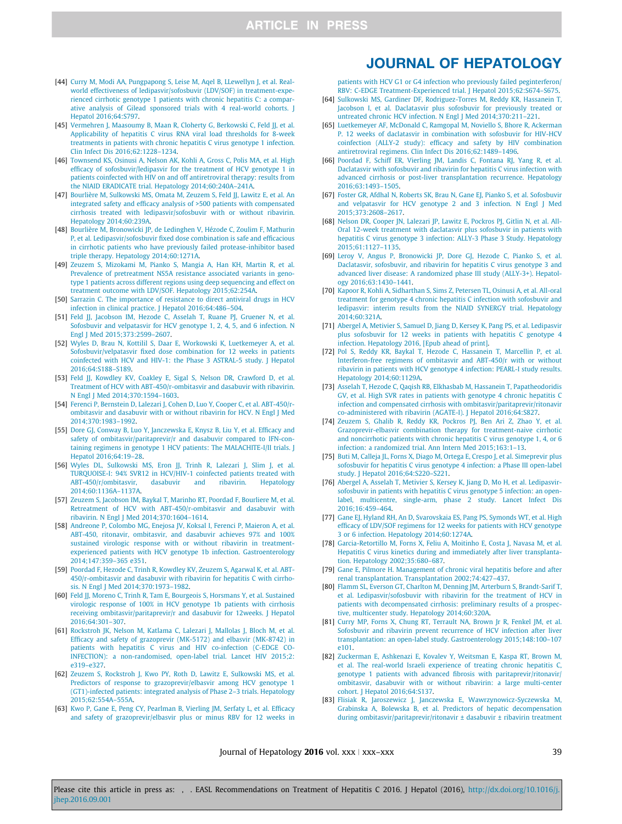- <span id="page-38-0"></span>[44] [Curry M, Modi AA, Pungpapong S, Leise M, Aqel B, LLewellyn J, et al. Real](http://refhub.elsevier.com/S0168-8278(16)30489-5/h0220)[world effectiveness of ledipasvir/sofosbuvir \(LDV/SOF\) in treatment-expe](http://refhub.elsevier.com/S0168-8278(16)30489-5/h0220)[rienced cirrhotic genotype 1 patients with chronic hepatitis C: a compar](http://refhub.elsevier.com/S0168-8278(16)30489-5/h0220)[ative analysis of Gilead sponsored trials with 4 real-world cohorts. J](http://refhub.elsevier.com/S0168-8278(16)30489-5/h0220) [Hepatol 2016;64:S797](http://refhub.elsevier.com/S0168-8278(16)30489-5/h0220).
- [45] [Vermehren J, Maasoumy B, Maan R, Cloherty G, Berkowski C, Feld JJ, et al.](http://refhub.elsevier.com/S0168-8278(16)30489-5/h0225) [Applicability of hepatitis C virus RNA viral load thresholds for 8-week](http://refhub.elsevier.com/S0168-8278(16)30489-5/h0225) [treatments in patients with chronic hepatitis C virus genotype 1 infection.](http://refhub.elsevier.com/S0168-8278(16)30489-5/h0225) [Clin Infect Dis 2016;62:1228–1234.](http://refhub.elsevier.com/S0168-8278(16)30489-5/h0225)
- [46] [Townsend KS, Osinusi A, Nelson AK, Kohli A, Gross C, Polis MA, et al. High](http://refhub.elsevier.com/S0168-8278(16)30489-5/h0230) [efficacy of sofosbuvir/ledipasvir for the treatment of HCV genotype 1 in](http://refhub.elsevier.com/S0168-8278(16)30489-5/h0230) [patients coinfected with HIV on and off antiretroviral therapy: results from](http://refhub.elsevier.com/S0168-8278(16)30489-5/h0230) [the NIAID ERADICATE trial. Hepatology 2014;60:240A–241A](http://refhub.elsevier.com/S0168-8278(16)30489-5/h0230).
- [47] [Bourlière M, Sulkowski MS, Omata M, Zeuzem S, Feld JJ, Lawitz E, et al. An](http://refhub.elsevier.com/S0168-8278(16)30489-5/h0235) [integrated safety and efficacy analysis of >500 patients with compensated](http://refhub.elsevier.com/S0168-8278(16)30489-5/h0235) [cirrhosis treated with ledipasvir/sofosbuvir with or without ribavirin.](http://refhub.elsevier.com/S0168-8278(16)30489-5/h0235) [Hepatology 2014;60:239A](http://refhub.elsevier.com/S0168-8278(16)30489-5/h0235).
- [48] [Bourlière M, Bronowicki JP, de Ledinghen V, Hézode C, Zoulim F, Mathurin](http://refhub.elsevier.com/S0168-8278(16)30489-5/h0240) [P, et al. Ledipasvir/sofosbuvir fixed dose combination is safe and efficacious](http://refhub.elsevier.com/S0168-8278(16)30489-5/h0240) [in cirrhotic patients who have previously failed protease-inhibitor based](http://refhub.elsevier.com/S0168-8278(16)30489-5/h0240) [triple therapy. Hepatology 2014;60:1271A.](http://refhub.elsevier.com/S0168-8278(16)30489-5/h0240)
- [49] [Zeuzem S, Mizokami M, Pianko S, Mangia A, Han KH, Martin R, et al.](http://refhub.elsevier.com/S0168-8278(16)30489-5/h0245) [Prevalence of pretreatment NS5A resistance associated variants in geno](http://refhub.elsevier.com/S0168-8278(16)30489-5/h0245)[type 1 patients across different regions using deep sequencing and effect on](http://refhub.elsevier.com/S0168-8278(16)30489-5/h0245) [treatment outcome with LDV/SOF. Hepatology 2015;62:254A.](http://refhub.elsevier.com/S0168-8278(16)30489-5/h0245)
- [50] [Sarrazin C. The importance of resistance to direct antiviral drugs in HCV](http://refhub.elsevier.com/S0168-8278(16)30489-5/h0250) [infection in clinical practice. J Hepatol 2016;64:486–504.](http://refhub.elsevier.com/S0168-8278(16)30489-5/h0250)
- [51] Feld JJ, Jacobson JM, Hezode C, Asselah T, Ruane PJ, Gruener N, et al. [Sofosbuvir and velpatasvir for HCV genotype 1, 2, 4, 5, and 6 infection. N](http://refhub.elsevier.com/S0168-8278(16)30489-5/h0255) [Engl J Med 2015;373:2599–2607.](http://refhub.elsevier.com/S0168-8278(16)30489-5/h0255)
- [52] [Wyles D, Brau N, Kottilil S, Daar E, Workowski K, Luetkemeyer A, et al.](http://refhub.elsevier.com/S0168-8278(16)30489-5/h0260) [Sofosbuvir/velpatasvir fixed dose combination for 12 weeks in patients](http://refhub.elsevier.com/S0168-8278(16)30489-5/h0260) [coinfected with HCV and HIV-1: the Phase 3 ASTRAL-5 study. J Hepatol](http://refhub.elsevier.com/S0168-8278(16)30489-5/h0260) [2016;64:S188–S189.](http://refhub.elsevier.com/S0168-8278(16)30489-5/h0260)
- [53] [Feld JJ, Kowdley KV, Coakley E, Sigal S, Nelson DR, Crawford D, et al.](http://refhub.elsevier.com/S0168-8278(16)30489-5/h0265) [Treatment of HCV with ABT-450/r-ombitasvir and dasabuvir with ribavirin.](http://refhub.elsevier.com/S0168-8278(16)30489-5/h0265) [N Engl J Med 2014;370:1594–1603.](http://refhub.elsevier.com/S0168-8278(16)30489-5/h0265)
- [54] [Ferenci P, Bernstein D, Lalezari J, Cohen D, Luo Y, Cooper C, et al. ABT-450/r](http://refhub.elsevier.com/S0168-8278(16)30489-5/h0270)[ombitasvir and dasabuvir with or without ribavirin for HCV. N Engl J Med](http://refhub.elsevier.com/S0168-8278(16)30489-5/h0270) [2014;370:1983–1992](http://refhub.elsevier.com/S0168-8278(16)30489-5/h0270).
- [55] [Dore GJ, Conway B, Luo Y, Janczewska E, Knysz B, Liu Y, et al. Efficacy and](http://refhub.elsevier.com/S0168-8278(16)30489-5/h0275) [safety of ombitasvir/paritaprevir/r and dasabuvir compared to IFN-con](http://refhub.elsevier.com/S0168-8278(16)30489-5/h0275)[taining regimens in genotype 1 HCV patients: The MALACHITE-I/II trials. J](http://refhub.elsevier.com/S0168-8278(16)30489-5/h0275) [Hepatol 2016;64:19–28](http://refhub.elsevier.com/S0168-8278(16)30489-5/h0275).
- [56] [Wyles DL, Sulkowski MS, Eron JJ, Trinh R, Lalezari J, Slim J, et al.](http://refhub.elsevier.com/S0168-8278(16)30489-5/h0280) [TURQUOISE-I: 94% SVR12 in HCV/HIV-1 coinfected patients treated with](http://refhub.elsevier.com/S0168-8278(16)30489-5/h0280) [ABT-450/r/ombitasvir, dasabuvir and ribavirin. Hepatology](http://refhub.elsevier.com/S0168-8278(16)30489-5/h0280) [2014;60:1136A–1137A](http://refhub.elsevier.com/S0168-8278(16)30489-5/h0280).
- [57] [Zeuzem S, Jacobson IM, Baykal T, Marinho RT, Poordad F, Bourliere M, et al.](http://refhub.elsevier.com/S0168-8278(16)30489-5/h0285) [Retreatment of HCV with ABT-450/r-ombitasvir and dasabuvir with](http://refhub.elsevier.com/S0168-8278(16)30489-5/h0285) [ribavirin. N Engl J Med 2014;370:1604–1614](http://refhub.elsevier.com/S0168-8278(16)30489-5/h0285).
- [58] [Andreone P, Colombo MG, Enejosa JV, Koksal I, Ferenci P, Maieron A, et al.](http://refhub.elsevier.com/S0168-8278(16)30489-5/h0290) [ABT-450, ritonavir, ombitasvir, and dasabuvir achieves 97% and 100%](http://refhub.elsevier.com/S0168-8278(16)30489-5/h0290) [sustained virologic response with or without ribavirin in treatment](http://refhub.elsevier.com/S0168-8278(16)30489-5/h0290)[experienced patients with HCV genotype 1b infection. Gastroenterology](http://refhub.elsevier.com/S0168-8278(16)30489-5/h0290) [2014;147:359–365 e351.](http://refhub.elsevier.com/S0168-8278(16)30489-5/h0290)
- [59] [Poordad F, Hezode C, Trinh R, Kowdley KV, Zeuzem S, Agarwal K, et al. ABT-](http://refhub.elsevier.com/S0168-8278(16)30489-5/h0295)[450/r-ombitasvir and dasabuvir with ribavirin for hepatitis C with cirrho](http://refhub.elsevier.com/S0168-8278(16)30489-5/h0295)[sis. N Engl J Med 2014;370:1973–1982.](http://refhub.elsevier.com/S0168-8278(16)30489-5/h0295)
- [60] [Feld JJ, Moreno C, Trinh R, Tam E, Bourgeois S, Horsmans Y, et al. Sustained](http://refhub.elsevier.com/S0168-8278(16)30489-5/h0300) [virologic response of 100% in HCV genotype 1b patients with cirrhosis](http://refhub.elsevier.com/S0168-8278(16)30489-5/h0300) [receiving ombitasvir/paritaprevir/r and dasabuvir for 12weeks. J Hepatol](http://refhub.elsevier.com/S0168-8278(16)30489-5/h0300) [2016;64:301–307](http://refhub.elsevier.com/S0168-8278(16)30489-5/h0300).
- [61] [Rockstroh JK, Nelson M, Katlama C, Lalezari J, Mallolas J, Bloch M, et al.](http://refhub.elsevier.com/S0168-8278(16)30489-5/h0305) [Efficacy and safety of grazoprevir \(MK-5172\) and elbasvir \(MK-8742\) in](http://refhub.elsevier.com/S0168-8278(16)30489-5/h0305) [patients with hepatitis C virus and HIV co-infection \(C-EDGE CO-](http://refhub.elsevier.com/S0168-8278(16)30489-5/h0305)[INFECTION\): a non-randomised, open-label trial. Lancet HIV 2015;2:](http://refhub.elsevier.com/S0168-8278(16)30489-5/h0305) [e319–e327](http://refhub.elsevier.com/S0168-8278(16)30489-5/h0305).
- [62] [Zeuzem S, Rockstroh J, Kwo PY, Roth D, Lawitz E, Sulkowski MS, et al.](http://refhub.elsevier.com/S0168-8278(16)30489-5/h0310) [Predictors of response to grazoprevir/elbasvir among HCV genotype 1](http://refhub.elsevier.com/S0168-8278(16)30489-5/h0310) [\(GT1\)-infected patients: integrated analysis of Phase 2–3 trials. Hepatology](http://refhub.elsevier.com/S0168-8278(16)30489-5/h0310) [2015;62:554A–555A.](http://refhub.elsevier.com/S0168-8278(16)30489-5/h0310)
- [63] [Kwo P, Gane E, Peng CY, Pearlman B, Vierling JM, Serfaty L, et al. Efficacy](http://refhub.elsevier.com/S0168-8278(16)30489-5/h0315) [and safety of grazoprevir/elbasvir plus or minus RBV for 12 weeks in](http://refhub.elsevier.com/S0168-8278(16)30489-5/h0315)

## JOURNAL OF HEPATOLOGY

[patients with HCV G1 or G4 infection who previously failed peginterferon/](http://refhub.elsevier.com/S0168-8278(16)30489-5/h0315) [RBV: C-EDGE Treatment-Experienced trial. J Hepatol 2015;62:S674–S675.](http://refhub.elsevier.com/S0168-8278(16)30489-5/h0315)

- [64] [Sulkowski MS, Gardiner DF, Rodriguez-Torres M, Reddy KR, Hassanein T,](http://refhub.elsevier.com/S0168-8278(16)30489-5/h0320) [Jacobson I, et al. Daclatasvir plus sofosbuvir for previously treated or](http://refhub.elsevier.com/S0168-8278(16)30489-5/h0320) [untreated chronic HCV infection. N Engl J Med 2014;370:211–221.](http://refhub.elsevier.com/S0168-8278(16)30489-5/h0320)
- [65] [Luetkemeyer AF, McDonald C, Ramgopal M, Noviello S, Bhore R, Ackerman](http://refhub.elsevier.com/S0168-8278(16)30489-5/h0325) [P. 12 weeks of daclatasvir in combination with sofosbuvir for HIV-HCV](http://refhub.elsevier.com/S0168-8278(16)30489-5/h0325) [coinfection \(ALLY-2 study\): efficacy and safety by HIV combination](http://refhub.elsevier.com/S0168-8278(16)30489-5/h0325) [antiretroviral regimens. Clin Infect Dis 2016;62:1489–1496](http://refhub.elsevier.com/S0168-8278(16)30489-5/h0325).
- [66] [Poordad F, Schiff ER, Vierling JM, Landis C, Fontana RJ, Yang R, et al.](http://refhub.elsevier.com/S0168-8278(16)30489-5/h0330) [Daclatasvir with sofosbuvir and ribavirin for hepatitis C virus infection with](http://refhub.elsevier.com/S0168-8278(16)30489-5/h0330) [advanced cirrhosis or post-liver transplantation recurrence. Hepatology](http://refhub.elsevier.com/S0168-8278(16)30489-5/h0330) [2016;63:1493–1505.](http://refhub.elsevier.com/S0168-8278(16)30489-5/h0330)
- [67] [Foster GR, Afdhal N, Roberts SK, Brau N, Gane EJ, Pianko S, et al. Sofosbuvir](http://refhub.elsevier.com/S0168-8278(16)30489-5/h0335) [and velpatasvir for HCV genotype 2 and 3 infection. N Engl J Med](http://refhub.elsevier.com/S0168-8278(16)30489-5/h0335) [2015;373:2608–2617](http://refhub.elsevier.com/S0168-8278(16)30489-5/h0335).
- [68] [Nelson DR, Cooper JN, Lalezari JP, Lawitz E, Pockros PJ, Gitlin N, et al. All-](http://refhub.elsevier.com/S0168-8278(16)30489-5/h0340)[Oral 12-week treatment with daclatasvir plus sofosbuvir in patients with](http://refhub.elsevier.com/S0168-8278(16)30489-5/h0340) [hepatitis C virus genotype 3 infection: ALLY-3 Phase 3 Study. Hepatology](http://refhub.elsevier.com/S0168-8278(16)30489-5/h0340) [2015;61:1127–1135.](http://refhub.elsevier.com/S0168-8278(16)30489-5/h0340)
- [69] [Leroy V, Angus P, Bronowicki JP, Dore GJ, Hezode C, Pianko S, et al.](http://refhub.elsevier.com/S0168-8278(16)30489-5/h0345) [Daclatasvir, sofosbuvir, and ribavirin for hepatitis C virus genotype 3 and](http://refhub.elsevier.com/S0168-8278(16)30489-5/h0345) [advanced liver disease: A randomized phase III study \(ALLY-3+\). Hepatol](http://refhub.elsevier.com/S0168-8278(16)30489-5/h0345)[ogy 2016;63:1430–1441](http://refhub.elsevier.com/S0168-8278(16)30489-5/h0345).
- [70] [Kapoor R, Kohli A, Sidharthan S, Sims Z, Petersen TL, Osinusi A, et al. All-oral](http://refhub.elsevier.com/S0168-8278(16)30489-5/h0350) [treatment for genotype 4 chronic hepatitis C infection with sofosbuvir and](http://refhub.elsevier.com/S0168-8278(16)30489-5/h0350) [ledipasvir: interim results from the NIAID SYNERGY trial. Hepatology](http://refhub.elsevier.com/S0168-8278(16)30489-5/h0350)  $2014.60.321A$
- [71] [Abergel A, Metivier S, Samuel D, Jiang D, Kersey K, Pang PS, et al. Ledipasvir](http://refhub.elsevier.com/S0168-8278(16)30489-5/h0355) [plus sofosbuvir for 12 weeks in patients with hepatitis C genotype 4](http://refhub.elsevier.com/S0168-8278(16)30489-5/h0355) [infection. Hepatology 2016, \[Epub ahead of print\]](http://refhub.elsevier.com/S0168-8278(16)30489-5/h0355).
- [72] [Pol S, Reddy KR, Baykal T, Hezode C, Hassanein T, Marcellin P, et al.](http://refhub.elsevier.com/S0168-8278(16)30489-5/h0360) [Interferon-free regimens of ombitasvir and ABT-450/r with or without](http://refhub.elsevier.com/S0168-8278(16)30489-5/h0360) [ribavirin in patients with HCV genotype 4 infection: PEARL-I study results.](http://refhub.elsevier.com/S0168-8278(16)30489-5/h0360) [Hepatology 2014;60:1129A](http://refhub.elsevier.com/S0168-8278(16)30489-5/h0360).
- [73] [Asselah T, Hezode C, Qaqish RB, Elkhasbab M, Hassanein T, Papatheodoridis](http://refhub.elsevier.com/S0168-8278(16)30489-5/h0365) [GV, et al. High SVR rates in patients with genotype 4 chronic hepatitis C](http://refhub.elsevier.com/S0168-8278(16)30489-5/h0365) [infection and compensated cirrhosis with ombitasvir/paritaprevir/ritonavir](http://refhub.elsevier.com/S0168-8278(16)30489-5/h0365) [co-administered with ribavirin \(AGATE-I\). J Hepatol 2016;64:S827.](http://refhub.elsevier.com/S0168-8278(16)30489-5/h0365)
- [74] [Zeuzem S, Ghalib R, Reddy KR, Pockros PJ, Ben Ari Z, Zhao Y, et al.](http://refhub.elsevier.com/S0168-8278(16)30489-5/h0370) [Grazoprevir-elbasvir combination therapy for treatment-naive cirrhotic](http://refhub.elsevier.com/S0168-8278(16)30489-5/h0370) [and noncirrhotic patients with chronic hepatitis C virus genotype 1, 4, or 6](http://refhub.elsevier.com/S0168-8278(16)30489-5/h0370) [infection: a randomized trial. Ann Intern Med 2015;163:1–13](http://refhub.elsevier.com/S0168-8278(16)30489-5/h0370).
- [75] [Buti M, Calleja JL, Forns X, Diago M, Ortega E, Crespo J, et al. Simeprevir plus](http://refhub.elsevier.com/S0168-8278(16)30489-5/h0375) [sofosbuvir for hepatitis C virus genotype 4 infection: a Phase III open-label](http://refhub.elsevier.com/S0168-8278(16)30489-5/h0375) [study. J Hepatol 2016;64:S220–S221](http://refhub.elsevier.com/S0168-8278(16)30489-5/h0375).
- [76] [Abergel A, Asselah T, Metivier S, Kersey K, Jiang D, Mo H, et al. Ledipasvir](http://refhub.elsevier.com/S0168-8278(16)30489-5/h0380)[sofosbuvir in patients with hepatitis C virus genotype 5 infection: an open](http://refhub.elsevier.com/S0168-8278(16)30489-5/h0380)[label, multicentre, single-arm, phase 2 study. Lancet Infect Dis](http://refhub.elsevier.com/S0168-8278(16)30489-5/h0380) [2016;16:459–464](http://refhub.elsevier.com/S0168-8278(16)30489-5/h0380).
- [77] [Gane EJ, Hyland RH, An D, Svarovskaia ES, Pang PS, Symonds WT, et al. High](http://refhub.elsevier.com/S0168-8278(16)30489-5/h0385) [efficacy of LDV/SOF regimens for 12 weeks for patients with HCV genotype](http://refhub.elsevier.com/S0168-8278(16)30489-5/h0385) [3 or 6 infection. Hepatology 2014;60:1274A.](http://refhub.elsevier.com/S0168-8278(16)30489-5/h0385)
- [78] [Garcia-Retortillo M, Forns X, Feliu A, Moitinho E, Costa J, Navasa M, et al.](http://refhub.elsevier.com/S0168-8278(16)30489-5/h0390) [Hepatitis C virus kinetics during and immediately after liver transplanta](http://refhub.elsevier.com/S0168-8278(16)30489-5/h0390)[tion. Hepatology 2002;35:680–687](http://refhub.elsevier.com/S0168-8278(16)30489-5/h0390).
- [79] [Gane E, Pilmore H. Management of chronic viral hepatitis before and after](http://refhub.elsevier.com/S0168-8278(16)30489-5/h0395) [renal transplantation. Transplantation 2002;74:427–437](http://refhub.elsevier.com/S0168-8278(16)30489-5/h0395).
- [80] [Flamm SL, Everson GT, Charlton M, Denning JM, Arterburn S, Brandt-Sarif T,](http://refhub.elsevier.com/S0168-8278(16)30489-5/h0400) [et al. Ledipasvir/sofosbuvir with ribavirin for the treatment of HCV in](http://refhub.elsevier.com/S0168-8278(16)30489-5/h0400) [patients with decompensated cirrhosis: preliminary results of a prospec](http://refhub.elsevier.com/S0168-8278(16)30489-5/h0400)[tive, multicenter study. Hepatology 2014;60:320A.](http://refhub.elsevier.com/S0168-8278(16)30489-5/h0400)
- [81] [Curry MP, Forns X, Chung RT, Terrault NA, Brown Jr R, Fenkel JM, et al.](http://refhub.elsevier.com/S0168-8278(16)30489-5/h0405) [Sofosbuvir and ribavirin prevent recurrence of HCV infection after liver](http://refhub.elsevier.com/S0168-8278(16)30489-5/h0405) [transplantation: an open-label study. Gastroenterology 2015;148:100–107](http://refhub.elsevier.com/S0168-8278(16)30489-5/h0405) [e101.](http://refhub.elsevier.com/S0168-8278(16)30489-5/h0405)
- [82] [Zuckerman E, Ashkenazi E, Kovalev Y, Weitsman E, Kaspa RT, Brown M,](http://refhub.elsevier.com/S0168-8278(16)30489-5/h0410) [et al. The real-world Israeli experience of treating chronic hepatitis C,](http://refhub.elsevier.com/S0168-8278(16)30489-5/h0410) [genotype 1 patients with advanced fibrosis with paritaprevir/ritonavir/](http://refhub.elsevier.com/S0168-8278(16)30489-5/h0410) [ombitasvir, dasabuvir with or without ribavirin: a large multi-center](http://refhub.elsevier.com/S0168-8278(16)30489-5/h0410) [cohort. J Hepatol 2016;64:S137.](http://refhub.elsevier.com/S0168-8278(16)30489-5/h0410)
- [83] [Flisiak R, Jaroszewicz J, Janczewska E, Wawrzynowicz-Syczewska M,](http://refhub.elsevier.com/S0168-8278(16)30489-5/h0415) [Grabinska A, Bolewska B, et al. Predictors of hepatic decompensation](http://refhub.elsevier.com/S0168-8278(16)30489-5/h0415) [during ombitasvir/paritaprevir/ritonavir ± dasabuvir ± ribavirin treatment](http://refhub.elsevier.com/S0168-8278(16)30489-5/h0415)

Journal of Hepatology 2016 vol.  $xxx + xxx$   $\rightarrow$  39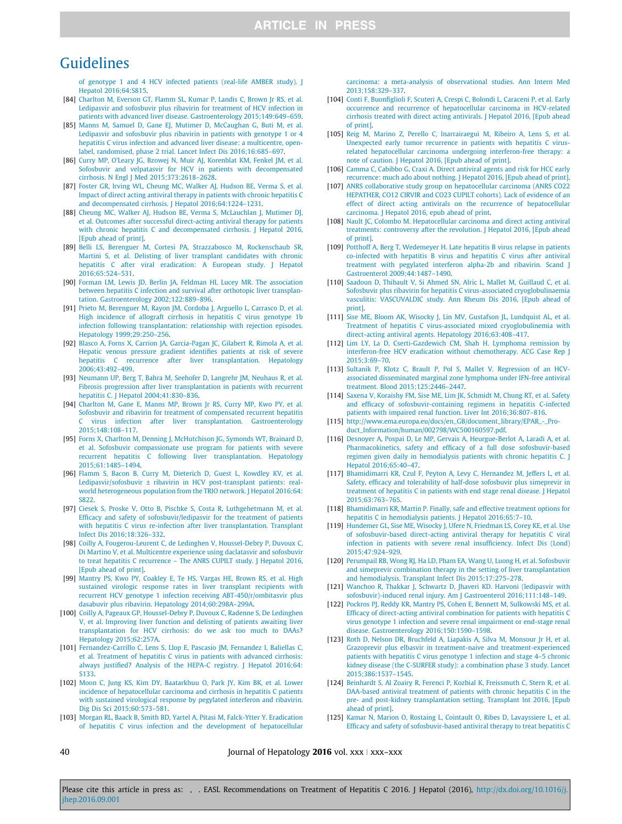<span id="page-39-0"></span>[of genotype 1 and 4 HCV infected patients \(real-life AMBER study\). J](http://refhub.elsevier.com/S0168-8278(16)30489-5/h0415) [Hepatol 2016;64:S815](http://refhub.elsevier.com/S0168-8278(16)30489-5/h0415).

- [84] [Charlton M, Everson GT, Flamm SL, Kumar P, Landis C, Brown Jr RS, et al.](http://refhub.elsevier.com/S0168-8278(16)30489-5/h0420) [Ledipasvir and sofosbuvir plus ribavirin for treatment of HCV infection in](http://refhub.elsevier.com/S0168-8278(16)30489-5/h0420) [patients with advanced liver disease. Gastroenterology 2015;149:649–659.](http://refhub.elsevier.com/S0168-8278(16)30489-5/h0420)
- [85] [Manns M, Samuel D, Gane EJ, Mutimer D, McCaughan G, Buti M, et al.](http://refhub.elsevier.com/S0168-8278(16)30489-5/h0425) [Ledipasvir and sofosbuvir plus ribavirin in patients with genotype 1 or 4](http://refhub.elsevier.com/S0168-8278(16)30489-5/h0425) [hepatitis C virus infection and advanced liver disease: a multicentre, open](http://refhub.elsevier.com/S0168-8278(16)30489-5/h0425)[label, randomised, phase 2 trial. Lancet Infect Dis 2016;16:685–697](http://refhub.elsevier.com/S0168-8278(16)30489-5/h0425).
- [86] [Curry MP, O'Leary JG, Bzowej N, Muir AJ, Korenblat KM, Fenkel JM, et al.](http://refhub.elsevier.com/S0168-8278(16)30489-5/h0430) [Sofosbuvir and velpatasvir for HCV in patients with decompensated](http://refhub.elsevier.com/S0168-8278(16)30489-5/h0430) [cirrhosis. N Engl J Med 2015;373:2618–2628.](http://refhub.elsevier.com/S0168-8278(16)30489-5/h0430)
- [87] [Foster GR, Irving WL, Cheung MC, Walker AJ, Hudson BE, Verma S, et al.](http://refhub.elsevier.com/S0168-8278(16)30489-5/h0435) [Impact of direct acting antiviral therapy in patients with chronic hepatitis C](http://refhub.elsevier.com/S0168-8278(16)30489-5/h0435) [and decompensated cirrhosis. J Hepatol 2016;64:1224–1231.](http://refhub.elsevier.com/S0168-8278(16)30489-5/h0435)
- [88] [Cheung MC, Walker AJ, Hudson BE, Verma S, McLauchlan J, Mutimer DJ,](http://refhub.elsevier.com/S0168-8278(16)30489-5/h0440) [et al. Outcomes after successful direct-acting antiviral therapy for patients](http://refhub.elsevier.com/S0168-8278(16)30489-5/h0440) [with chronic hepatitis C and decompensated cirrhosis. J Hepatol 2016,](http://refhub.elsevier.com/S0168-8278(16)30489-5/h0440) [\[Epub ahead of print\]](http://refhub.elsevier.com/S0168-8278(16)30489-5/h0440).
- [89] [Belli LS, Berenguer M, Cortesi PA, Strazzabosco M, Rockenschaub SR,](http://refhub.elsevier.com/S0168-8278(16)30489-5/h0445) [Martini S, et al. Delisting of liver transplant candidates with chronic](http://refhub.elsevier.com/S0168-8278(16)30489-5/h0445) [hepatitis C after viral eradication: A European study. J Hepatol](http://refhub.elsevier.com/S0168-8278(16)30489-5/h0445) [2016;65:524–531](http://refhub.elsevier.com/S0168-8278(16)30489-5/h0445).
- [90] [Forman LM, Lewis JD, Berlin JA, Feldman HI, Lucey MR. The association](http://refhub.elsevier.com/S0168-8278(16)30489-5/h0450) [between hepatitis C infection and survival after orthotopic liver transplan](http://refhub.elsevier.com/S0168-8278(16)30489-5/h0450)[tation. Gastroenterology 2002;122:889–896](http://refhub.elsevier.com/S0168-8278(16)30489-5/h0450).
- [91] [Prieto M, Berenguer M, Rayon JM, Cordoba J, Arguello L, Carrasco D, et al.](http://refhub.elsevier.com/S0168-8278(16)30489-5/h0455) [High incidence of allograft cirrhosis in hepatitis C virus genotype 1b](http://refhub.elsevier.com/S0168-8278(16)30489-5/h0455) [infection following transplantation: relationship with rejection episodes.](http://refhub.elsevier.com/S0168-8278(16)30489-5/h0455) [Hepatology 1999;29:250–256](http://refhub.elsevier.com/S0168-8278(16)30489-5/h0455).
- [92] [Blasco A, Forns X, Carrion JA, Garcia-Pagan JC, Gilabert R, Rimola A, et al.](http://refhub.elsevier.com/S0168-8278(16)30489-5/h0460) [Hepatic venous pressure gradient identifies patients at risk of severe](http://refhub.elsevier.com/S0168-8278(16)30489-5/h0460) [hepatitis C recurrence after liver transplantation. Hepatology](http://refhub.elsevier.com/S0168-8278(16)30489-5/h0460) [2006;43:492–499](http://refhub.elsevier.com/S0168-8278(16)30489-5/h0460).
- [93] [Neumann UP, Berg T, Bahra M, Seehofer D, Langrehr JM, Neuhaus R, et al.](http://refhub.elsevier.com/S0168-8278(16)30489-5/h0465) [Fibrosis progression after liver transplantation in patients with recurrent](http://refhub.elsevier.com/S0168-8278(16)30489-5/h0465) [hepatitis C. J Hepatol 2004;41:830–836](http://refhub.elsevier.com/S0168-8278(16)30489-5/h0465).
- [94] [Charlton M, Gane E, Manns MP, Brown Jr RS, Curry MP, Kwo PY, et al.](http://refhub.elsevier.com/S0168-8278(16)30489-5/h0470) [Sofosbuvir and ribavirin for treatment of compensated recurrent hepatitis](http://refhub.elsevier.com/S0168-8278(16)30489-5/h0470) [C virus infection after liver transplantation. Gastroenterology](http://refhub.elsevier.com/S0168-8278(16)30489-5/h0470) [2015;148:108–117](http://refhub.elsevier.com/S0168-8278(16)30489-5/h0470).
- [95] [Forns X, Charlton M, Denning J, McHutchison JG, Symonds WT, Brainard D,](http://refhub.elsevier.com/S0168-8278(16)30489-5/h0475) [et al. Sofosbuvir compassionate use program for patients with severe](http://refhub.elsevier.com/S0168-8278(16)30489-5/h0475) [recurrent hepatitis C following liver transplantation. Hepatology](http://refhub.elsevier.com/S0168-8278(16)30489-5/h0475) [2015;61:1485–1494.](http://refhub.elsevier.com/S0168-8278(16)30489-5/h0475)
- [96] [Flamm S, Bacon B, Curry M, Dieterich D, Guest L, Kowdley KV, et al.](http://refhub.elsevier.com/S0168-8278(16)30489-5/h0480) [Ledipasvir/sofosbuvir ± ribavirin in HCV post-transplant patients: real](http://refhub.elsevier.com/S0168-8278(16)30489-5/h0480)[world heterogeneous population from the TRIO network. J Hepatol 2016;64:](http://refhub.elsevier.com/S0168-8278(16)30489-5/h0480) [S822](http://refhub.elsevier.com/S0168-8278(16)30489-5/h0480).
- [97] [Ciesek S, Proske V, Otto B, Pischke S, Costa R, Luthgehetmann M, et al.](http://refhub.elsevier.com/S0168-8278(16)30489-5/h0485) [Efficacy and safety of sofosbuvir/ledipasvir for the treatment of patients](http://refhub.elsevier.com/S0168-8278(16)30489-5/h0485) [with hepatitis C virus re-infection after liver transplantation. Transplant](http://refhub.elsevier.com/S0168-8278(16)30489-5/h0485) [Infect Dis 2016;18:326–332.](http://refhub.elsevier.com/S0168-8278(16)30489-5/h0485)
- [98] [Coilly A, Fougerou-Leurent C, de Ledinghen V, Houssel-Debry P, Duvoux C,](http://refhub.elsevier.com/S0168-8278(16)30489-5/h0490) [Di Martino V, et al. Multicentre experience using daclatasvir and sofosbuvir](http://refhub.elsevier.com/S0168-8278(16)30489-5/h0490) [to treat hepatitis C recurrence – The ANRS CUPILT study. J Hepatol 2016,](http://refhub.elsevier.com/S0168-8278(16)30489-5/h0490) [\[Epub ahead of print\]](http://refhub.elsevier.com/S0168-8278(16)30489-5/h0490).
- [99] [Mantry PS, Kwo PY, Coakley E, Te HS, Vargas HE, Brown RS, et al. High](http://refhub.elsevier.com/S0168-8278(16)30489-5/h0495) [sustained virologic response rates in liver transplant recipients with](http://refhub.elsevier.com/S0168-8278(16)30489-5/h0495) [recurrent HCV genotype 1 infection receiving ABT-450/r/ombitasvir plus](http://refhub.elsevier.com/S0168-8278(16)30489-5/h0495) [dasabuvir plus ribavirin. Hepatology 2014;60:298A–299A](http://refhub.elsevier.com/S0168-8278(16)30489-5/h0495).
- [100] [Coilly A, Pageaux GP, Houssel-Debry P, Duvoux C, Radenne S, De Ledinghen](http://refhub.elsevier.com/S0168-8278(16)30489-5/h0500) [V, et al. Improving liver function and delisting of patients awaiting liver](http://refhub.elsevier.com/S0168-8278(16)30489-5/h0500) [transplantation for HCV cirrhosis: do we ask too much to DAAs?](http://refhub.elsevier.com/S0168-8278(16)30489-5/h0500) [Hepatology 2015;62:257A.](http://refhub.elsevier.com/S0168-8278(16)30489-5/h0500)
- [101] [Fernandez-Carrillo C, Lens S, Llop E, Pascasio JM, Fernandez I, Baliellas C,](http://refhub.elsevier.com/S0168-8278(16)30489-5/h0505) [et al. Treatment of hepatitis C virus in patients with advanced cirrhosis:](http://refhub.elsevier.com/S0168-8278(16)30489-5/h0505) [always justified? Analysis of the HEPA-C registry. J Hepatol 2016;64:](http://refhub.elsevier.com/S0168-8278(16)30489-5/h0505) [S133.](http://refhub.elsevier.com/S0168-8278(16)30489-5/h0505)
- [102] [Moon C, Jung KS, Kim DY, Baatarkhuu O, Park JY, Kim BK, et al. Lower](http://refhub.elsevier.com/S0168-8278(16)30489-5/h0510) [incidence of hepatocellular carcinoma and cirrhosis in hepatitis C patients](http://refhub.elsevier.com/S0168-8278(16)30489-5/h0510) [with sustained virological response by pegylated interferon and ribavirin.](http://refhub.elsevier.com/S0168-8278(16)30489-5/h0510) [Dig Dis Sci 2015;60:573–581.](http://refhub.elsevier.com/S0168-8278(16)30489-5/h0510)
- [103] [Morgan RL, Baack B, Smith BD, Yartel A, Pitasi M, Falck-Ytter Y. Eradication](http://refhub.elsevier.com/S0168-8278(16)30489-5/h0515) [of hepatitis C virus infection and the development of hepatocellular](http://refhub.elsevier.com/S0168-8278(16)30489-5/h0515)

[carcinoma: a meta-analysis of observational studies. Ann Intern Med](http://refhub.elsevier.com/S0168-8278(16)30489-5/h0515) [2013;158:329–337.](http://refhub.elsevier.com/S0168-8278(16)30489-5/h0515)

- [104] [Conti F, Buonfiglioli F, Scuteri A, Crespi C, Bolondi L, Caraceni P, et al. Early](http://refhub.elsevier.com/S0168-8278(16)30489-5/h0520) [occurrence and recurrence of hepatocellular carcinoma in HCV-related](http://refhub.elsevier.com/S0168-8278(16)30489-5/h0520) [cirrhosis treated with direct acting antivirals. J Hepatol 2016, \[Epub ahead](http://refhub.elsevier.com/S0168-8278(16)30489-5/h0520) [of print\].](http://refhub.elsevier.com/S0168-8278(16)30489-5/h0520)
- [105] [Reig M, Marino Z, Perello C, Inarrairaegui M, Ribeiro A, Lens S, et al.](http://refhub.elsevier.com/S0168-8278(16)30489-5/h0525) [Unexpected early tumor recurrence in patients with hepatitis C virus](http://refhub.elsevier.com/S0168-8278(16)30489-5/h0525)[related hepatocellular carcinoma undergoing interferon-free therapy: a](http://refhub.elsevier.com/S0168-8278(16)30489-5/h0525) [note of caution. J Hepatol 2016, \[Epub ahead of print\].](http://refhub.elsevier.com/S0168-8278(16)30489-5/h0525)
- [106] [Camma C, Cabibbo G, Craxi A. Direct antiviral agents and risk for HCC early](http://refhub.elsevier.com/S0168-8278(16)30489-5/h0530) [recurrence: much ado about nothing. J Hepatol 2016, \[Epub ahead of print\].](http://refhub.elsevier.com/S0168-8278(16)30489-5/h0530)
- [107] [ANRS collaborative study group on hepatocellular carcinoma \(ANRS CO22](http://refhub.elsevier.com/S0168-8278(16)30489-5/h0535) [HEPATHER, CO12 CIRVIR and CO23 CUPILT cohorts\). Lack of evidence of an](http://refhub.elsevier.com/S0168-8278(16)30489-5/h0535) [effect of direct acting antivirals on the recurrence of hepatocellular](http://refhub.elsevier.com/S0168-8278(16)30489-5/h0535) [carcinoma. J Hepatol 2016, epub ahead of print](http://refhub.elsevier.com/S0168-8278(16)30489-5/h0535).
- [108] [Nault JC, Colombo M. Hepatocellular carcinoma and direct acting antiviral](http://refhub.elsevier.com/S0168-8278(16)30489-5/h0540) [treatments: controversy after the revolution. J Hepatol 2016, \[Epub ahead](http://refhub.elsevier.com/S0168-8278(16)30489-5/h0540) [of print\].](http://refhub.elsevier.com/S0168-8278(16)30489-5/h0540)
- [109] [Potthoff A, Berg T, Wedemeyer H. Late hepatitis B virus relapse in patients](http://refhub.elsevier.com/S0168-8278(16)30489-5/h0545) [co-infected with hepatitis B virus and hepatitis C virus after antiviral](http://refhub.elsevier.com/S0168-8278(16)30489-5/h0545) [treatment with pegylated interferon alpha-2b and ribavirin. Scand J](http://refhub.elsevier.com/S0168-8278(16)30489-5/h0545) [Gastroenterol 2009;44:1487–1490.](http://refhub.elsevier.com/S0168-8278(16)30489-5/h0545)
- [110] [Saadoun D, Thibault V, Si Ahmed SN, Alric L, Mallet M, Guillaud C, et al.](http://refhub.elsevier.com/S0168-8278(16)30489-5/h0550) [Sofosbuvir plus ribavirin for hepatitis C virus-associated cryoglobulinaemia](http://refhub.elsevier.com/S0168-8278(16)30489-5/h0550) [vasculitis: VASCUVALDIC study. Ann Rheum Dis 2016, \[Epub ahead of](http://refhub.elsevier.com/S0168-8278(16)30489-5/h0550) [print\].](http://refhub.elsevier.com/S0168-8278(16)30489-5/h0550)
- [111] [Sise ME, Bloom AK, Wisocky J, Lin MV, Gustafson JL, Lundquist AL, et al.](http://refhub.elsevier.com/S0168-8278(16)30489-5/h0555) [Treatment of hepatitis C virus-associated mixed cryoglobulinemia with](http://refhub.elsevier.com/S0168-8278(16)30489-5/h0555) [direct-acting antiviral agents. Hepatology 2016;63:408–417](http://refhub.elsevier.com/S0168-8278(16)30489-5/h0555).
- [112] [Lim LY, La D, Cserti-Gazdewich CM, Shah H. Lymphoma remission by](http://refhub.elsevier.com/S0168-8278(16)30489-5/h0560) [interferon-free HCV eradication without chemotherapy. ACG Case Rep J](http://refhub.elsevier.com/S0168-8278(16)30489-5/h0560) [2015;3:69–70.](http://refhub.elsevier.com/S0168-8278(16)30489-5/h0560)
- [113] [Sultanik P, Klotz C, Brault P, Pol S, Mallet V. Regression of an HCV](http://refhub.elsevier.com/S0168-8278(16)30489-5/h0565)[associated disseminated marginal zone lymphoma under IFN-free antiviral](http://refhub.elsevier.com/S0168-8278(16)30489-5/h0565) [treatment. Blood 2015;125:2446–2447](http://refhub.elsevier.com/S0168-8278(16)30489-5/h0565).
- [114] [Saxena V, Koraishy FM, Sise ME, Lim JK, Schmidt M, Chung RT, et al. Safety](http://refhub.elsevier.com/S0168-8278(16)30489-5/h0570) [and efficacy of sofosbuvir-containing regimens in hepatitis C-infected](http://refhub.elsevier.com/S0168-8278(16)30489-5/h0570) [patients with impaired renal function. Liver Int 2016;36:807–816.](http://refhub.elsevier.com/S0168-8278(16)30489-5/h0570)
- [115] [http://www.ema.europa.eu/docs/en\\_GB/document\\_library/EPAR\\_-\\_Pro](http://www.ema.europa.eu/docs/en_GB/document_library/EPAR_-_Product_Information/human/002798/WC500160597.pdf)[duct\\_Information/human/002798/WC500160597.pdf](http://www.ema.europa.eu/docs/en_GB/document_library/EPAR_-_Product_Information/human/002798/WC500160597.pdf).
- [116] [Desnoyer A, Pospai D, Le MP, Gervais A, Heurgue-Berlot A, Laradi A, et al.](http://refhub.elsevier.com/S0168-8278(16)30489-5/h0580) [Pharmacokinetics, safety and efficacy of a full dose sofosbuvir-based](http://refhub.elsevier.com/S0168-8278(16)30489-5/h0580) [regimen given daily in hemodialysis patients with chronic hepatitis C. J](http://refhub.elsevier.com/S0168-8278(16)30489-5/h0580) [Hepatol 2016;65:40–47.](http://refhub.elsevier.com/S0168-8278(16)30489-5/h0580)
- [117] [Bhamidimarri KR, Czul F, Peyton A, Levy C, Hernandez M, Jeffers L, et al.](http://refhub.elsevier.com/S0168-8278(16)30489-5/h0585) [Safety, efficacy and tolerability of half-dose sofosbuvir plus simeprevir in](http://refhub.elsevier.com/S0168-8278(16)30489-5/h0585) [treatment of hepatitis C in patients with end stage renal disease. J Hepatol](http://refhub.elsevier.com/S0168-8278(16)30489-5/h0585) [2015;63:763–765](http://refhub.elsevier.com/S0168-8278(16)30489-5/h0585).
- [118] [Bhamidimarri KR, Martin P. Finally, safe and effective treatment options for](http://refhub.elsevier.com/S0168-8278(16)30489-5/h0590) hepatitis C in hemodialysis patients. I Hepatol 2016:65:7-10.
- [119] [Hundemer GL, Sise ME, Wisocky J, Ufere N, Friedman LS, Corey KE, et al. Use](http://refhub.elsevier.com/S0168-8278(16)30489-5/h0595) [of sofosbuvir-based direct-acting antiviral therapy for hepatitis C viral](http://refhub.elsevier.com/S0168-8278(16)30489-5/h0595) [infection in patients with severe renal insufficiency. Infect Dis \(Lond\)](http://refhub.elsevier.com/S0168-8278(16)30489-5/h0595) [2015;47:924–929](http://refhub.elsevier.com/S0168-8278(16)30489-5/h0595).
- [120] [Perumpail RB, Wong RJ, Ha LD, Pham EA, Wang U, Luong H, et al. Sofosbuvir](http://refhub.elsevier.com/S0168-8278(16)30489-5/h0600) [and simeprevir combination therapy in the setting of liver transplantation](http://refhub.elsevier.com/S0168-8278(16)30489-5/h0600) [and hemodialysis. Transplant Infect Dis 2015;17:275–278](http://refhub.elsevier.com/S0168-8278(16)30489-5/h0600).
- [121] [Wanchoo R, Thakkar J, Schwartz D, Jhaveri KD. Harvoni \(ledipasvir with](http://refhub.elsevier.com/S0168-8278(16)30489-5/h0605) [sofosbuvir\)-induced renal injury. Am J Gastroenterol 2016;111:148–149](http://refhub.elsevier.com/S0168-8278(16)30489-5/h0605).
- [122] [Pockros PJ, Reddy KR, Mantry PS, Cohen E, Bennett M, Sulkowski MS, et al.](http://refhub.elsevier.com/S0168-8278(16)30489-5/h0610) [Efficacy of direct-acting antiviral combination for patients with hepatitis C](http://refhub.elsevier.com/S0168-8278(16)30489-5/h0610) [virus genotype 1 infection and severe renal impairment or end-stage renal](http://refhub.elsevier.com/S0168-8278(16)30489-5/h0610) [disease. Gastroenterology 2016;150:1590–1598](http://refhub.elsevier.com/S0168-8278(16)30489-5/h0610).
- [123] [Roth D, Nelson DR, Bruchfeld A, Liapakis A, Silva M, Monsour Jr H, et al.](http://refhub.elsevier.com/S0168-8278(16)30489-5/h0615) [Grazoprevir plus elbasvir in treatment-naive and treatment-experienced](http://refhub.elsevier.com/S0168-8278(16)30489-5/h0615) [patients with hepatitis C virus genotype 1 infection and stage 4–5 chronic](http://refhub.elsevier.com/S0168-8278(16)30489-5/h0615) [kidney disease \(the C-SURFER study\): a combination phase 3 study. Lancet](http://refhub.elsevier.com/S0168-8278(16)30489-5/h0615) [2015;386:1537–1545](http://refhub.elsevier.com/S0168-8278(16)30489-5/h0615).
- [124] [Beinhardt S, Al Zoairy R, Ferenci P, Kozbial K, Freissmuth C, Stern R, et al.](http://refhub.elsevier.com/S0168-8278(16)30489-5/h0620) [DAA-based antiviral treatment of patients with chronic hepatitis C in the](http://refhub.elsevier.com/S0168-8278(16)30489-5/h0620) [pre- and post-kidney transplantation setting. Transplant Int 2016, \[Epub](http://refhub.elsevier.com/S0168-8278(16)30489-5/h0620) [ahead of print\].](http://refhub.elsevier.com/S0168-8278(16)30489-5/h0620)
- [125] [Kamar N, Marion O, Rostaing L, Cointault O, Ribes D, Lavayssiere L, et al.](http://refhub.elsevier.com/S0168-8278(16)30489-5/h0625) [Efficacy and safety of sofosbuvir-based antiviral therapy to treat hepatitis C](http://refhub.elsevier.com/S0168-8278(16)30489-5/h0625)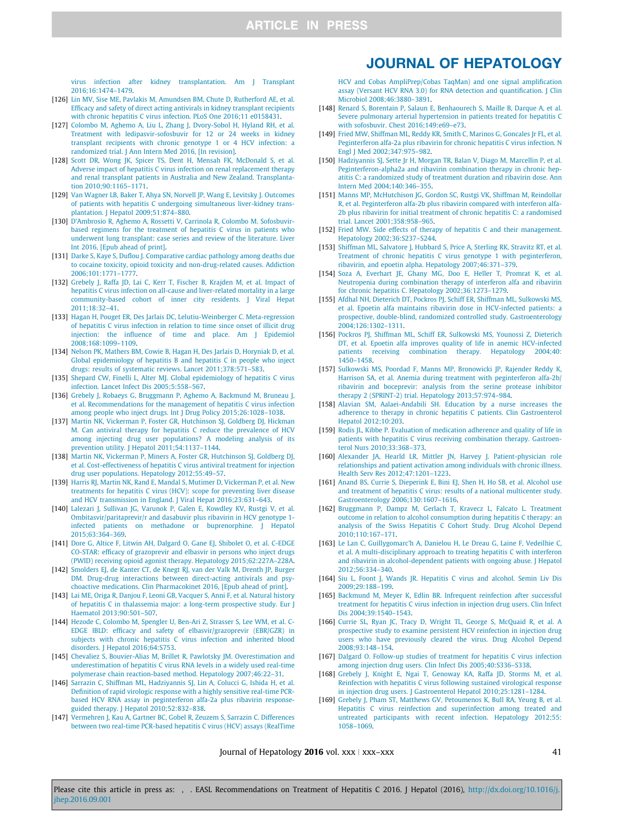<span id="page-40-0"></span>[virus infection after kidney transplantation. Am J Transplant](http://refhub.elsevier.com/S0168-8278(16)30489-5/h0625) [2016;16:1474–1479](http://refhub.elsevier.com/S0168-8278(16)30489-5/h0625).

- [126] [Lin MV, Sise ME, Pavlakis M, Amundsen BM, Chute D, Rutherford AE, et al.](http://refhub.elsevier.com/S0168-8278(16)30489-5/h0630) [Efficacy and safety of direct acting antivirals in kidney transplant recipients](http://refhub.elsevier.com/S0168-8278(16)30489-5/h0630) [with chronic hepatitis C virus infection. PLoS One 2016;11 e0158431.](http://refhub.elsevier.com/S0168-8278(16)30489-5/h0630)
- [127] [Colombo M, Aghemo A, Liu L, Zhang J, Dvory-Sobol H, Hyland RH, et al.](http://refhub.elsevier.com/S0168-8278(16)30489-5/h0635) [Treatment with ledipasvir-sofosbuvir for 12 or 24 weeks in kidney](http://refhub.elsevier.com/S0168-8278(16)30489-5/h0635) [transplant recipients with chronic genotype 1 or 4 HCV infection: a](http://refhub.elsevier.com/S0168-8278(16)30489-5/h0635) [randomized trial. J Ann Intern Med 2016, \[In revision\]](http://refhub.elsevier.com/S0168-8278(16)30489-5/h0635).
- [128] [Scott DR, Wong JK, Spicer TS, Dent H, Mensah FK, McDonald S, et al.](http://refhub.elsevier.com/S0168-8278(16)30489-5/h0640) [Adverse impact of hepatitis C virus infection on renal replacement therapy](http://refhub.elsevier.com/S0168-8278(16)30489-5/h0640) [and renal transplant patients in Australia and New Zealand. Transplanta](http://refhub.elsevier.com/S0168-8278(16)30489-5/h0640)[tion 2010;90:1165–1171](http://refhub.elsevier.com/S0168-8278(16)30489-5/h0640).
- [129] [Van Wagner LB, Baker T, Ahya SN, Norvell JP, Wang E, Levitsky J. Outcomes](http://refhub.elsevier.com/S0168-8278(16)30489-5/h0645) [of patients with hepatitis C undergoing simultaneous liver-kidney trans](http://refhub.elsevier.com/S0168-8278(16)30489-5/h0645)[plantation. J Hepatol 2009;51:874–880](http://refhub.elsevier.com/S0168-8278(16)30489-5/h0645).
- [130] [D'Ambrosio R, Aghemo A, Rossetti V, Carrinola R, Colombo M. Sofosbuvir](http://refhub.elsevier.com/S0168-8278(16)30489-5/h0650)[based regimens for the treatment of hepatitis C virus in patients who](http://refhub.elsevier.com/S0168-8278(16)30489-5/h0650) [underwent lung transplant: case series and review of the literature. Liver](http://refhub.elsevier.com/S0168-8278(16)30489-5/h0650) [Int 2016, \[Epub ahead of print\].](http://refhub.elsevier.com/S0168-8278(16)30489-5/h0650)
- [131] [Darke S, Kaye S, Duflou J. Comparative cardiac pathology among deaths due](http://refhub.elsevier.com/S0168-8278(16)30489-5/h0655) [to cocaine toxicity, opioid toxicity and non-drug-related causes. Addiction](http://refhub.elsevier.com/S0168-8278(16)30489-5/h0655) [2006;101:1771–1777.](http://refhub.elsevier.com/S0168-8278(16)30489-5/h0655)
- [132] [Grebely J, Raffa JD, Lai C, Kerr T, Fischer B, Krajden M, et al. Impact of](http://refhub.elsevier.com/S0168-8278(16)30489-5/h0660) [hepatitis C virus infection on all-cause and liver-related mortality in a large](http://refhub.elsevier.com/S0168-8278(16)30489-5/h0660) [community-based cohort of inner city residents. J Viral Hepat](http://refhub.elsevier.com/S0168-8278(16)30489-5/h0660) [2011;18:32–41](http://refhub.elsevier.com/S0168-8278(16)30489-5/h0660).
- [133] [Hagan H, Pouget ER, Des Jarlais DC, Lelutiu-Weinberger C. Meta-regression](http://refhub.elsevier.com/S0168-8278(16)30489-5/h0665) [of hepatitis C virus infection in relation to time since onset of illicit drug](http://refhub.elsevier.com/S0168-8278(16)30489-5/h0665) [injection: the influence of time and place. Am J Epidemiol](http://refhub.elsevier.com/S0168-8278(16)30489-5/h0665) [2008;168:1099–1109.](http://refhub.elsevier.com/S0168-8278(16)30489-5/h0665)
- [134] [Nelson PK, Mathers BM, Cowie B, Hagan H, Des Jarlais D, Horyniak D, et al.](http://refhub.elsevier.com/S0168-8278(16)30489-5/h0670) [Global epidemiology of hepatitis B and hepatitis C in people who inject](http://refhub.elsevier.com/S0168-8278(16)30489-5/h0670) [drugs: results of systematic reviews. Lancet 2011;378:571–583.](http://refhub.elsevier.com/S0168-8278(16)30489-5/h0670)
- [135] [Shepard CW, Finelli L, Alter MJ. Global epidemiology of hepatitis C virus](http://refhub.elsevier.com/S0168-8278(16)30489-5/h0675) [infection. Lancet Infect Dis 2005;5:558–567](http://refhub.elsevier.com/S0168-8278(16)30489-5/h0675).
- [136] [Grebely J, Robaeys G, Bruggmann P, Aghemo A, Backmund M, Bruneau J,](http://refhub.elsevier.com/S0168-8278(16)30489-5/h0680) [et al. Recommendations for the management of hepatitis C virus infection](http://refhub.elsevier.com/S0168-8278(16)30489-5/h0680) [among people who inject drugs. Int J Drug Policy 2015;26:1028–1038.](http://refhub.elsevier.com/S0168-8278(16)30489-5/h0680)
- [137] [Martin NK, Vickerman P, Foster GR, Hutchinson SJ, Goldberg DJ, Hickman](http://refhub.elsevier.com/S0168-8278(16)30489-5/h0685) [M. Can antiviral therapy for hepatitis C reduce the prevalence of HCV](http://refhub.elsevier.com/S0168-8278(16)30489-5/h0685) [among injecting drug user populations? A modeling analysis of its](http://refhub.elsevier.com/S0168-8278(16)30489-5/h0685) [prevention utility. J Hepatol 2011;54:1137–1144](http://refhub.elsevier.com/S0168-8278(16)30489-5/h0685).
- [138] [Martin NK, Vickerman P, Miners A, Foster GR, Hutchinson SJ, Goldberg DJ,](http://refhub.elsevier.com/S0168-8278(16)30489-5/h0690) [et al. Cost-effectiveness of hepatitis C virus antiviral treatment for injection](http://refhub.elsevier.com/S0168-8278(16)30489-5/h0690) [drug user populations. Hepatology 2012;55:49–57](http://refhub.elsevier.com/S0168-8278(16)30489-5/h0690).
- [139] [Harris RJ, Martin NK, Rand E, Mandal S, Mutimer D, Vickerman P, et al. New](http://refhub.elsevier.com/S0168-8278(16)30489-5/h0695) [treatments for hepatitis C virus \(HCV\): scope for preventing liver disease](http://refhub.elsevier.com/S0168-8278(16)30489-5/h0695) [and HCV transmission in England. J Viral Hepat 2016;23:631–643](http://refhub.elsevier.com/S0168-8278(16)30489-5/h0695).
- [140] [Lalezari J, Sullivan JG, Varunok P, Galen E, Kowdley KV, Rustgi V, et al.](http://refhub.elsevier.com/S0168-8278(16)30489-5/h0700) [Ombitasvir/paritaprevir/r and dasabuvir plus ribavirin in HCV genotype 1](http://refhub.elsevier.com/S0168-8278(16)30489-5/h0700) [infected patients on methadone or buprenorphine. J Hepatol](http://refhub.elsevier.com/S0168-8278(16)30489-5/h0700) [2015;63:364–369.](http://refhub.elsevier.com/S0168-8278(16)30489-5/h0700)
- [141] [Dore G, Altice F, Litwin AH, Dalgard O, Gane EJ, Shibolet O, et al. C-EDGE](http://refhub.elsevier.com/S0168-8278(16)30489-5/h0705) [CO-STAR: efficacy of grazoprevir and elbasvir in persons who inject drugs](http://refhub.elsevier.com/S0168-8278(16)30489-5/h0705) [\(PWID\) receiving opioid agonist therapy. Hepatology 2015;62:227A–228A.](http://refhub.elsevier.com/S0168-8278(16)30489-5/h0705)
- [142] [Smolders EJ, de Kanter CT, de Knegt RJ, van der Valk M, Drenth JP, Burger](http://refhub.elsevier.com/S0168-8278(16)30489-5/h0710) [DM. Drug-drug interactions between direct-acting antivirals and psy](http://refhub.elsevier.com/S0168-8278(16)30489-5/h0710)[choactive medications. Clin Pharmacokinet 2016, \[Epub ahead of print\]](http://refhub.elsevier.com/S0168-8278(16)30489-5/h0710).
- [143] [Lai ME, Origa R, Danjou F, Leoni GB, Vacquer S, Anni F, et al. Natural history](http://refhub.elsevier.com/S0168-8278(16)30489-5/h0715) [of hepatitis C in thalassemia major: a long-term prospective study. Eur J](http://refhub.elsevier.com/S0168-8278(16)30489-5/h0715) [Haematol 2013;90:501–507](http://refhub.elsevier.com/S0168-8278(16)30489-5/h0715).
- [144] [Hezode C, Colombo M, Spengler U, Ben-Ari Z, Strasser S, Lee WM, et al. C-](http://refhub.elsevier.com/S0168-8278(16)30489-5/h0720)[EDGE IBLD: efficacy and safety of elbasvir/grazoprevir \(EBR/GZR\) in](http://refhub.elsevier.com/S0168-8278(16)30489-5/h0720) [subjects with chronic hepatitis C virus infection and inherited blood](http://refhub.elsevier.com/S0168-8278(16)30489-5/h0720) [disorders. J Hepatol 2016;64:S753.](http://refhub.elsevier.com/S0168-8278(16)30489-5/h0720)
- [145] [Chevaliez S, Bouvier-Alias M, Brillet R, Pawlotsky JM. Overestimation and](http://refhub.elsevier.com/S0168-8278(16)30489-5/h0725) [underestimation of hepatitis C virus RNA levels in a widely used real-time](http://refhub.elsevier.com/S0168-8278(16)30489-5/h0725) [polymerase chain reaction-based method. Hepatology 2007;46:22–31.](http://refhub.elsevier.com/S0168-8278(16)30489-5/h0725)
- [146] [Sarrazin C, Shiffman ML, Hadziyannis SJ, Lin A, Colucci G, Ishida H, et al.](http://refhub.elsevier.com/S0168-8278(16)30489-5/h0730) [Definition of rapid virologic response with a highly sensitive real-time PCR](http://refhub.elsevier.com/S0168-8278(16)30489-5/h0730)[based HCV RNA assay in peginterferon alfa-2a plus ribavirin response](http://refhub.elsevier.com/S0168-8278(16)30489-5/h0730)[guided therapy. J Hepatol 2010;52:832–838.](http://refhub.elsevier.com/S0168-8278(16)30489-5/h0730)
- [147] [Vermehren J, Kau A, Gartner BC, Gobel R, Zeuzem S, Sarrazin C. Differences](http://refhub.elsevier.com/S0168-8278(16)30489-5/h0735) [between two real-time PCR-based hepatitis C virus \(HCV\) assays \(RealTime](http://refhub.elsevier.com/S0168-8278(16)30489-5/h0735)

## JOURNAL OF HEPATOLOGY

[HCV and Cobas AmpliPrep/Cobas TaqMan\) and one signal amplification](http://refhub.elsevier.com/S0168-8278(16)30489-5/h0735) [assay \(Versant HCV RNA 3.0\) for RNA detection and quantification. J Clin](http://refhub.elsevier.com/S0168-8278(16)30489-5/h0735) [Microbiol 2008;46:3880–3891.](http://refhub.elsevier.com/S0168-8278(16)30489-5/h0735)

- [148] [Renard S, Borentain P, Salaun E, Benhaourech S, Maille B, Darque A, et al.](http://refhub.elsevier.com/S0168-8278(16)30489-5/h0740) [Severe pulmonary arterial hypertension in patients treated for hepatitis C](http://refhub.elsevier.com/S0168-8278(16)30489-5/h0740) [with sofosbuvir. Chest 2016;149:e69–e73](http://refhub.elsevier.com/S0168-8278(16)30489-5/h0740).
- [149] [Fried MW, Shiffman ML, Reddy KR, Smith C, Marinos G, Goncales Jr FL, et al.](http://refhub.elsevier.com/S0168-8278(16)30489-5/h0745) [Peginterferon alfa-2a plus ribavirin for chronic hepatitis C virus infection. N](http://refhub.elsevier.com/S0168-8278(16)30489-5/h0745) [Engl J Med 2002;347:975–982.](http://refhub.elsevier.com/S0168-8278(16)30489-5/h0745)
- [150] [Hadziyannis SJ, Sette Jr H, Morgan TR, Balan V, Diago M, Marcellin P, et al.](http://refhub.elsevier.com/S0168-8278(16)30489-5/h0750) [Peginterferon-alpha2a and ribavirin combination therapy in chronic hep](http://refhub.elsevier.com/S0168-8278(16)30489-5/h0750)[atitis C: a randomized study of treatment duration and ribavirin dose. Ann](http://refhub.elsevier.com/S0168-8278(16)30489-5/h0750) [Intern Med 2004;140:346–355.](http://refhub.elsevier.com/S0168-8278(16)30489-5/h0750)
- [151] [Manns MP, McHutchison JG, Gordon SC, Rustgi VK, Shiffman M, Reindollar](http://refhub.elsevier.com/S0168-8278(16)30489-5/h0755) [R, et al. Peginterferon alfa-2b plus ribavirin compared with interferon alfa-](http://refhub.elsevier.com/S0168-8278(16)30489-5/h0755)[2b plus ribavirin for initial treatment of chronic hepatitis C: a randomised](http://refhub.elsevier.com/S0168-8278(16)30489-5/h0755) [trial. Lancet 2001;358:958–965.](http://refhub.elsevier.com/S0168-8278(16)30489-5/h0755)
- [152] [Fried MW. Side effects of therapy of hepatitis C and their management.](http://refhub.elsevier.com/S0168-8278(16)30489-5/h0760) [Hepatology 2002;36:S237–S244](http://refhub.elsevier.com/S0168-8278(16)30489-5/h0760).
- [153] [Shiffman ML, Salvatore J, Hubbard S, Price A, Sterling RK, Stravitz RT, et al.](http://refhub.elsevier.com/S0168-8278(16)30489-5/h0765) [Treatment of chronic hepatitis C virus genotype 1 with peginterferon,](http://refhub.elsevier.com/S0168-8278(16)30489-5/h0765) [ribavirin, and epoetin alpha. Hepatology 2007;46:371–379.](http://refhub.elsevier.com/S0168-8278(16)30489-5/h0765)
- [154] [Soza A, Everhart JE, Ghany MG, Doo E, Heller T, Promrat K, et al.](http://refhub.elsevier.com/S0168-8278(16)30489-5/h0770) [Neutropenia during combination therapy of interferon alfa and ribavirin](http://refhub.elsevier.com/S0168-8278(16)30489-5/h0770) [for chronic hepatitis C. Hepatology 2002;36:1273–1279.](http://refhub.elsevier.com/S0168-8278(16)30489-5/h0770)
- [155] [Afdhal NH, Dieterich DT, Pockros PJ, Schiff ER, Shiffman ML, Sulkowski MS,](http://refhub.elsevier.com/S0168-8278(16)30489-5/h0775) [et al. Epoetin alfa maintains ribavirin dose in HCV-infected patients: a](http://refhub.elsevier.com/S0168-8278(16)30489-5/h0775) [prospective, double-blind, randomized controlled study. Gastroenterology](http://refhub.elsevier.com/S0168-8278(16)30489-5/h0775) [2004;126:1302–1311.](http://refhub.elsevier.com/S0168-8278(16)30489-5/h0775)
- [156] [Pockros PJ, Shiffman ML, Schiff ER, Sulkowski MS, Younossi Z, Dieterich](http://refhub.elsevier.com/S0168-8278(16)30489-5/h0780) [DT, et al. Epoetin alfa improves quality of life in anemic HCV-infected](http://refhub.elsevier.com/S0168-8278(16)30489-5/h0780) [patients receiving combination therapy. Hepatology 2004;40:](http://refhub.elsevier.com/S0168-8278(16)30489-5/h0780) [1450–1458](http://refhub.elsevier.com/S0168-8278(16)30489-5/h0780).
- [157] [Sulkowski MS, Poordad F, Manns MP, Bronowicki JP, Rajender Reddy K,](http://refhub.elsevier.com/S0168-8278(16)30489-5/h0785) [Harrison SA, et al. Anemia during treatment with peginterferon alfa-2b/](http://refhub.elsevier.com/S0168-8278(16)30489-5/h0785) [ribavirin and boceprevir: analysis from the serine protease inhibitor](http://refhub.elsevier.com/S0168-8278(16)30489-5/h0785) [therapy 2 \(SPRINT-2\) trial. Hepatology 2013;57:974–984.](http://refhub.elsevier.com/S0168-8278(16)30489-5/h0785)
- [158] [Alavian SM, Aalaei-Andabili SH. Education by a nurse increases the](http://refhub.elsevier.com/S0168-8278(16)30489-5/h0790) [adherence to therapy in chronic hepatitis C patients. Clin Gastroenterol](http://refhub.elsevier.com/S0168-8278(16)30489-5/h0790) [Hepatol 2012;10:203](http://refhub.elsevier.com/S0168-8278(16)30489-5/h0790).
- [159] [Rodis JL, Kibbe P. Evaluation of medication adherence and quality of life in](http://refhub.elsevier.com/S0168-8278(16)30489-5/h0795) [patients with hepatitis C virus receiving combination therapy. Gastroen](http://refhub.elsevier.com/S0168-8278(16)30489-5/h0795)[terol Nurs 2010;33:368–373.](http://refhub.elsevier.com/S0168-8278(16)30489-5/h0795)
- [160] [Alexander JA, Hearld LR, Mittler JN, Harvey J. Patient-physician role](http://refhub.elsevier.com/S0168-8278(16)30489-5/h0800) [relationships and patient activation among individuals with chronic illness.](http://refhub.elsevier.com/S0168-8278(16)30489-5/h0800) [Health Serv Res 2012;47:1201–1223.](http://refhub.elsevier.com/S0168-8278(16)30489-5/h0800)
- [161] [Anand BS, Currie S, Dieperink E, Bini EJ, Shen H, Ho SB, et al. Alcohol use](http://refhub.elsevier.com/S0168-8278(16)30489-5/h0805) [and treatment of hepatitis C virus: results of a national multicenter study.](http://refhub.elsevier.com/S0168-8278(16)30489-5/h0805) [Gastroenterology 2006;130:1607–1616.](http://refhub.elsevier.com/S0168-8278(16)30489-5/h0805)
- [162] [Bruggmann P, Dampz M, Gerlach T, Kravecz L, Falcato L. Treatment](http://refhub.elsevier.com/S0168-8278(16)30489-5/h0810) [outcome in relation to alcohol consumption during hepatitis C therapy: an](http://refhub.elsevier.com/S0168-8278(16)30489-5/h0810) [analysis of the Swiss Hepatitis C Cohort Study. Drug Alcohol Depend](http://refhub.elsevier.com/S0168-8278(16)30489-5/h0810) [2010;110:167–171](http://refhub.elsevier.com/S0168-8278(16)30489-5/h0810).
- [163] [Le Lan C, Guillygomarc'h A, Danielou H, Le Dreau G, Laine F, Vedeilhie C,](http://refhub.elsevier.com/S0168-8278(16)30489-5/h0815) [et al. A multi-disciplinary approach to treating hepatitis C with interferon](http://refhub.elsevier.com/S0168-8278(16)30489-5/h0815) [and ribavirin in alcohol-dependent patients with ongoing abuse. J Hepatol](http://refhub.elsevier.com/S0168-8278(16)30489-5/h0815) [2012;56:334–340.](http://refhub.elsevier.com/S0168-8278(16)30489-5/h0815)
- [164] [Siu L, Foont J, Wands JR. Hepatitis C virus and alcohol. Semin Liv Dis](http://refhub.elsevier.com/S0168-8278(16)30489-5/h0820) [2009;29:188–199.](http://refhub.elsevier.com/S0168-8278(16)30489-5/h0820)
- [165] [Backmund M, Meyer K, Edlin BR. Infrequent reinfection after successful](http://refhub.elsevier.com/S0168-8278(16)30489-5/h0825) [treatment for hepatitis C virus infection in injection drug users. Clin Infect](http://refhub.elsevier.com/S0168-8278(16)30489-5/h0825) [Dis 2004;39:1540–1543.](http://refhub.elsevier.com/S0168-8278(16)30489-5/h0825)
- [166] [Currie SL, Ryan JC, Tracy D, Wright TL, George S, McQuaid R, et al. A](http://refhub.elsevier.com/S0168-8278(16)30489-5/h0830) [prospective study to examine persistent HCV reinfection in injection drug](http://refhub.elsevier.com/S0168-8278(16)30489-5/h0830) [users who have previously cleared the virus. Drug Alcohol Depend](http://refhub.elsevier.com/S0168-8278(16)30489-5/h0830) [2008;93:148–154.](http://refhub.elsevier.com/S0168-8278(16)30489-5/h0830)
- [167] [Dalgard O. Follow-up studies of treatment for hepatitis C virus infection](http://refhub.elsevier.com/S0168-8278(16)30489-5/h0835) [among injection drug users. Clin Infect Dis 2005;40:S336–S338.](http://refhub.elsevier.com/S0168-8278(16)30489-5/h0835)
- [168] [Grebely J, Knight E, Ngai T, Genoway KA, Raffa JD, Storms M, et al.](http://refhub.elsevier.com/S0168-8278(16)30489-5/h0840) [Reinfection with hepatitis C virus following sustained virological response](http://refhub.elsevier.com/S0168-8278(16)30489-5/h0840) [in injection drug users. J Gastroenterol Hepatol 2010;25:1281–1284.](http://refhub.elsevier.com/S0168-8278(16)30489-5/h0840)
- [169] [Grebely J, Pham ST, Matthews GV, Petoumenos K, Bull RA, Yeung B, et al.](http://refhub.elsevier.com/S0168-8278(16)30489-5/h0845) [Hepatitis C virus reinfection and superinfection among treated and](http://refhub.elsevier.com/S0168-8278(16)30489-5/h0845) [untreated participants with recent infection. Hepatology 2012;55:](http://refhub.elsevier.com/S0168-8278(16)30489-5/h0845) [1058–1069](http://refhub.elsevier.com/S0168-8278(16)30489-5/h0845).

Journal of Hepatology 2016 vol.  $xxx$  |  $xxx$ – $xxx$ <br>41

Please cite this article in press as: , . EASL Recommendations on Treatment of Hepatitis C 2016. | Hepatol (2016), [http://dx.doi.org/10.1016/j.](http://dx.doi.org/10.1016/j.jhep.2016.09.001) [jhep.2016.09.001](http://dx.doi.org/10.1016/j.jhep.2016.09.001)